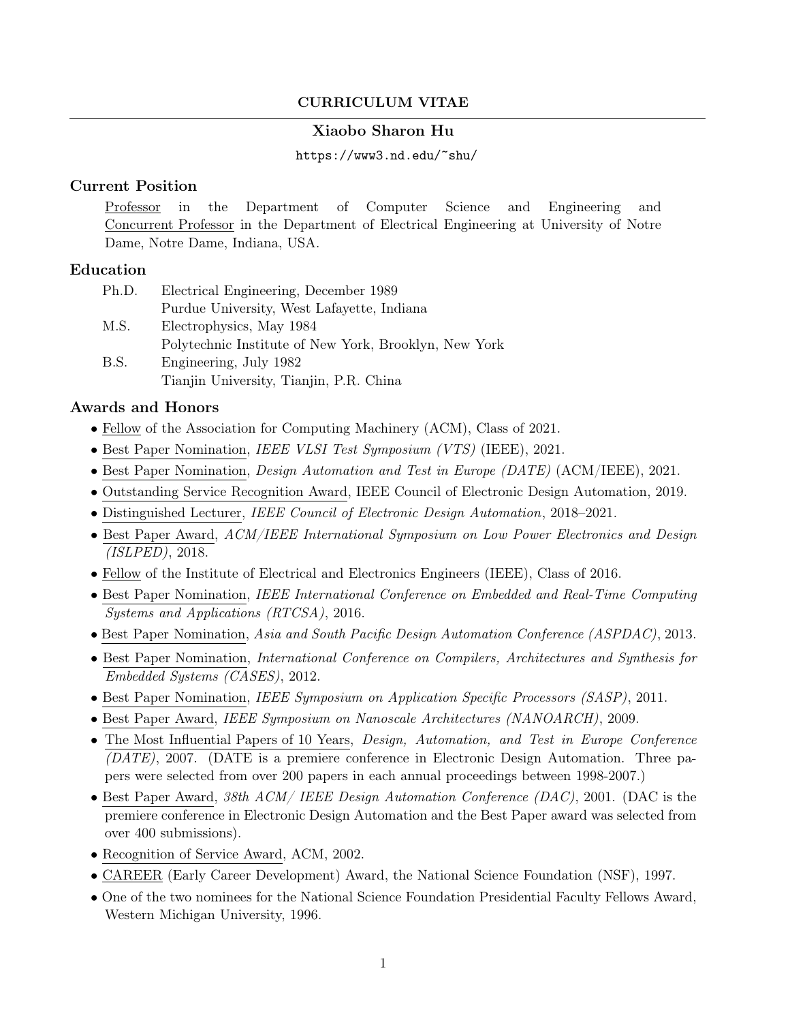# CURRICULUM VITAE

## Xiaobo Sharon Hu

### https://www3.nd.edu/~shu/

## Current Position

Professor in the Department of Computer Science and Engineering and Concurrent Professor in the Department of Electrical Engineering at University of Notre Dame, Notre Dame, Indiana, USA.

## Education

| Ph.D. | Electrical Engineering, December 1989                 |
|-------|-------------------------------------------------------|
|       | Purdue University, West Lafayette, Indiana            |
| M.S.  | Electrophysics, May 1984                              |
|       | Polytechnic Institute of New York, Brooklyn, New York |
| B.S.  | Engineering, July 1982                                |
|       | Tianjin University, Tianjin, P.R. China               |

## Awards and Honors

- Fellow of the Association for Computing Machinery (ACM), Class of 2021.
- Best Paper Nomination, *IEEE VLSI Test Symposium (VTS)* (IEEE), 2021.
- Best Paper Nomination, *Design Automation and Test in Europe (DATE)* (ACM/IEEE), 2021.
- Outstanding Service Recognition Award, IEEE Council of Electronic Design Automation, 2019.
- Distinguished Lecturer, IEEE Council of Electronic Design Automation, 2018–2021.
- Best Paper Award, ACM/IEEE International Symposium on Low Power Electronics and Design (ISLPED), 2018.
- Fellow of the Institute of Electrical and Electronics Engineers (IEEE), Class of 2016.
- Best Paper Nomination, IEEE International Conference on Embedded and Real-Time Computing Systems and Applications (RTCSA), 2016.
- Best Paper Nomination, Asia and South Pacific Design Automation Conference (ASPDAC), 2013.
- Best Paper Nomination, International Conference on Compilers, Architectures and Synthesis for Embedded Systems (CASES), 2012.
- Best Paper Nomination, IEEE Symposium on Application Specific Processors (SASP), 2011.
- Best Paper Award, IEEE Symposium on Nanoscale Architectures (NANOARCH), 2009.
- The Most Influential Papers of 10 Years, *Design, Automation, and Test in Europe Conference* (DATE), 2007. (DATE is a premiere conference in Electronic Design Automation. Three papers were selected from over 200 papers in each annual proceedings between 1998-2007.)
- Best Paper Award, 38th ACM/ IEEE Design Automation Conference (DAC), 2001. (DAC is the premiere conference in Electronic Design Automation and the Best Paper award was selected from over 400 submissions).
- Recognition of Service Award, ACM, 2002.
- CAREER (Early Career Development) Award, the National Science Foundation (NSF), 1997.
- One of the two nominees for the National Science Foundation Presidential Faculty Fellows Award, Western Michigan University, 1996.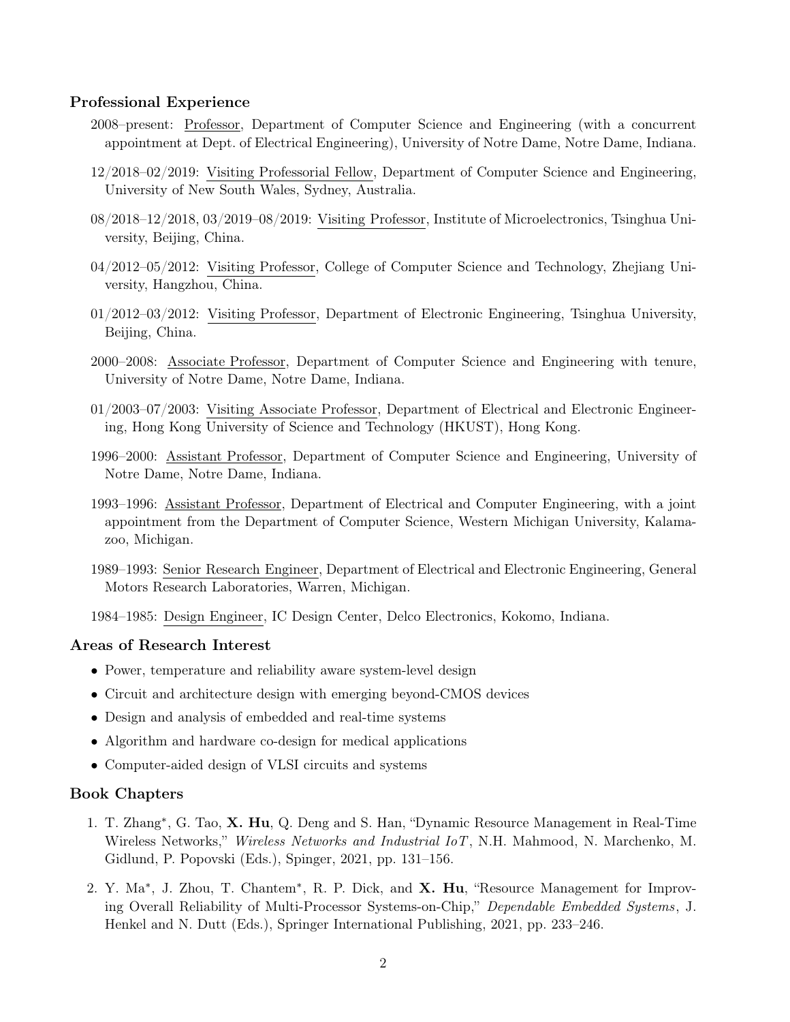### Professional Experience

- 2008–present: Professor, Department of Computer Science and Engineering (with a concurrent appointment at Dept. of Electrical Engineering), University of Notre Dame, Notre Dame, Indiana.
- 12/2018–02/2019: Visiting Professorial Fellow, Department of Computer Science and Engineering, University of New South Wales, Sydney, Australia.
- 08/2018–12/2018, 03/2019–08/2019: Visiting Professor, Institute of Microelectronics, Tsinghua University, Beijing, China.
- 04/2012–05/2012: Visiting Professor, College of Computer Science and Technology, Zhejiang University, Hangzhou, China.
- 01/2012–03/2012: Visiting Professor, Department of Electronic Engineering, Tsinghua University, Beijing, China.
- 2000–2008: Associate Professor, Department of Computer Science and Engineering with tenure, University of Notre Dame, Notre Dame, Indiana.
- 01/2003–07/2003: Visiting Associate Professor, Department of Electrical and Electronic Engineering, Hong Kong University of Science and Technology (HKUST), Hong Kong.
- 1996–2000: Assistant Professor, Department of Computer Science and Engineering, University of Notre Dame, Notre Dame, Indiana.
- 1993–1996: Assistant Professor, Department of Electrical and Computer Engineering, with a joint appointment from the Department of Computer Science, Western Michigan University, Kalamazoo, Michigan.
- 1989–1993: Senior Research Engineer, Department of Electrical and Electronic Engineering, General Motors Research Laboratories, Warren, Michigan.

1984–1985: Design Engineer, IC Design Center, Delco Electronics, Kokomo, Indiana.

#### Areas of Research Interest

- Power, temperature and reliability aware system-level design
- Circuit and architecture design with emerging beyond-CMOS devices
- Design and analysis of embedded and real-time systems
- Algorithm and hardware co-design for medical applications
- Computer-aided design of VLSI circuits and systems

### Book Chapters

- 1. T. Zhang<sup>∗</sup> , G. Tao, X. Hu, Q. Deng and S. Han, "Dynamic Resource Management in Real-Time Wireless Networks," *Wireless Networks and Industrial IoT*, N.H. Mahmood, N. Marchenko, M. Gidlund, P. Popovski (Eds.), Spinger, 2021, pp. 131–156.
- 2. Y. Ma<sup>\*</sup>, J. Zhou, T. Chantem<sup>\*</sup>, R. P. Dick, and X. Hu, "Resource Management for Improving Overall Reliability of Multi-Processor Systems-on-Chip," Dependable Embedded Systems, J. Henkel and N. Dutt (Eds.), Springer International Publishing, 2021, pp. 233–246.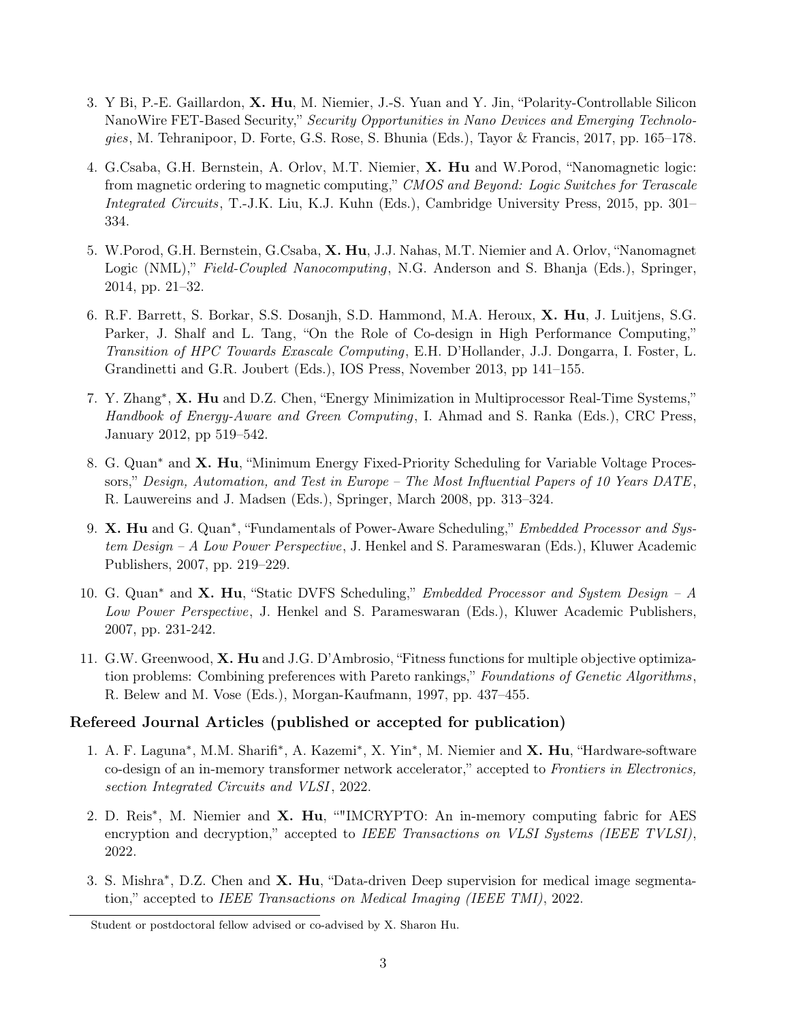- 3. Y Bi, P.-E. Gaillardon, X. Hu, M. Niemier, J.-S. Yuan and Y. Jin, "Polarity-Controllable Silicon NanoWire FET-Based Security," Security Opportunities in Nano Devices and Emerging Technologies, M. Tehranipoor, D. Forte, G.S. Rose, S. Bhunia (Eds.), Tayor & Francis, 2017, pp. 165–178.
- 4. G.Csaba, G.H. Bernstein, A. Orlov, M.T. Niemier, X. Hu and W.Porod, "Nanomagnetic logic: from magnetic ordering to magnetic computing," CMOS and Beyond: Logic Switches for Terascale Integrated Circuits, T.-J.K. Liu, K.J. Kuhn (Eds.), Cambridge University Press, 2015, pp. 301– 334.
- 5. W.Porod, G.H. Bernstein, G.Csaba, X. Hu, J.J. Nahas, M.T. Niemier and A. Orlov, "Nanomagnet Logic (NML)," Field-Coupled Nanocomputing, N.G. Anderson and S. Bhanja (Eds.), Springer, 2014, pp. 21–32.
- 6. R.F. Barrett, S. Borkar, S.S. Dosanjh, S.D. Hammond, M.A. Heroux, X. Hu, J. Luitjens, S.G. Parker, J. Shalf and L. Tang, "On the Role of Co-design in High Performance Computing," Transition of HPC Towards Exascale Computing, E.H. D'Hollander, J.J. Dongarra, I. Foster, L. Grandinetti and G.R. Joubert (Eds.), IOS Press, November 2013, pp 141–155.
- 7. Y. Zhang<sup>∗</sup>, X. Hu and D.Z. Chen, "Energy Minimization in Multiprocessor Real-Time Systems," Handbook of Energy-Aware and Green Computing, I. Ahmad and S. Ranka (Eds.), CRC Press, January 2012, pp 519–542.
- 8. G. Quan<sup>∗</sup> and X. Hu, "Minimum Energy Fixed-Priority Scheduling for Variable Voltage Processors," Design, Automation, and Test in Europe – The Most Influential Papers of 10 Years DATE, R. Lauwereins and J. Madsen (Eds.), Springer, March 2008, pp. 313–324.
- 9. X. Hu and G. Quan<sup>\*</sup>, "Fundamentals of Power-Aware Scheduling," *Embedded Processor and Sys*tem Design – A Low Power Perspective, J. Henkel and S. Parameswaran (Eds.), Kluwer Academic Publishers, 2007, pp. 219–229.
- 10. G. Quan<sup>∗</sup> and X. Hu, "Static DVFS Scheduling," Embedded Processor and System Design A Low Power Perspective, J. Henkel and S. Parameswaran (Eds.), Kluwer Academic Publishers, 2007, pp. 231-242.
- 11. G.W. Greenwood, X. Hu and J.G. D'Ambrosio, "Fitness functions for multiple objective optimization problems: Combining preferences with Pareto rankings," Foundations of Genetic Algorithms, R. Belew and M. Vose (Eds.), Morgan-Kaufmann, 1997, pp. 437–455.

## Refereed Journal Articles (published or accepted for publication)

- 1. A. F. Laguna<sup>\*</sup>, M.M. Sharifi<sup>\*</sup>, A. Kazemi<sup>\*</sup>, X. Yin<sup>\*</sup>, M. Niemier and X. Hu, "Hardware-software co-design of an in-memory transformer network accelerator," accepted to Frontiers in Electronics, section Integrated Circuits and VLSI, 2022.
- 2. D. Reis<sup>\*</sup>, M. Niemier and X. Hu, ""IMCRYPTO: An in-memory computing fabric for AES encryption and decryption," accepted to IEEE Transactions on VLSI Systems (IEEE TVLSI), 2022.
- 3. S. Mishra<sup>\*</sup>, D.Z. Chen and X. Hu, "Data-driven Deep supervision for medical image segmentation," accepted to IEEE Transactions on Medical Imaging (IEEE TMI), 2022.

Student or postdoctoral fellow advised or co-advised by X. Sharon Hu.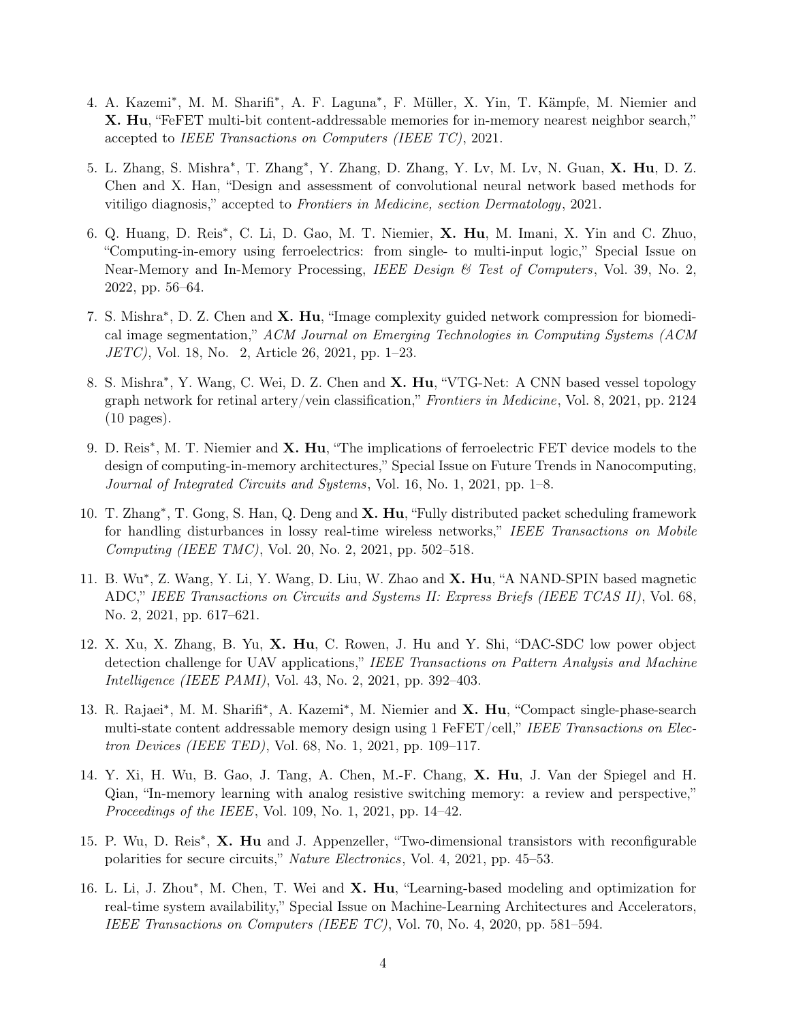- 4. A. Kazemi<sup>∗</sup> , M. M. Sharifi<sup>∗</sup> , A. F. Laguna<sup>∗</sup> , F. Müller, X. Yin, T. Kämpfe, M. Niemier and X. Hu, "FeFET multi-bit content-addressable memories for in-memory nearest neighbor search," accepted to IEEE Transactions on Computers (IEEE TC), 2021.
- 5. L. Zhang, S. Mishra<sup>\*</sup>, T. Zhang<sup>\*</sup>, Y. Zhang, D. Zhang, Y. Lv, M. Lv, N. Guan, X. Hu, D. Z. Chen and X. Han, "Design and assessment of convolutional neural network based methods for vitiligo diagnosis," accepted to Frontiers in Medicine, section Dermatology, 2021.
- 6. Q. Huang, D. Reis<sup>\*</sup>, C. Li, D. Gao, M. T. Niemier, X. Hu, M. Imani, X. Yin and C. Zhuo, "Computing-in-emory using ferroelectrics: from single- to multi-input logic," Special Issue on Near-Memory and In-Memory Processing, IEEE Design  $\&$  Test of Computers, Vol. 39, No. 2, 2022, pp. 56–64.
- 7. S. Mishra<sup>\*</sup>, D. Z. Chen and X. Hu, "Image complexity guided network compression for biomedical image segmentation," ACM Journal on Emerging Technologies in Computing Systems (ACM JETC), Vol. 18, No. 2, Article 26, 2021, pp. 1–23.
- 8. S. Mishra<sup>\*</sup>, Y. Wang, C. Wei, D. Z. Chen and X. Hu, "VTG-Net: A CNN based vessel topology graph network for retinal artery/vein classification," Frontiers in Medicine, Vol. 8, 2021, pp. 2124 (10 pages).
- 9. D. Reis<sup>\*</sup>, M. T. Niemier and **X. Hu**, "The implications of ferroelectric FET device models to the design of computing-in-memory architectures," Special Issue on Future Trends in Nanocomputing, Journal of Integrated Circuits and Systems, Vol. 16, No. 1, 2021, pp. 1–8.
- 10. T. Zhang<sup>\*</sup>, T. Gong, S. Han, Q. Deng and X. Hu, "Fully distributed packet scheduling framework for handling disturbances in lossy real-time wireless networks," IEEE Transactions on Mobile Computing (IEEE TMC), Vol. 20, No. 2, 2021, pp. 502–518.
- 11. B. Wu<sup>\*</sup>, Z. Wang, Y. Li, Y. Wang, D. Liu, W. Zhao and X. Hu, "A NAND-SPIN based magnetic ADC," IEEE Transactions on Circuits and Systems II: Express Briefs (IEEE TCAS II), Vol. 68, No. 2, 2021, pp. 617–621.
- 12. X. Xu, X. Zhang, B. Yu, X. Hu, C. Rowen, J. Hu and Y. Shi, "DAC-SDC low power object detection challenge for UAV applications," IEEE Transactions on Pattern Analysis and Machine Intelligence (IEEE PAMI), Vol. 43, No. 2, 2021, pp. 392–403.
- 13. R. Rajaei<sup>\*</sup>, M. M. Sharifi<sup>\*</sup>, A. Kazemi<sup>\*</sup>, M. Niemier and X. Hu, "Compact single-phase-search multi-state content addressable memory design using 1 FeFET/cell," IEEE Transactions on Electron Devices (IEEE TED), Vol. 68, No. 1, 2021, pp. 109–117.
- 14. Y. Xi, H. Wu, B. Gao, J. Tang, A. Chen, M.-F. Chang, X. Hu, J. Van der Spiegel and H. Qian, "In-memory learning with analog resistive switching memory: a review and perspective," Proceedings of the IEEE, Vol. 109, No. 1, 2021, pp. 14–42.
- 15. P. Wu, D. Reis<sup>\*</sup>, X. Hu and J. Appenzeller, "Two-dimensional transistors with reconfigurable polarities for secure circuits," Nature Electronics, Vol. 4, 2021, pp. 45–53.
- 16. L. Li, J. Zhou\*, M. Chen, T. Wei and X. Hu, "Learning-based modeling and optimization for real-time system availability," Special Issue on Machine-Learning Architectures and Accelerators, IEEE Transactions on Computers (IEEE TC), Vol. 70, No. 4, 2020, pp. 581–594.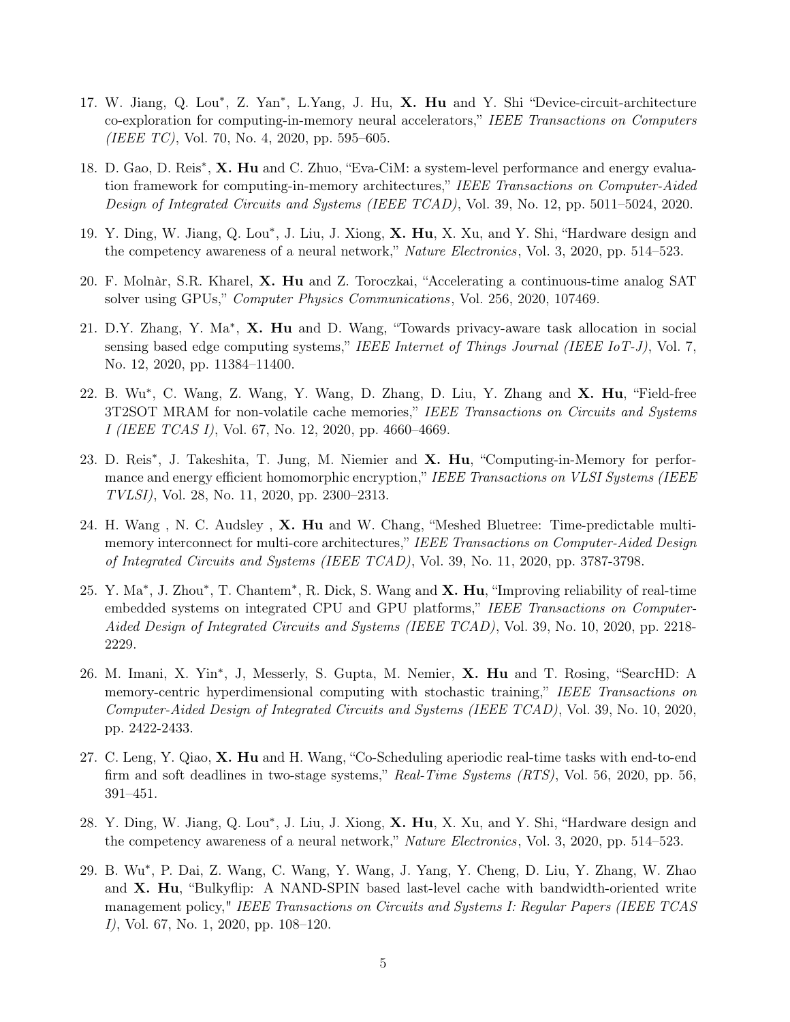- 17. W. Jiang, Q. Lou\*, Z. Yan\*, L.Yang, J. Hu, X. Hu and Y. Shi "Device-circuit-architecture co-exploration for computing-in-memory neural accelerators," IEEE Transactions on Computers (IEEE TC), Vol. 70, No. 4, 2020, pp. 595–605.
- 18. D. Gao, D. Reis<sup>\*</sup>, X. Hu and C. Zhuo, "Eva-CiM: a system-level performance and energy evaluation framework for computing-in-memory architectures," IEEE Transactions on Computer-Aided Design of Integrated Circuits and Systems (IEEE TCAD), Vol. 39, No. 12, pp. 5011–5024, 2020.
- 19. Y. Ding, W. Jiang, Q. Lou<sup>\*</sup>, J. Liu, J. Xiong, X. Hu, X. Xu, and Y. Shi, "Hardware design and the competency awareness of a neural network," *Nature Electronics*, Vol. 3, 2020, pp. 514–523.
- 20. F. Molnàr, S.R. Kharel, X. Hu and Z. Toroczkai, "Accelerating a continuous-time analog SAT solver using GPUs," Computer Physics Communications, Vol. 256, 2020, 107469.
- 21. D.Y. Zhang, Y. Ma<sup>\*</sup>, X. Hu and D. Wang, "Towards privacy-aware task allocation in social sensing based edge computing systems," IEEE Internet of Things Journal (IEEE IoT-J), Vol. 7, No. 12, 2020, pp. 11384–11400.
- 22. B. Wu<sup>\*</sup>, C. Wang, Z. Wang, Y. Wang, D. Zhang, D. Liu, Y. Zhang and X. Hu, "Field-free 3T2SOT MRAM for non-volatile cache memories," IEEE Transactions on Circuits and Systems I (IEEE TCAS I), Vol. 67, No. 12, 2020, pp. 4660–4669.
- 23. D. Reis<sup>\*</sup>, J. Takeshita, T. Jung, M. Niemier and X. Hu, "Computing-in-Memory for performance and energy efficient homomorphic encryption," IEEE Transactions on VLSI Systems (IEEE TVLSI), Vol. 28, No. 11, 2020, pp. 2300–2313.
- 24. H. Wang , N. C. Audsley , X. Hu and W. Chang, "Meshed Bluetree: Time-predictable multimemory interconnect for multi-core architectures," IEEE Transactions on Computer-Aided Design of Integrated Circuits and Systems (IEEE TCAD), Vol. 39, No. 11, 2020, pp. 3787-3798.
- 25. Y. Ma<sup>\*</sup>, J. Zhou<sup>\*</sup>, T. Chantem<sup>\*</sup>, R. Dick, S. Wang and X. Hu, "Improving reliability of real-time embedded systems on integrated CPU and GPU platforms," IEEE Transactions on Computer-Aided Design of Integrated Circuits and Systems (IEEE TCAD), Vol. 39, No. 10, 2020, pp. 2218-2229.
- 26. M. Imani, X. Yin<sup>∗</sup> , J, Messerly, S. Gupta, M. Nemier, X. Hu and T. Rosing, "SearcHD: A memory-centric hyperdimensional computing with stochastic training," IEEE Transactions on Computer-Aided Design of Integrated Circuits and Systems (IEEE TCAD), Vol. 39, No. 10, 2020, pp. 2422-2433.
- 27. C. Leng, Y. Qiao, X. Hu and H. Wang, "Co-Scheduling aperiodic real-time tasks with end-to-end firm and soft deadlines in two-stage systems," Real-Time Systems (RTS), Vol. 56, 2020, pp. 56, 391–451.
- 28. Y. Ding, W. Jiang, Q. Lou<sup>\*</sup>, J. Liu, J. Xiong, X. Hu, X. Xu, and Y. Shi, "Hardware design and the competency awareness of a neural network," Nature Electronics, Vol. 3, 2020, pp. 514–523.
- 29. B. Wu<sup>∗</sup> , P. Dai, Z. Wang, C. Wang, Y. Wang, J. Yang, Y. Cheng, D. Liu, Y. Zhang, W. Zhao and  $X$ . Hu, "Bulkyflip: A NAND-SPIN based last-level cache with bandwidth-oriented write management policy," IEEE Transactions on Circuits and Systems I: Regular Papers (IEEE TCAS I), Vol. 67, No. 1, 2020, pp. 108–120.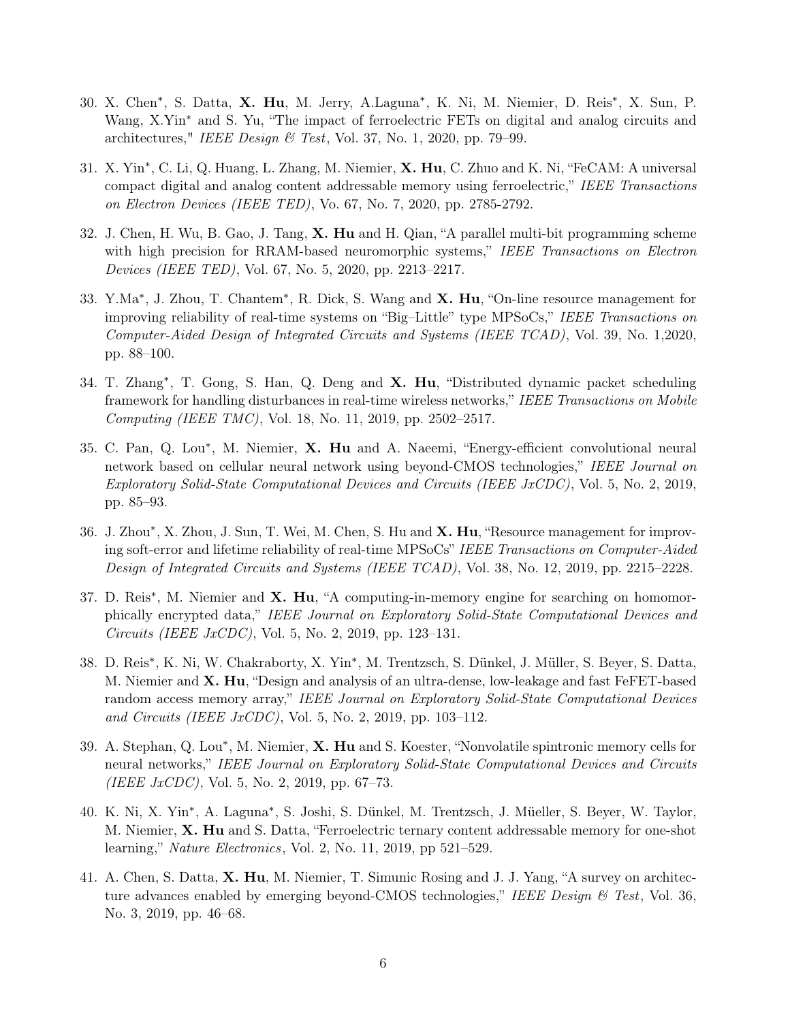- 30. X. Chen<sup>\*</sup>, S. Datta, X. Hu, M. Jerry, A.Laguna<sup>\*</sup>, K. Ni, M. Niemier, D. Reis<sup>\*</sup>, X. Sun, P. Wang, X.Yin<sup>∗</sup> and S. Yu, "The impact of ferroelectric FETs on digital and analog circuits and architectures," IEEE Design  $\mathcal C$  Test, Vol. 37, No. 1, 2020, pp. 79–99.
- 31. X. Yin<sup>∗</sup>, C. Li, Q. Huang, L. Zhang, M. Niemier, X. Hu, C. Zhuo and K. Ni, "FeCAM: A universal compact digital and analog content addressable memory using ferroelectric," IEEE Transactions on Electron Devices (IEEE TED), Vo. 67, No. 7, 2020, pp. 2785-2792.
- 32. J. Chen, H. Wu, B. Gao, J. Tang, X. Hu and H. Qian, "A parallel multi-bit programming scheme with high precision for RRAM-based neuromorphic systems," IEEE Transactions on Electron Devices (IEEE TED), Vol. 67, No. 5, 2020, pp. 2213–2217.
- 33. Y.Ma<sup>∗</sup>, J. Zhou, T. Chantem<sup>∗</sup>, R. Dick, S. Wang and X. Hu, "On-line resource management for improving reliability of real-time systems on "Big–Little" type MPSoCs," IEEE Transactions on Computer-Aided Design of Integrated Circuits and Systems (IEEE TCAD), Vol. 39, No. 1,2020, pp. 88–100.
- 34. T. Zhang<sup>\*</sup>, T. Gong, S. Han, Q. Deng and X. Hu, "Distributed dynamic packet scheduling framework for handling disturbances in real-time wireless networks," IEEE Transactions on Mobile Computing (IEEE TMC), Vol. 18, No. 11, 2019, pp. 2502–2517.
- 35. C. Pan, Q. Lou<sup>\*</sup>, M. Niemier, X. Hu and A. Naeemi, "Energy-efficient convolutional neural network based on cellular neural network using beyond-CMOS technologies," IEEE Journal on Exploratory Solid-State Computational Devices and Circuits (IEEE JxCDC), Vol. 5, No. 2, 2019, pp. 85–93.
- 36. J. Zhou\*, X. Zhou, J. Sun, T. Wei, M. Chen, S. Hu and X. Hu, "Resource management for improving soft-error and lifetime reliability of real-time MPSoCs" IEEE Transactions on Computer-Aided Design of Integrated Circuits and Systems (IEEE TCAD), Vol. 38, No. 12, 2019, pp. 2215–2228.
- 37. D. Reis<sup>\*</sup>, M. Niemier and X. Hu, "A computing-in-memory engine for searching on homomorphically encrypted data," IEEE Journal on Exploratory Solid-State Computational Devices and Circuits (IEEE JxCDC), Vol. 5, No. 2, 2019, pp. 123–131.
- 38. D. Reis<sup>∗</sup> , K. Ni, W. Chakraborty, X. Yin<sup>∗</sup> , M. Trentzsch, S. Dünkel, J. Müller, S. Beyer, S. Datta, M. Niemier and **X. Hu**, "Design and analysis of an ultra-dense, low-leakage and fast FeFET-based random access memory array," IEEE Journal on Exploratory Solid-State Computational Devices and Circuits (IEEE JxCDC), Vol. 5, No. 2, 2019, pp. 103-112.
- 39. A. Stephan, Q. Lou<sup>\*</sup>, M. Niemier, X. Hu and S. Koester, "Nonvolatile spintronic memory cells for neural networks," IEEE Journal on Exploratory Solid-State Computational Devices and Circuits (IEEE  $JxCDC$ ), Vol. 5, No. 2, 2019, pp. 67–73.
- 40. K. Ni, X. Yin<sup>∗</sup> , A. Laguna<sup>∗</sup> , S. Joshi, S. Dünkel, M. Trentzsch, J. Müeller, S. Beyer, W. Taylor, M. Niemier, X. Hu and S. Datta, "Ferroelectric ternary content addressable memory for one-shot learning," Nature Electronics, Vol. 2, No. 11, 2019, pp 521–529.
- 41. A. Chen, S. Datta, X. Hu, M. Niemier, T. Simunic Rosing and J. J. Yang, "A survey on architecture advances enabled by emerging beyond-CMOS technologies," IEEE Design  $\mathcal B$  Test, Vol. 36, No. 3, 2019, pp. 46–68.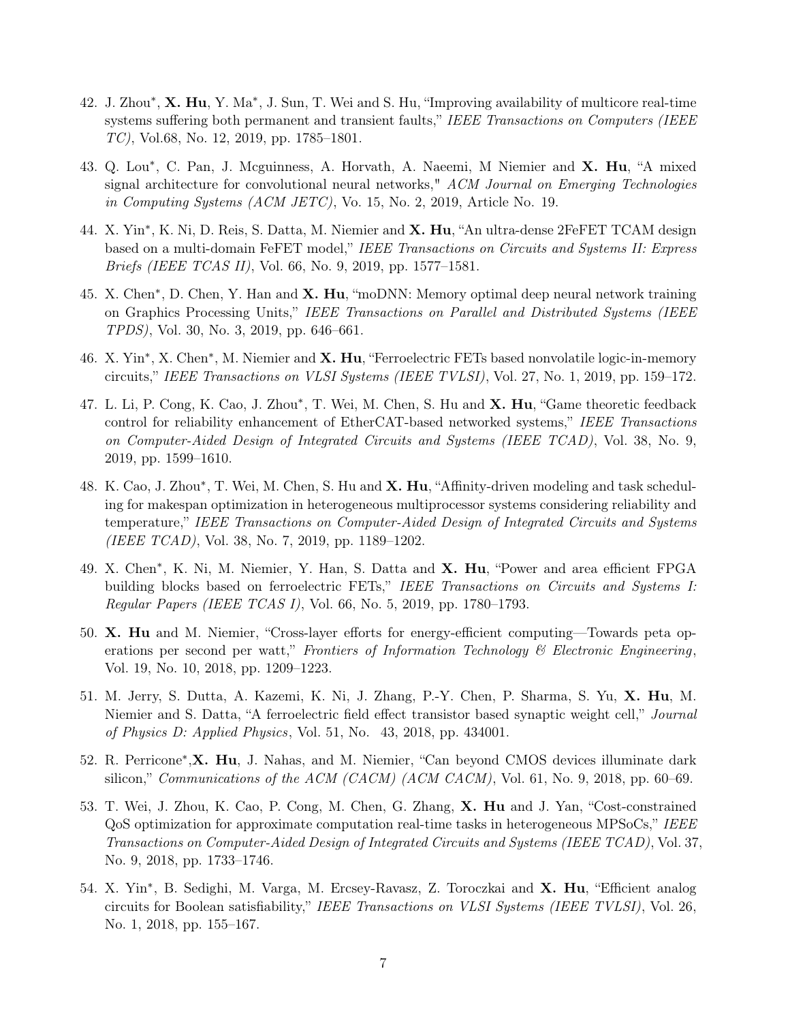- 42. J. Zhou\*, X. Hu, Y. Ma\*, J. Sun, T. Wei and S. Hu, "Improving availability of multicore real-time systems suffering both permanent and transient faults," IEEE Transactions on Computers (IEEE TC), Vol.68, No. 12, 2019, pp. 1785–1801.
- 43. Q. Lou<sup>\*</sup>, C. Pan, J. Mcguinness, A. Horvath, A. Naeemi, M Niemier and X. Hu, "A mixed signal architecture for convolutional neural networks," ACM Journal on Emerging Technologies in Computing Systems (ACM JETC), Vo. 15, No. 2, 2019, Article No. 19.
- 44. X. Yin<sup>\*</sup>, K. Ni, D. Reis, S. Datta, M. Niemier and X. Hu, "An ultra-dense 2FeFET TCAM design based on a multi-domain FeFET model," IEEE Transactions on Circuits and Systems II: Express Briefs (IEEE TCAS II), Vol. 66, No. 9, 2019, pp. 1577–1581.
- 45. X. Chen<sup>\*</sup>, D. Chen, Y. Han and X. Hu, "moDNN: Memory optimal deep neural network training on Graphics Processing Units," IEEE Transactions on Parallel and Distributed Systems (IEEE TPDS), Vol. 30, No. 3, 2019, pp. 646–661.
- 46. X. Yin<sup>\*</sup>, X. Chen<sup>\*</sup>, M. Niemier and X. Hu, "Ferroelectric FETs based nonvolatile logic-in-memory circuits," IEEE Transactions on VLSI Systems (IEEE TVLSI), Vol. 27, No. 1, 2019, pp. 159–172.
- 47. L. Li, P. Cong, K. Cao, J. Zhou\*, T. Wei, M. Chen, S. Hu and X. Hu, "Game theoretic feedback control for reliability enhancement of EtherCAT-based networked systems," IEEE Transactions on Computer-Aided Design of Integrated Circuits and Systems (IEEE TCAD), Vol. 38, No. 9, 2019, pp. 1599–1610.
- 48. K. Cao, J. Zhou\*, T. Wei, M. Chen, S. Hu and X. Hu, "Affinity-driven modeling and task scheduling for makespan optimization in heterogeneous multiprocessor systems considering reliability and temperature," IEEE Transactions on Computer-Aided Design of Integrated Circuits and Systems (IEEE TCAD), Vol. 38, No. 7, 2019, pp. 1189–1202.
- 49. X. Chen<sup>\*</sup>, K. Ni, M. Niemier, Y. Han, S. Datta and X. Hu, "Power and area efficient FPGA building blocks based on ferroelectric FETs," IEEE Transactions on Circuits and Systems I: Regular Papers (IEEE TCAS I), Vol. 66, No. 5, 2019, pp. 1780–1793.
- 50. X. Hu and M. Niemier, "Cross-layer efforts for energy-efficient computing—Towards peta operations per second per watt," Frontiers of Information Technology  $\mathscr B$  Electronic Engineering, Vol. 19, No. 10, 2018, pp. 1209–1223.
- 51. M. Jerry, S. Dutta, A. Kazemi, K. Ni, J. Zhang, P.-Y. Chen, P. Sharma, S. Yu, X. Hu, M. Niemier and S. Datta, "A ferroelectric field effect transistor based synaptic weight cell," Journal of Physics D: Applied Physics, Vol. 51, No. 43, 2018, pp. 434001.
- 52. R. Perricone<sup>∗</sup>, X. Hu, J. Nahas, and M. Niemier, "Can beyond CMOS devices illuminate dark silicon," Communications of the ACM (CACM) (ACM CACM), Vol. 61, No. 9, 2018, pp. 60–69.
- 53. T. Wei, J. Zhou, K. Cao, P. Cong, M. Chen, G. Zhang, X. Hu and J. Yan, "Cost-constrained QoS optimization for approximate computation real-time tasks in heterogeneous MPSoCs," IEEE Transactions on Computer-Aided Design of Integrated Circuits and Systems (IEEE TCAD), Vol. 37, No. 9, 2018, pp. 1733–1746.
- 54. X. Yin<sup>\*</sup>, B. Sedighi, M. Varga, M. Ercsey-Ravasz, Z. Toroczkai and X. Hu, "Efficient analog circuits for Boolean satisfiability," IEEE Transactions on VLSI Systems (IEEE TVLSI), Vol. 26, No. 1, 2018, pp. 155–167.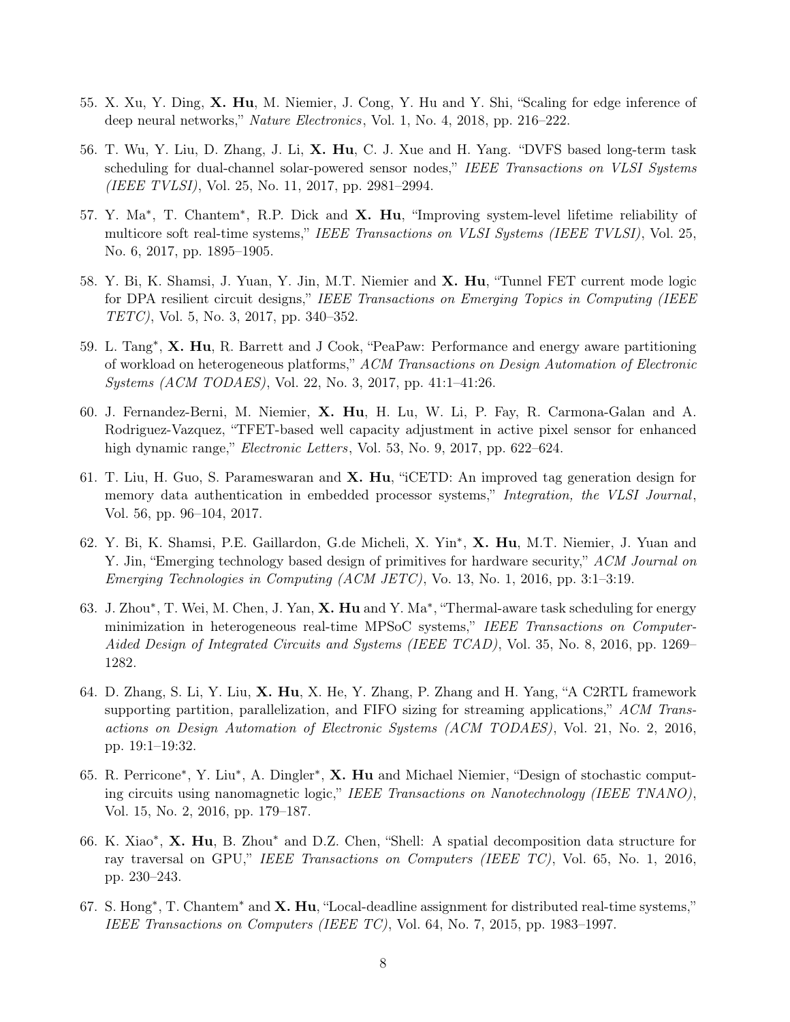- 55. X. Xu, Y. Ding, X. Hu, M. Niemier, J. Cong, Y. Hu and Y. Shi, "Scaling for edge inference of deep neural networks," Nature Electronics, Vol. 1, No. 4, 2018, pp. 216–222.
- 56. T. Wu, Y. Liu, D. Zhang, J. Li, X. Hu, C. J. Xue and H. Yang. "DVFS based long-term task scheduling for dual-channel solar-powered sensor nodes," IEEE Transactions on VLSI Systems (IEEE TVLSI), Vol. 25, No. 11, 2017, pp. 2981–2994.
- 57. Y. Ma<sup>\*</sup>, T. Chantem<sup>\*</sup>, R.P. Dick and X. Hu, "Improving system-level lifetime reliability of multicore soft real-time systems," IEEE Transactions on VLSI Systems (IEEE TVLSI), Vol. 25, No. 6, 2017, pp. 1895–1905.
- 58. Y. Bi, K. Shamsi, J. Yuan, Y. Jin, M.T. Niemier and X. Hu, "Tunnel FET current mode logic for DPA resilient circuit designs," IEEE Transactions on Emerging Topics in Computing (IEEE TETC), Vol. 5, No. 3, 2017, pp. 340–352.
- 59. L. Tang<sup>∗</sup> , X. Hu, R. Barrett and J Cook, "PeaPaw: Performance and energy aware partitioning of workload on heterogeneous platforms," ACM Transactions on Design Automation of Electronic Systems (ACM TODAES), Vol. 22, No. 3, 2017, pp. 41:1–41:26.
- 60. J. Fernandez-Berni, M. Niemier, X. Hu, H. Lu, W. Li, P. Fay, R. Carmona-Galan and A. Rodriguez-Vazquez, "TFET-based well capacity adjustment in active pixel sensor for enhanced high dynamic range," *Electronic Letters*, Vol. 53, No. 9, 2017, pp. 622–624.
- 61. T. Liu, H. Guo, S. Parameswaran and X. Hu, "iCETD: An improved tag generation design for memory data authentication in embedded processor systems," Integration, the VLSI Journal, Vol. 56, pp. 96–104, 2017.
- 62. Y. Bi, K. Shamsi, P.E. Gaillardon, G.de Micheli, X. Yin<sup>\*</sup>, X. Hu, M.T. Niemier, J. Yuan and Y. Jin, "Emerging technology based design of primitives for hardware security," ACM Journal on Emerging Technologies in Computing (ACM JETC), Vo. 13, No. 1, 2016, pp. 3:1–3:19.
- 63. J. Zhou<sup>\*</sup>, T. Wei, M. Chen, J. Yan, X. Hu and Y. Ma<sup>\*</sup>, "Thermal-aware task scheduling for energy minimization in heterogeneous real-time MPSoC systems," IEEE Transactions on Computer-Aided Design of Integrated Circuits and Systems (IEEE TCAD), Vol. 35, No. 8, 2016, pp. 1269– 1282.
- 64. D. Zhang, S. Li, Y. Liu, X. Hu, X. He, Y. Zhang, P. Zhang and H. Yang, "A C2RTL framework supporting partition, parallelization, and FIFO sizing for streaming applications," ACM Transactions on Design Automation of Electronic Systems (ACM TODAES), Vol. 21, No. 2, 2016, pp. 19:1–19:32.
- 65. R. Perricone<sup>\*</sup>, Y. Liu<sup>\*</sup>, A. Dingler<sup>\*</sup>, X. Hu and Michael Niemier, "Design of stochastic computing circuits using nanomagnetic logic," IEEE Transactions on Nanotechnology (IEEE TNANO), Vol. 15, No. 2, 2016, pp. 179–187.
- 66. K. Xiao<sup>∗</sup> , X. Hu, B. Zhou<sup>∗</sup> and D.Z. Chen, "Shell: A spatial decomposition data structure for ray traversal on GPU," IEEE Transactions on Computers (IEEE TC), Vol. 65, No. 1, 2016, pp. 230–243.
- 67. S. Hong<sup>\*</sup>, T. Chantem<sup>\*</sup> and **X. Hu**, "Local-deadline assignment for distributed real-time systems," IEEE Transactions on Computers (IEEE TC), Vol. 64, No. 7, 2015, pp. 1983–1997.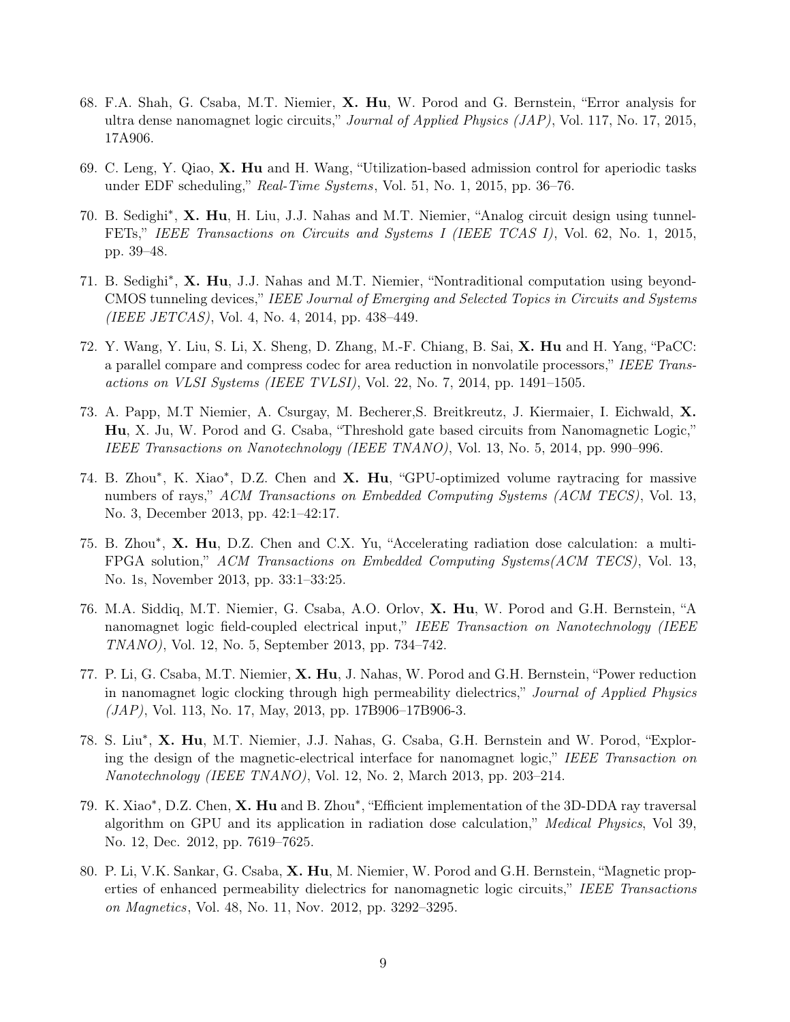- 68. F.A. Shah, G. Csaba, M.T. Niemier, X. Hu, W. Porod and G. Bernstein, "Error analysis for ultra dense nanomagnet logic circuits," Journal of Applied Physics (JAP), Vol. 117, No. 17, 2015, 17A906.
- 69. C. Leng, Y. Qiao, X. Hu and H. Wang, "Utilization-based admission control for aperiodic tasks under EDF scheduling," Real-Time Systems, Vol. 51, No. 1, 2015, pp.  $36-76$ .
- 70. B. Sedighi<sup>\*</sup>, X. Hu, H. Liu, J.J. Nahas and M.T. Niemier, "Analog circuit design using tunnel-FETs," IEEE Transactions on Circuits and Systems I (IEEE TCAS I), Vol. 62, No. 1, 2015, pp. 39–48.
- 71. B. Sedighi<sup>\*</sup>, X. Hu, J.J. Nahas and M.T. Niemier, "Nontraditional computation using beyond-CMOS tunneling devices," IEEE Journal of Emerging and Selected Topics in Circuits and Systems (IEEE JETCAS), Vol. 4, No. 4, 2014, pp. 438–449.
- 72. Y. Wang, Y. Liu, S. Li, X. Sheng, D. Zhang, M.-F. Chiang, B. Sai, X. Hu and H. Yang, "PaCC: a parallel compare and compress codec for area reduction in nonvolatile processors," IEEE Transactions on VLSI Systems (IEEE TVLSI), Vol. 22, No. 7, 2014, pp. 1491–1505.
- 73. A. Papp, M.T Niemier, A. Csurgay, M. Becherer,S. Breitkreutz, J. Kiermaier, I. Eichwald, X. Hu, X. Ju, W. Porod and G. Csaba, "Threshold gate based circuits from Nanomagnetic Logic," IEEE Transactions on Nanotechnology (IEEE TNANO), Vol. 13, No. 5, 2014, pp. 990–996.
- 74. B. Zhou\*, K. Xiao\*, D.Z. Chen and X. Hu, "GPU-optimized volume raytracing for massive numbers of rays," ACM Transactions on Embedded Computing Systems (ACM TECS), Vol. 13, No. 3, December 2013, pp. 42:1–42:17.
- 75. B. Zhou\*, X. Hu, D.Z. Chen and C.X. Yu, "Accelerating radiation dose calculation: a multi-FPGA solution," ACM Transactions on Embedded Computing Systems(ACM TECS), Vol. 13, No. 1s, November 2013, pp. 33:1–33:25.
- 76. M.A. Siddiq, M.T. Niemier, G. Csaba, A.O. Orlov, X. Hu, W. Porod and G.H. Bernstein, "A nanomagnet logic field-coupled electrical input," IEEE Transaction on Nanotechnology (IEEE TNANO), Vol. 12, No. 5, September 2013, pp. 734–742.
- 77. P. Li, G. Csaba, M.T. Niemier, X. Hu, J. Nahas, W. Porod and G.H. Bernstein, "Power reduction in nanomagnet logic clocking through high permeability dielectrics," Journal of Applied Physics  $(JAP)$ , Vol. 113, No. 17, May, 2013, pp. 17B906-17B906-3.
- 78. S. Liu<sup>\*</sup>, X. Hu, M.T. Niemier, J.J. Nahas, G. Csaba, G.H. Bernstein and W. Porod, "Exploring the design of the magnetic-electrical interface for nanomagnet logic," IEEE Transaction on Nanotechnology (IEEE TNANO), Vol. 12, No. 2, March 2013, pp. 203–214.
- 79. K. Xiao<sup>\*</sup>, D.Z. Chen, X. Hu and B. Zhou<sup>\*</sup>, "Efficient implementation of the 3D-DDA ray traversal algorithm on GPU and its application in radiation dose calculation," Medical Physics, Vol 39, No. 12, Dec. 2012, pp. 7619–7625.
- 80. P. Li, V.K. Sankar, G. Csaba, X. Hu, M. Niemier, W. Porod and G.H. Bernstein, "Magnetic properties of enhanced permeability dielectrics for nanomagnetic logic circuits," IEEE Transactions on Magnetics, Vol. 48, No. 11, Nov. 2012, pp. 3292–3295.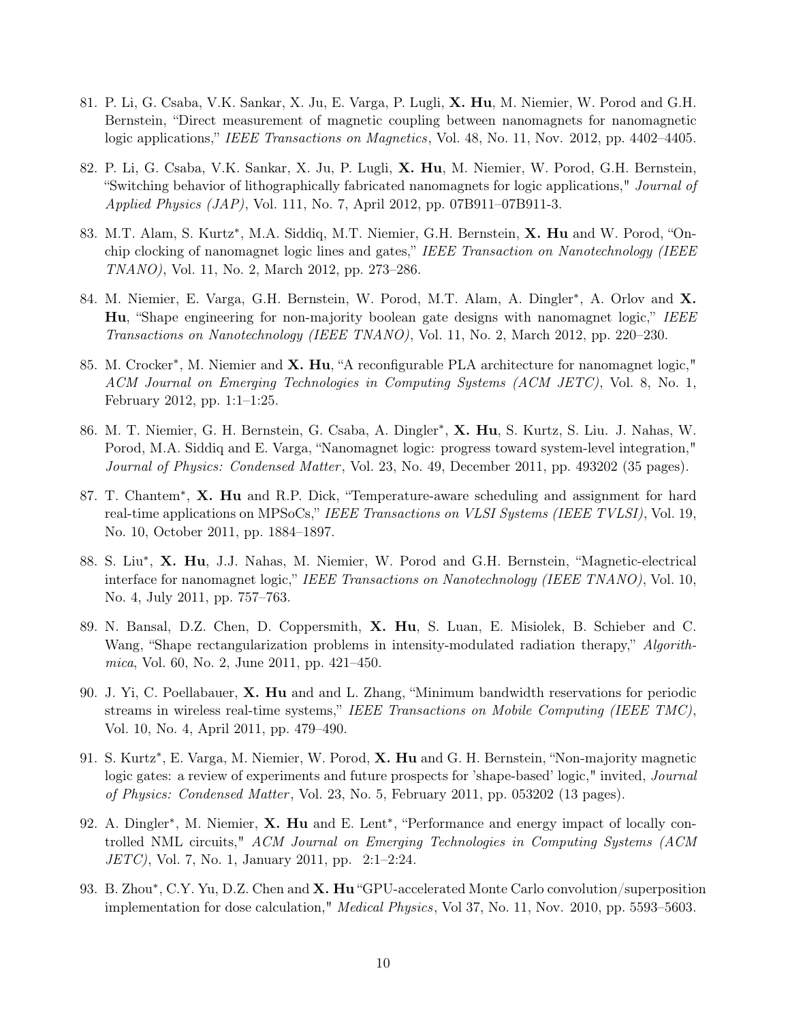- 81. P. Li, G. Csaba, V.K. Sankar, X. Ju, E. Varga, P. Lugli, X. Hu, M. Niemier, W. Porod and G.H. Bernstein, "Direct measurement of magnetic coupling between nanomagnets for nanomagnetic logic applications," IEEE Transactions on Magnetics, Vol. 48, No. 11, Nov. 2012, pp. 4402–4405.
- 82. P. Li, G. Csaba, V.K. Sankar, X. Ju, P. Lugli, X. Hu, M. Niemier, W. Porod, G.H. Bernstein, "Switching behavior of lithographically fabricated nanomagnets for logic applications," Journal of Applied Physics (JAP), Vol. 111, No. 7, April 2012, pp. 07B911–07B911-3.
- 83. M.T. Alam, S. Kurtz<sup>\*</sup>, M.A. Siddiq, M.T. Niemier, G.H. Bernstein, X. Hu and W. Porod, "Onchip clocking of nanomagnet logic lines and gates," IEEE Transaction on Nanotechnology (IEEE TNANO), Vol. 11, No. 2, March 2012, pp. 273–286.
- 84. M. Niemier, E. Varga, G.H. Bernstein, W. Porod, M.T. Alam, A. Dingler<sup>\*</sup>, A. Orlov and X. Hu, "Shape engineering for non-majority boolean gate designs with nanomagnet logic," IEEE Transactions on Nanotechnology (IEEE TNANO), Vol. 11, No. 2, March 2012, pp. 220–230.
- 85. M. Crocker<sup>\*</sup>, M. Niemier and X. Hu, "A reconfigurable PLA architecture for nanomagnet logic," ACM Journal on Emerging Technologies in Computing Systems (ACM JETC), Vol. 8, No. 1, February 2012, pp. 1:1–1:25.
- 86. M. T. Niemier, G. H. Bernstein, G. Csaba, A. Dingler<sup>\*</sup>, X. Hu, S. Kurtz, S. Liu. J. Nahas, W. Porod, M.A. Siddiq and E. Varga, "Nanomagnet logic: progress toward system-level integration," Journal of Physics: Condensed Matter, Vol. 23, No. 49, December 2011, pp. 493202 (35 pages).
- 87. T. Chantem<sup>\*</sup>, X. Hu and R.P. Dick, "Temperature-aware scheduling and assignment for hard real-time applications on MPSoCs," IEEE Transactions on VLSI Systems (IEEE TVLSI), Vol. 19, No. 10, October 2011, pp. 1884–1897.
- 88. S. Liu<sup>\*</sup>, X. Hu, J.J. Nahas, M. Niemier, W. Porod and G.H. Bernstein, "Magnetic-electrical interface for nanomagnet logic," IEEE Transactions on Nanotechnology (IEEE TNANO), Vol. 10, No. 4, July 2011, pp. 757–763.
- 89. N. Bansal, D.Z. Chen, D. Coppersmith, X. Hu, S. Luan, E. Misiolek, B. Schieber and C. Wang, "Shape rectangularization problems in intensity-modulated radiation therapy," Algorithmica, Vol. 60, No. 2, June 2011, pp. 421–450.
- 90. J. Yi, C. Poellabauer, X. Hu and and L. Zhang, "Minimum bandwidth reservations for periodic streams in wireless real-time systems," IEEE Transactions on Mobile Computing (IEEE TMC), Vol. 10, No. 4, April 2011, pp. 479–490.
- 91. S. Kurtz<sup>\*</sup>, E. Varga, M. Niemier, W. Porod, X. Hu and G. H. Bernstein, "Non-majority magnetic logic gates: a review of experiments and future prospects for 'shape-based' logic," invited, Journal of Physics: Condensed Matter , Vol. 23, No. 5, February 2011, pp. 053202 (13 pages).
- 92. A. Dingler<sup>\*</sup>, M. Niemier, X. Hu and E. Lent<sup>\*</sup>, "Performance and energy impact of locally controlled NML circuits," ACM Journal on Emerging Technologies in Computing Systems (ACM JETC), Vol. 7, No. 1, January 2011, pp. 2:1–2:24.
- 93. B. Zhou\*, C.Y. Yu, D.Z. Chen and X. Hu "GPU-accelerated Monte Carlo convolution/superposition implementation for dose calculation," Medical Physics, Vol 37, No. 11, Nov. 2010, pp. 5593–5603.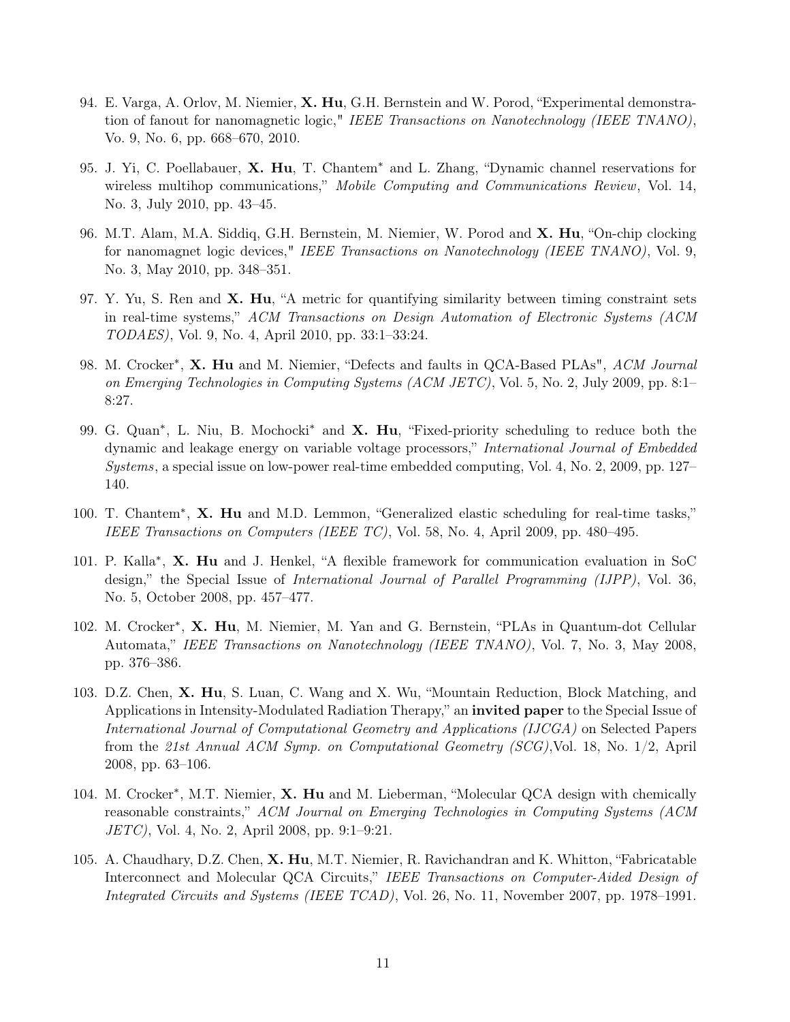- 94. E. Varga, A. Orlov, M. Niemier, X. Hu, G.H. Bernstein and W. Porod, "Experimental demonstration of fanout for nanomagnetic logic," IEEE Transactions on Nanotechnology (IEEE TNANO), Vo. 9, No. 6, pp. 668–670, 2010.
- 95. J. Yi, C. Poellabauer, X. Hu, T. Chantem<sup>∗</sup> and L. Zhang, "Dynamic channel reservations for wireless multihop communications," Mobile Computing and Communications Review, Vol. 14, No. 3, July 2010, pp. 43–45.
- 96. M.T. Alam, M.A. Siddiq, G.H. Bernstein, M. Niemier, W. Porod and X. Hu, "On-chip clocking for nanomagnet logic devices," IEEE Transactions on Nanotechnology (IEEE TNANO), Vol. 9, No. 3, May 2010, pp. 348–351.
- 97. Y. Yu, S. Ren and  $X$ . Hu, "A metric for quantifying similarity between timing constraint sets in real-time systems," ACM Transactions on Design Automation of Electronic Systems (ACM TODAES), Vol. 9, No. 4, April 2010, pp. 33:1–33:24.
- 98. M. Crocker<sup>\*</sup>, X. Hu and M. Niemier, "Defects and faults in QCA-Based PLAs", ACM Journal on Emerging Technologies in Computing Systems (ACM JETC), Vol. 5, No. 2, July 2009, pp. 8:1– 8:27.
- 99. G. Quan<sup>\*</sup>, L. Niu, B. Mochocki<sup>\*</sup> and **X. Hu**, "Fixed-priority scheduling to reduce both the dynamic and leakage energy on variable voltage processors," International Journal of Embedded Systems, a special issue on low-power real-time embedded computing, Vol. 4, No. 2, 2009, pp. 127– 140.
- 100. T. Chantem<sup>∗</sup> , X. Hu and M.D. Lemmon, "Generalized elastic scheduling for real-time tasks," IEEE Transactions on Computers (IEEE TC), Vol. 58, No. 4, April 2009, pp. 480–495.
- 101. P. Kalla<sup>\*</sup>, X. Hu and J. Henkel, "A flexible framework for communication evaluation in SoC design," the Special Issue of *International Journal of Parallel Programming (IJPP)*, Vol. 36, No. 5, October 2008, pp. 457–477.
- 102. M. Crocker<sup>\*</sup>, X. Hu, M. Niemier, M. Yan and G. Bernstein, "PLAs in Quantum-dot Cellular Automata," IEEE Transactions on Nanotechnology (IEEE TNANO), Vol. 7, No. 3, May 2008, pp. 376–386.
- 103. D.Z. Chen, X. Hu, S. Luan, C. Wang and X. Wu, "Mountain Reduction, Block Matching, and Applications in Intensity-Modulated Radiation Therapy," an **invited paper** to the Special Issue of International Journal of Computational Geometry and Applications (IJCGA) on Selected Papers from the 21st Annual ACM Symp. on Computational Geometry (SCG),Vol. 18, No. 1/2, April 2008, pp. 63–106.
- 104. M. Crocker<sup>\*</sup>, M.T. Niemier, X. Hu and M. Lieberman, "Molecular QCA design with chemically reasonable constraints," ACM Journal on Emerging Technologies in Computing Systems (ACM JETC), Vol. 4, No. 2, April 2008, pp. 9:1–9:21.
- 105. A. Chaudhary, D.Z. Chen, X. Hu, M.T. Niemier, R. Ravichandran and K. Whitton, "Fabricatable Interconnect and Molecular QCA Circuits," IEEE Transactions on Computer-Aided Design of Integrated Circuits and Systems (IEEE TCAD), Vol. 26, No. 11, November 2007, pp. 1978–1991.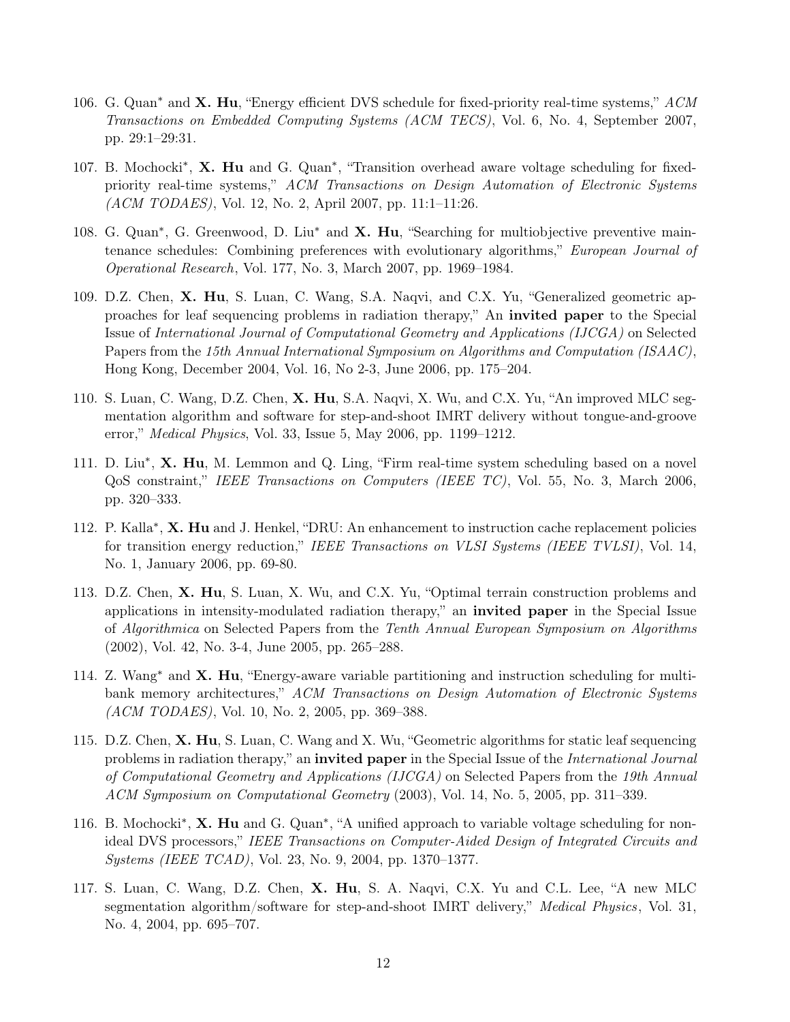- 106. G. Quan<sup>∗</sup> and X. Hu, "Energy efficient DVS schedule for fixed-priority real-time systems," ACM Transactions on Embedded Computing Systems (ACM TECS), Vol. 6, No. 4, September 2007, pp. 29:1–29:31.
- 107. B. Mochocki<sup>\*</sup>, X. Hu and G. Quan<sup>\*</sup>, "Transition overhead aware voltage scheduling for fixedpriority real-time systems," ACM Transactions on Design Automation of Electronic Systems (ACM TODAES), Vol. 12, No. 2, April 2007, pp. 11:1–11:26.
- 108. G. Quan<sup>\*</sup>, G. Greenwood, D. Liu<sup>\*</sup> and **X. Hu**, "Searching for multiobjective preventive maintenance schedules: Combining preferences with evolutionary algorithms," European Journal of Operational Research, Vol. 177, No. 3, March 2007, pp. 1969–1984.
- 109. D.Z. Chen, X. Hu, S. Luan, C. Wang, S.A. Naqvi, and C.X. Yu, "Generalized geometric approaches for leaf sequencing problems in radiation therapy," An invited paper to the Special Issue of International Journal of Computational Geometry and Applications (IJCGA) on Selected Papers from the 15th Annual International Symposium on Algorithms and Computation (ISAAC), Hong Kong, December 2004, Vol. 16, No 2-3, June 2006, pp. 175–204.
- 110. S. Luan, C. Wang, D.Z. Chen, X. Hu, S.A. Naqvi, X. Wu, and C.X. Yu, "An improved MLC segmentation algorithm and software for step-and-shoot IMRT delivery without tongue-and-groove error," Medical Physics, Vol. 33, Issue 5, May 2006, pp. 1199–1212.
- 111. D. Liu<sup>\*</sup>, **X. Hu**, M. Lemmon and Q. Ling, "Firm real-time system scheduling based on a novel QoS constraint," IEEE Transactions on Computers (IEEE TC), Vol. 55, No. 3, March 2006, pp. 320–333.
- 112. P. Kalla<sup>\*</sup>, X. Hu and J. Henkel, "DRU: An enhancement to instruction cache replacement policies for transition energy reduction," IEEE Transactions on VLSI Systems (IEEE TVLSI), Vol. 14, No. 1, January 2006, pp. 69-80.
- 113. D.Z. Chen, X. Hu, S. Luan, X. Wu, and C.X. Yu, "Optimal terrain construction problems and applications in intensity-modulated radiation therapy," an invited paper in the Special Issue of Algorithmica on Selected Papers from the Tenth Annual European Symposium on Algorithms (2002), Vol. 42, No. 3-4, June 2005, pp. 265–288.
- 114. Z. Wang<sup>∗</sup> and X. Hu, "Energy-aware variable partitioning and instruction scheduling for multibank memory architectures," ACM Transactions on Design Automation of Electronic Systems (ACM TODAES), Vol. 10, No. 2, 2005, pp. 369–388.
- 115. D.Z. Chen, X. Hu, S. Luan, C. Wang and X. Wu, "Geometric algorithms for static leaf sequencing problems in radiation therapy," an **invited paper** in the Special Issue of the *International Journal* of Computational Geometry and Applications (IJCGA) on Selected Papers from the 19th Annual ACM Symposium on Computational Geometry (2003), Vol. 14, No. 5, 2005, pp. 311–339.
- 116. B. Mochocki<sup>\*</sup>, **X. Hu** and G. Quan<sup>\*</sup>, "A unified approach to variable voltage scheduling for nonideal DVS processors," IEEE Transactions on Computer-Aided Design of Integrated Circuits and Systems (IEEE TCAD), Vol. 23, No. 9, 2004, pp. 1370–1377.
- 117. S. Luan, C. Wang, D.Z. Chen, X. Hu, S. A. Naqvi, C.X. Yu and C.L. Lee, "A new MLC segmentation algorithm/software for step-and-shoot IMRT delivery," Medical Physics, Vol. 31, No. 4, 2004, pp. 695–707.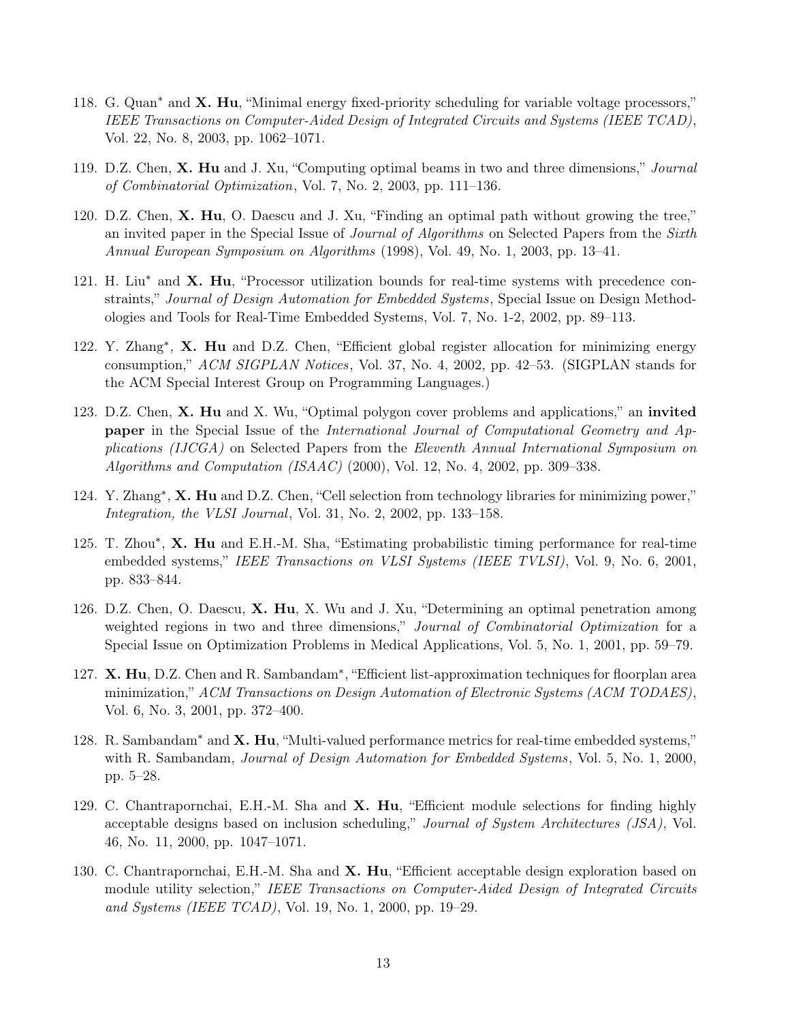- 118. G. Quan<sup>∗</sup> and X. Hu, "Minimal energy fixed-priority scheduling for variable voltage processors," IEEE Transactions on Computer-Aided Design of Integrated Circuits and Systems (IEEE TCAD), Vol. 22, No. 8, 2003, pp. 1062–1071.
- 119. D.Z. Chen, X. Hu and J. Xu, "Computing optimal beams in two and three dimensions," Journal of Combinatorial Optimization, Vol. 7, No. 2, 2003, pp. 111–136.
- 120. D.Z. Chen, X. Hu, O. Daescu and J. Xu, "Finding an optimal path without growing the tree," an invited paper in the Special Issue of *Journal of Algorithms* on Selected Papers from the *Sixth* Annual European Symposium on Algorithms (1998), Vol. 49, No. 1, 2003, pp. 13–41.
- 121. H. Liu<sup>∗</sup> and X. Hu, "Processor utilization bounds for real-time systems with precedence constraints," Journal of Design Automation for Embedded Systems, Special Issue on Design Methodologies and Tools for Real-Time Embedded Systems, Vol. 7, No. 1-2, 2002, pp. 89–113.
- 122. Y. Zhang<sup>\*</sup>, X. Hu and D.Z. Chen, "Efficient global register allocation for minimizing energy consumption," ACM SIGPLAN Notices, Vol. 37, No. 4, 2002, pp. 42–53. (SIGPLAN stands for the ACM Special Interest Group on Programming Languages.)
- 123. D.Z. Chen, X. Hu and X. Wu, "Optimal polygon cover problems and applications," an invited **paper** in the Special Issue of the International Journal of Computational Geometry and Applications (IJCGA) on Selected Papers from the Eleventh Annual International Symposium on Algorithms and Computation (ISAAC) (2000), Vol. 12, No. 4, 2002, pp. 309–338.
- 124. Y. Zhang<sup>∗</sup>, X. Hu and D.Z. Chen, "Cell selection from technology libraries for minimizing power," Integration, the VLSI Journal, Vol. 31, No. 2, 2002, pp. 133–158.
- 125. T. Zhou\*, X. Hu and E.H.-M. Sha, "Estimating probabilistic timing performance for real-time embedded systems," IEEE Transactions on VLSI Systems (IEEE TVLSI), Vol. 9, No. 6, 2001, pp. 833–844.
- 126. D.Z. Chen, O. Daescu, X. Hu, X. Wu and J. Xu, "Determining an optimal penetration among weighted regions in two and three dimensions," *Journal of Combinatorial Optimization* for a Special Issue on Optimization Problems in Medical Applications, Vol. 5, No. 1, 2001, pp. 59–79.
- 127. X. Hu, D.Z. Chen and R. Sambandam<sup>\*</sup>, "Efficient list-approximation techniques for floorplan area minimization," ACM Transactions on Design Automation of Electronic Systems (ACM TODAES), Vol. 6, No. 3, 2001, pp. 372–400.
- 128. R. Sambandam<sup>\*</sup> and X. Hu, "Multi-valued performance metrics for real-time embedded systems," with R. Sambandam, *Journal of Design Automation for Embedded Systems*, Vol. 5, No. 1, 2000, pp. 5–28.
- 129. C. Chantrapornchai, E.H.-M. Sha and X. Hu, "Efficient module selections for finding highly acceptable designs based on inclusion scheduling," Journal of System Architectures (JSA), Vol. 46, No. 11, 2000, pp. 1047–1071.
- 130. C. Chantrapornchai, E.H.-M. Sha and X. Hu, "Efficient acceptable design exploration based on module utility selection," IEEE Transactions on Computer-Aided Design of Integrated Circuits and Systems (IEEE TCAD), Vol. 19, No. 1, 2000, pp. 19–29.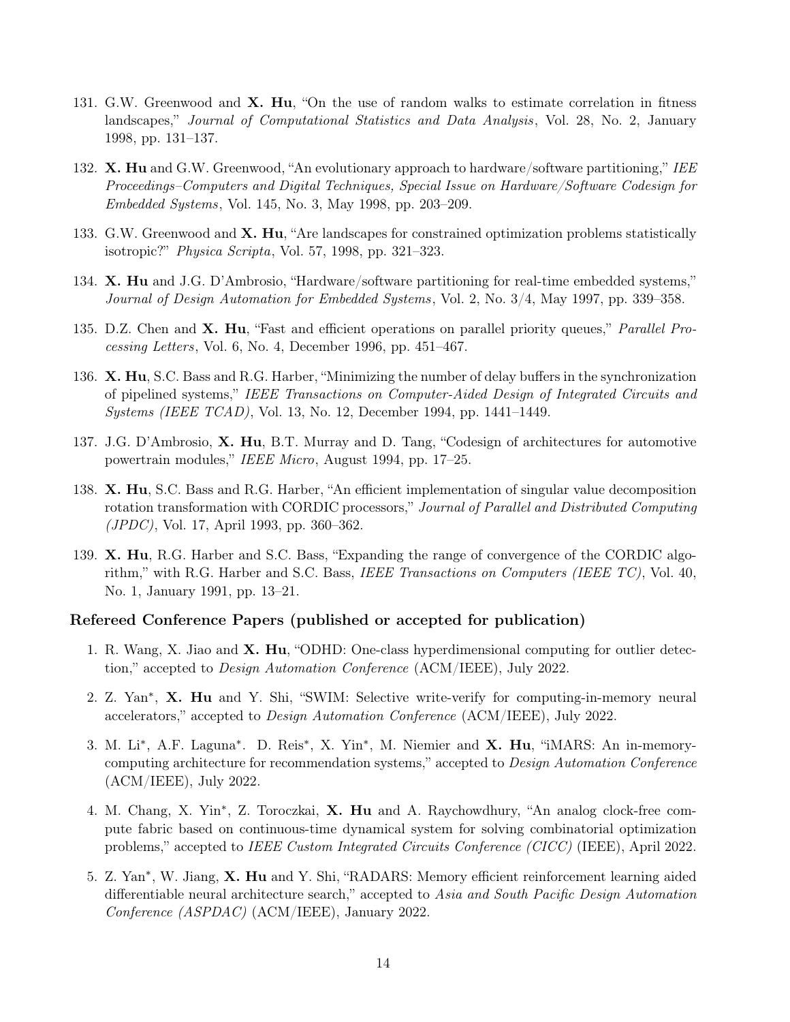- 131. G.W. Greenwood and **X. Hu**, "On the use of random walks to estimate correlation in fitness landscapes," Journal of Computational Statistics and Data Analysis, Vol. 28, No. 2, January 1998, pp. 131–137.
- 132. X. Hu and G.W. Greenwood, "An evolutionary approach to hardware/software partitioning," IEE Proceedings–Computers and Digital Techniques, Special Issue on Hardware/Software Codesign for Embedded Systems, Vol. 145, No. 3, May 1998, pp. 203–209.
- 133. G.W. Greenwood and **X. Hu**, "Are landscapes for constrained optimization problems statistically isotropic?" Physica Scripta, Vol. 57, 1998, pp. 321–323.
- 134. X. Hu and J.G. D'Ambrosio, "Hardware/software partitioning for real-time embedded systems," Journal of Design Automation for Embedded Systems, Vol. 2, No. 3/4, May 1997, pp. 339–358.
- 135. D.Z. Chen and **X. Hu**, "Fast and efficient operations on parallel priority queues," *Parallel Pro*cessing Letters, Vol. 6, No. 4, December 1996, pp. 451–467.
- 136. X. Hu, S.C. Bass and R.G. Harber, "Minimizing the number of delay buffers in the synchronization of pipelined systems," IEEE Transactions on Computer-Aided Design of Integrated Circuits and Systems (IEEE TCAD), Vol. 13, No. 12, December 1994, pp. 1441–1449.
- 137. J.G. D'Ambrosio, X. Hu, B.T. Murray and D. Tang, "Codesign of architectures for automotive powertrain modules," IEEE Micro, August 1994, pp. 17–25.
- 138. X. Hu, S.C. Bass and R.G. Harber, "An efficient implementation of singular value decomposition rotation transformation with CORDIC processors," Journal of Parallel and Distributed Computing (JPDC), Vol. 17, April 1993, pp. 360–362.
- 139. X. Hu, R.G. Harber and S.C. Bass, "Expanding the range of convergence of the CORDIC algorithm," with R.G. Harber and S.C. Bass, IEEE Transactions on Computers (IEEE TC), Vol. 40, No. 1, January 1991, pp. 13–21.

#### Refereed Conference Papers (published or accepted for publication)

- 1. R. Wang, X. Jiao and X. Hu, "ODHD: One-class hyperdimensional computing for outlier detection," accepted to Design Automation Conference (ACM/IEEE), July 2022.
- 2. Z. Yan<sup>\*</sup>, X. Hu and Y. Shi, "SWIM: Selective write-verify for computing-in-memory neural accelerators," accepted to *Design Automation Conference* (ACM/IEEE), July 2022.
- 3. M. Li<sup>\*</sup>, A.F. Laguna<sup>\*</sup>. D. Reis<sup>\*</sup>, X. Yin<sup>\*</sup>, M. Niemier and X. Hu, "iMARS: An in-memorycomputing architecture for recommendation systems," accepted to Design Automation Conference (ACM/IEEE), July 2022.
- 4. M. Chang, X. Yin<sup>\*</sup>, Z. Toroczkai, X. Hu and A. Raychowdhury, "An analog clock-free compute fabric based on continuous-time dynamical system for solving combinatorial optimization problems," accepted to IEEE Custom Integrated Circuits Conference (CICC) (IEEE), April 2022.
- 5. Z. Yan<sup>∗</sup> , W. Jiang, X. Hu and Y. Shi, "RADARS: Memory efficient reinforcement learning aided differentiable neural architecture search," accepted to Asia and South Pacific Design Automation Conference (ASPDAC) (ACM/IEEE), January 2022.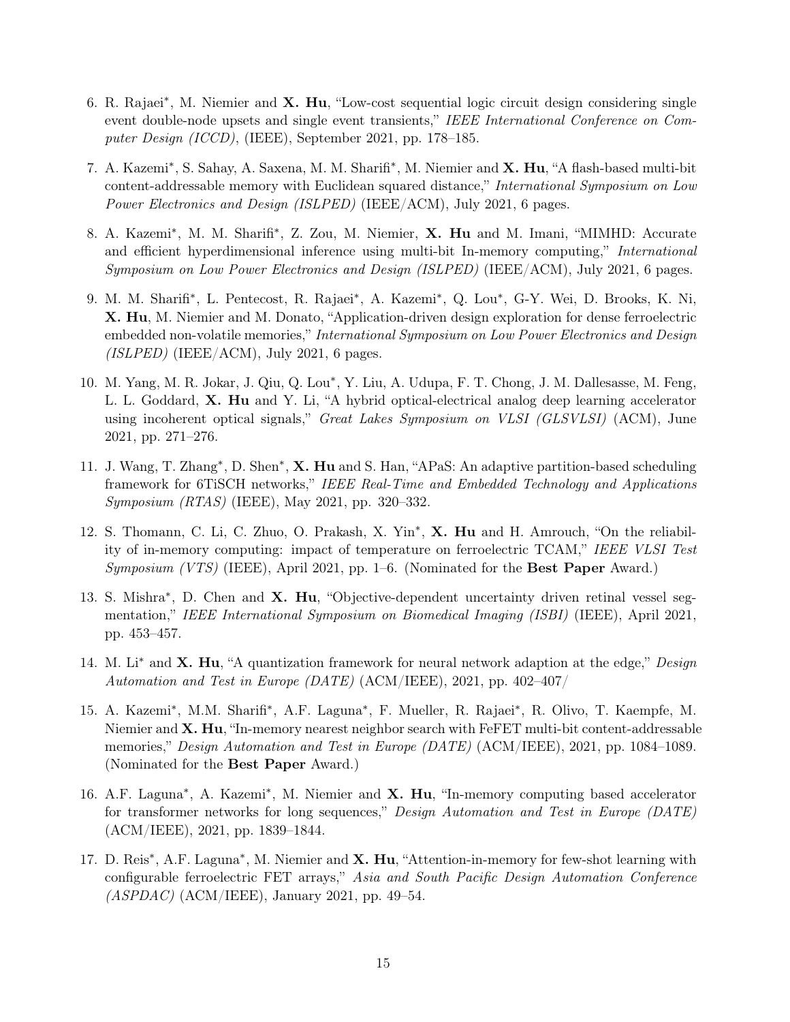- 6. R. Rajaei<sup>\*</sup>, M. Niemier and X. Hu, "Low-cost sequential logic circuit design considering single event double-node upsets and single event transients," IEEE International Conference on Computer Design (ICCD), (IEEE), September 2021, pp. 178–185.
- 7. A. Kazemi<sup>\*</sup>, S. Sahay, A. Saxena, M. M. Sharifi<sup>\*</sup>, M. Niemier and X. Hu, "A flash-based multi-bit content-addressable memory with Euclidean squared distance," International Symposium on Low Power Electronics and Design (ISLPED) (IEEE/ACM), July 2021, 6 pages.
- 8. A. Kazemi<sup>\*</sup>, M. M. Sharifi<sup>\*</sup>, Z. Zou, M. Niemier, X. Hu and M. Imani, "MIMHD: Accurate and efficient hyperdimensional inference using multi-bit In-memory computing," International Symposium on Low Power Electronics and Design (ISLPED) (IEEE/ACM), July 2021, 6 pages.
- 9. M. M. Sharifi<sup>\*</sup>, L. Pentecost, R. Rajaei<sup>\*</sup>, A. Kazemi<sup>\*</sup>, Q. Lou<sup>\*</sup>, G-Y. Wei, D. Brooks, K. Ni, X. Hu, M. Niemier and M. Donato, "Application-driven design exploration for dense ferroelectric embedded non-volatile memories," International Symposium on Low Power Electronics and Design  $(ISLPED)$  (IEEE/ACM), July 2021, 6 pages.
- 10. M. Yang, M. R. Jokar, J. Qiu, Q. Lou\*, Y. Liu, A. Udupa, F. T. Chong, J. M. Dallesasse, M. Feng, L. L. Goddard, X. Hu and Y. Li, "A hybrid optical-electrical analog deep learning accelerator using incoherent optical signals," Great Lakes Symposium on VLSI (GLSVLSI) (ACM), June 2021, pp. 271–276.
- 11. J. Wang, T. Zhang<sup>\*</sup>, D. Shen<sup>\*</sup>, **X. Hu** and S. Han, "APaS: An adaptive partition-based scheduling framework for 6TiSCH networks," IEEE Real-Time and Embedded Technology and Applications Symposium (RTAS) (IEEE), May 2021, pp. 320–332.
- 12. S. Thomann, C. Li, C. Zhuo, O. Prakash, X. Yin<sup>\*</sup>, X. Hu and H. Amrouch, "On the reliability of in-memory computing: impact of temperature on ferroelectric TCAM," IEEE VLSI Test *Symposium (VTS)* (IEEE), April 2021, pp. 1–6. (Nominated for the **Best Paper** Award.)
- 13. S. Mishra<sup>\*</sup>, D. Chen and X. Hu, "Objective-dependent uncertainty driven retinal vessel segmentation," IEEE International Symposium on Biomedical Imaging (ISBI) (IEEE), April 2021, pp. 453–457.
- 14. M. Li<sup>\*</sup> and **X. Hu**, "A quantization framework for neural network adaption at the edge," *Design* Automation and Test in Europe (DATE) (ACM/IEEE), 2021, pp. 402–407/
- 15. A. Kazemi<sup>\*</sup>, M.M. Sharifi<sup>\*</sup>, A.F. Laguna<sup>\*</sup>, F. Mueller, R. Rajaei<sup>\*</sup>, R. Olivo, T. Kaempfe, M. Niemier and  $X$ . Hu, "In-memory nearest neighbor search with FeFET multi-bit content-addressable memories," Design Automation and Test in Europe (DATE) (ACM/IEEE), 2021, pp. 1084–1089. (Nominated for the Best Paper Award.)
- 16. A.F. Laguna<sup>\*</sup>, A. Kazemi<sup>\*</sup>, M. Niemier and X. Hu, "In-memory computing based accelerator for transformer networks for long sequences," Design Automation and Test in Europe (DATE) (ACM/IEEE), 2021, pp. 1839–1844.
- 17. D. Reis<sup>\*</sup>, A.F. Laguna<sup>\*</sup>, M. Niemier and X. Hu, "Attention-in-memory for few-shot learning with configurable ferroelectric FET arrays," Asia and South Pacific Design Automation Conference  $(ASPDAC)$  (ACM/IEEE), January 2021, pp. 49–54.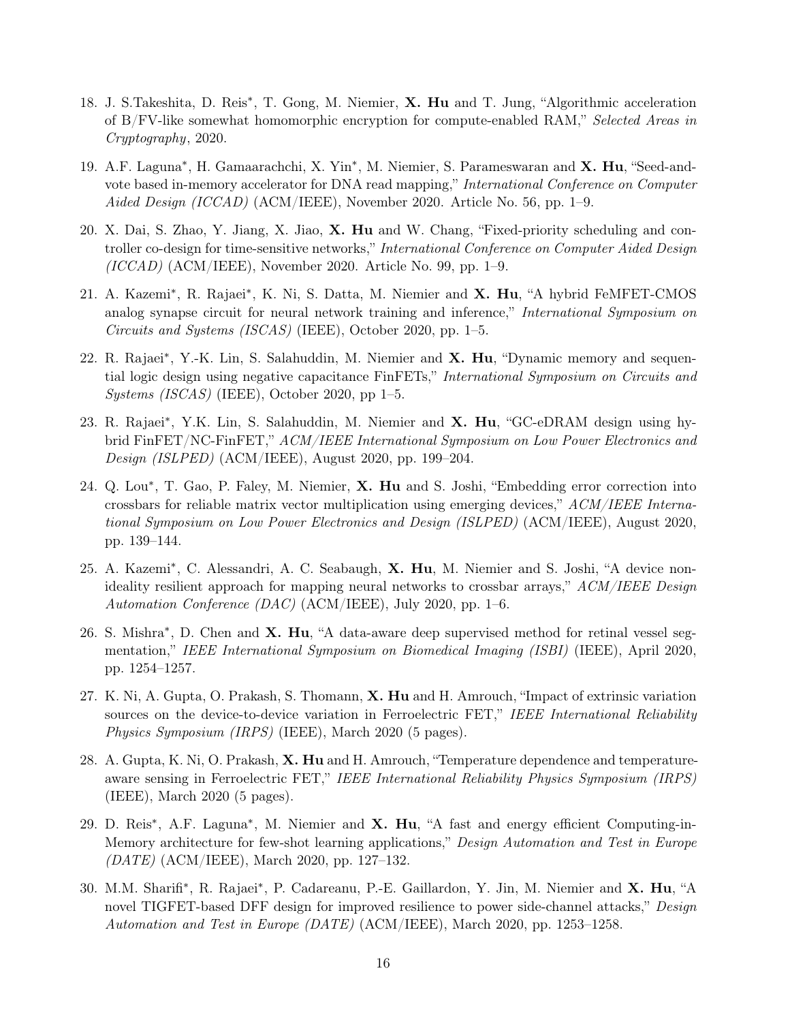- 18. J. S.Takeshita, D. Reis<sup>\*</sup>, T. Gong, M. Niemier, X. Hu and T. Jung, "Algorithmic acceleration of B/FV-like somewhat homomorphic encryption for compute-enabled RAM," Selected Areas in Cryptography, 2020.
- 19. A.F. Laguna<sup>\*</sup>, H. Gamaarachchi, X. Yin<sup>\*</sup>, M. Niemier, S. Parameswaran and X. Hu, "Seed-andvote based in-memory accelerator for DNA read mapping," International Conference on Computer Aided Design (ICCAD) (ACM/IEEE), November 2020. Article No. 56, pp. 1–9.
- 20. X. Dai, S. Zhao, Y. Jiang, X. Jiao, X. Hu and W. Chang, "Fixed-priority scheduling and controller co-design for time-sensitive networks," International Conference on Computer Aided Design  $(ICCAD)$   $(ACM/IEEE)$ , November 2020. Article No. 99, pp. 1–9.
- 21. A. Kazemi<sup>\*</sup>, R. Rajaei<sup>\*</sup>, K. Ni, S. Datta, M. Niemier and X. Hu, "A hybrid FeMFET-CMOS analog synapse circuit for neural network training and inference," International Symposium on Circuits and Systems (ISCAS) (IEEE), October 2020, pp. 1–5.
- 22. R. Rajaei<sup>\*</sup>, Y.-K. Lin, S. Salahuddin, M. Niemier and X. Hu, "Dynamic memory and sequential logic design using negative capacitance FinFETs," International Symposium on Circuits and  $Systems (ISCAS) (IEEE), October 2020, pp 1-5.$
- 23. R. Rajaei<sup>\*</sup>, Y.K. Lin, S. Salahuddin, M. Niemier and X. Hu, "GC-eDRAM design using hybrid FinFET/NC-FinFET," ACM/IEEE International Symposium on Low Power Electronics and Design (ISLPED) (ACM/IEEE), August 2020, pp. 199–204.
- 24. Q. Lou<sup>\*</sup>, T. Gao, P. Faley, M. Niemier, X. Hu and S. Joshi, "Embedding error correction into crossbars for reliable matrix vector multiplication using emerging devices," ACM/IEEE International Symposium on Low Power Electronics and Design (ISLPED) (ACM/IEEE), August 2020, pp. 139–144.
- 25. A. Kazemi<sup>\*</sup>, C. Alessandri, A. C. Seabaugh, X. Hu, M. Niemier and S. Joshi, "A device nonideality resilient approach for mapping neural networks to crossbar arrays," ACM/IEEE Design Automation Conference  $(DAC)$  (ACM/IEEE), July 2020, pp. 1–6.
- 26. S. Mishra<sup>\*</sup>, D. Chen and **X. Hu**, "A data-aware deep supervised method for retinal vessel segmentation," IEEE International Symposium on Biomedical Imaging (ISBI) (IEEE), April 2020, pp. 1254–1257.
- 27. K. Ni, A. Gupta, O. Prakash, S. Thomann, X. Hu and H. Amrouch, "Impact of extrinsic variation sources on the device-to-device variation in Ferroelectric FET," IEEE International Reliability Physics Symposium (IRPS) (IEEE), March 2020 (5 pages).
- 28. A. Gupta, K. Ni, O. Prakash, X. Hu and H. Amrouch, "Temperature dependence and temperatureaware sensing in Ferroelectric FET," IEEE International Reliability Physics Symposium (IRPS) (IEEE), March 2020 (5 pages).
- 29. D. Reis<sup>\*</sup>, A.F. Laguna<sup>\*</sup>, M. Niemier and X. Hu, "A fast and energy efficient Computing-in-Memory architecture for few-shot learning applications," Design Automation and Test in Europe (DATE) (ACM/IEEE), March 2020, pp. 127–132.
- 30. M.M. Sharifi<sup>\*</sup>, R. Rajaei<sup>\*</sup>, P. Cadareanu, P.-E. Gaillardon, Y. Jin, M. Niemier and X. Hu, "A novel TIGFET-based DFF design for improved resilience to power side-channel attacks," Design Automation and Test in Europe (DATE) (ACM/IEEE), March 2020, pp. 1253–1258.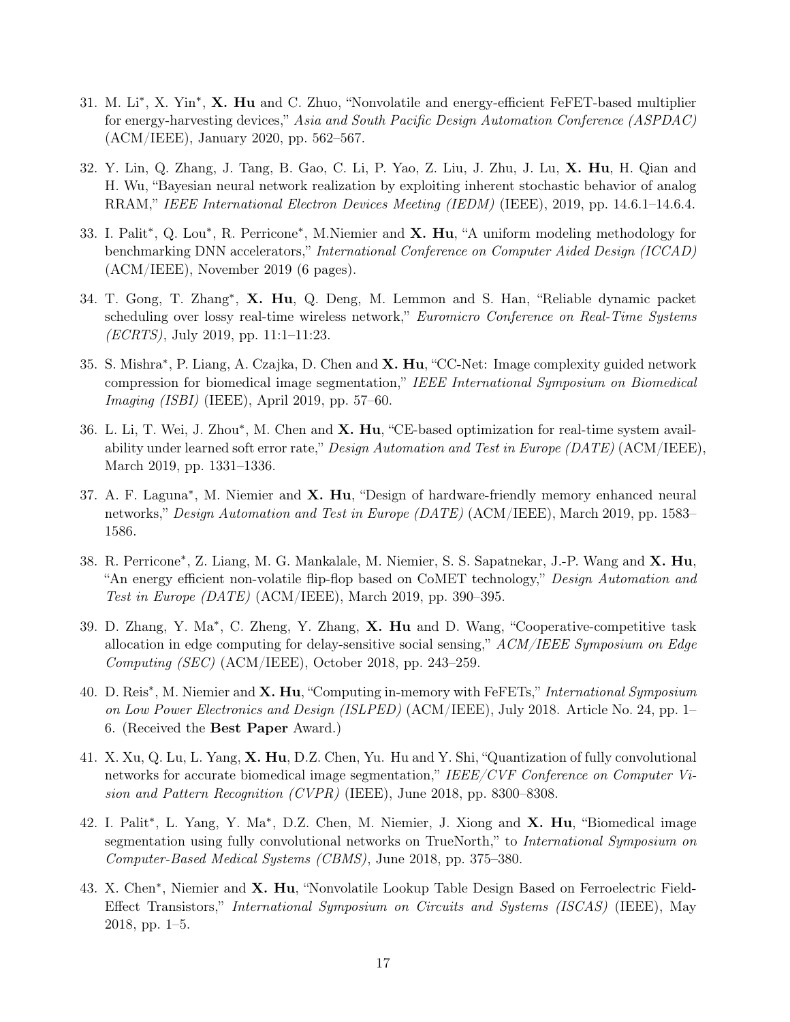- 31. M. Li<sup>\*</sup>, X. Yin<sup>\*</sup>, X. Hu and C. Zhuo, "Nonvolatile and energy-efficient FeFET-based multiplier for energy-harvesting devices," Asia and South Pacific Design Automation Conference (ASPDAC) (ACM/IEEE), January 2020, pp. 562–567.
- 32. Y. Lin, Q. Zhang, J. Tang, B. Gao, C. Li, P. Yao, Z. Liu, J. Zhu, J. Lu, X. Hu, H. Qian and H. Wu, "Bayesian neural network realization by exploiting inherent stochastic behavior of analog RRAM," IEEE International Electron Devices Meeting (IEDM) (IEEE), 2019, pp. 14.6.1–14.6.4.
- 33. I. Palit<sup>\*</sup>, Q. Lou<sup>\*</sup>, R. Perricone<sup>\*</sup>, M. Niemier and X. Hu, "A uniform modeling methodology for benchmarking DNN accelerators," International Conference on Computer Aided Design (ICCAD) (ACM/IEEE), November 2019 (6 pages).
- 34. T. Gong, T. Zhang<sup>\*</sup>, X. Hu, Q. Deng, M. Lemmon and S. Han, "Reliable dynamic packet scheduling over lossy real-time wireless network," Euromicro Conference on Real-Time Systems (ECRTS), July 2019, pp. 11:1–11:23.
- 35. S. Mishra<sup>\*</sup>, P. Liang, A. Czajka, D. Chen and X. Hu, "CC-Net: Image complexity guided network compression for biomedical image segmentation," IEEE International Symposium on Biomedical Imaging (ISBI) (IEEE), April 2019, pp. 57–60.
- 36. L. Li, T. Wei, J. Zhou\*, M. Chen and X. Hu, "CE-based optimization for real-time system availability under learned soft error rate," Design Automation and Test in Europe (DATE) (ACM/IEEE), March 2019, pp. 1331–1336.
- 37. A. F. Laguna<sup>\*</sup>, M. Niemier and X. Hu, "Design of hardware-friendly memory enhanced neural networks," Design Automation and Test in Europe (DATE) (ACM/IEEE), March 2019, pp. 1583– 1586.
- 38. R. Perricone<sup>\*</sup>, Z. Liang, M. G. Mankalale, M. Niemier, S. S. Sapatnekar, J.-P. Wang and X. Hu, "An energy efficient non-volatile flip-flop based on CoMET technology," Design Automation and Test in Europe (DATE) (ACM/IEEE), March 2019, pp. 390–395.
- 39. D. Zhang, Y. Ma<sup>\*</sup>, C. Zheng, Y. Zhang, X. Hu and D. Wang, "Cooperative-competitive task allocation in edge computing for delay-sensitive social sensing,"  $ACM/IEEE\ Symposium\ on\ Edge$ Computing (SEC) (ACM/IEEE), October 2018, pp. 243–259.
- 40. D. Reis<sup>\*</sup>, M. Niemier and **X. Hu**, "Computing in-memory with FeFETs," International Symposium on Low Power Electronics and Design (ISLPED) (ACM/IEEE), July 2018. Article No. 24, pp. 1– 6. (Received the Best Paper Award.)
- 41. X. Xu, Q. Lu, L. Yang, X. Hu, D.Z. Chen, Yu. Hu and Y. Shi, "Quantization of fully convolutional networks for accurate biomedical image segmentation," IEEE/CVF Conference on Computer Vision and Pattern Recognition (CVPR) (IEEE), June 2018, pp. 8300–8308.
- 42. I. Palit<sup>\*</sup>, L. Yang, Y. Ma<sup>\*</sup>, D.Z. Chen, M. Niemier, J. Xiong and X. Hu, "Biomedical image segmentation using fully convolutional networks on TrueNorth," to *International Symposium on* Computer-Based Medical Systems (CBMS), June 2018, pp. 375–380.
- 43. X. Chen<sup>\*</sup>, Niemier and X. Hu, "Nonvolatile Lookup Table Design Based on Ferroelectric Field-Effect Transistors," International Symposium on Circuits and Systems (ISCAS) (IEEE), May 2018, pp. 1–5.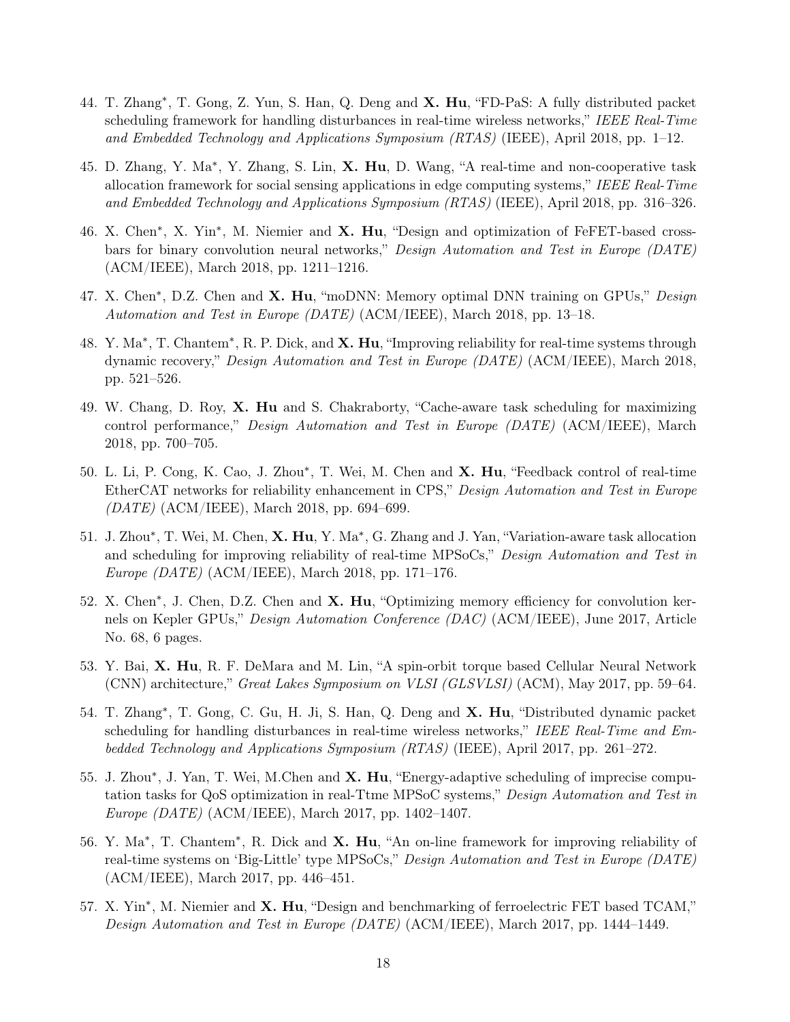- 44. T. Zhang<sup>\*</sup>, T. Gong, Z. Yun, S. Han, Q. Deng and X. Hu, "FD-PaS: A fully distributed packet scheduling framework for handling disturbances in real-time wireless networks," IEEE Real-Time and Embedded Technology and Applications Symposium (RTAS) (IEEE), April 2018, pp. 1–12.
- 45. D. Zhang, Y. Ma<sup>\*</sup>, Y. Zhang, S. Lin, X. Hu, D. Wang, "A real-time and non-cooperative task allocation framework for social sensing applications in edge computing systems," IEEE Real-Time and Embedded Technology and Applications Symposium (RTAS) (IEEE), April 2018, pp. 316–326.
- 46. X. Chen<sup>\*</sup>, X. Yin<sup>\*</sup>, M. Niemier and X. Hu, "Design and optimization of FeFET-based crossbars for binary convolution neural networks," Design Automation and Test in Europe (DATE) (ACM/IEEE), March 2018, pp. 1211–1216.
- 47. X. Chen<sup>\*</sup>, D.Z. Chen and X. Hu, "moDNN: Memory optimal DNN training on GPUs," Design Automation and Test in Europe (DATE) (ACM/IEEE), March 2018, pp. 13–18.
- 48. Y. Ma<sup>∗</sup>, T. Chantem<sup>∗</sup>, R. P. Dick, and X. Hu, "Improving reliability for real-time systems through dynamic recovery," Design Automation and Test in Europe (DATE) (ACM/IEEE), March 2018, pp. 521–526.
- 49. W. Chang, D. Roy, X. Hu and S. Chakraborty, "Cache-aware task scheduling for maximizing control performance," Design Automation and Test in Europe (DATE) (ACM/IEEE), March 2018, pp. 700–705.
- 50. L. Li, P. Cong, K. Cao, J. Zhou\*, T. Wei, M. Chen and X. Hu, "Feedback control of real-time EtherCAT networks for reliability enhancement in CPS," Design Automation and Test in Europe (DATE) (ACM/IEEE), March 2018, pp. 694–699.
- 51. J. Zhou\*, T. Wei, M. Chen, X. Hu, Y. Ma\*, G. Zhang and J. Yan, "Variation-aware task allocation and scheduling for improving reliability of real-time MPSoCs," Design Automation and Test in Europe (DATE) (ACM/IEEE), March 2018, pp. 171–176.
- 52. X. Chen<sup>\*</sup>, J. Chen, D.Z. Chen and **X. Hu**, "Optimizing memory efficiency for convolution kernels on Kepler GPUs," Design Automation Conference (DAC) (ACM/IEEE), June 2017, Article No. 68, 6 pages.
- 53. Y. Bai, X. Hu, R. F. DeMara and M. Lin, "A spin-orbit torque based Cellular Neural Network (CNN) architecture," Great Lakes Symposium on VLSI (GLSVLSI) (ACM), May 2017, pp. 59–64.
- 54. T. Zhang<sup>\*</sup>, T. Gong, C. Gu, H. Ji, S. Han, Q. Deng and X. Hu, "Distributed dynamic packet scheduling for handling disturbances in real-time wireless networks," IEEE Real-Time and Embedded Technology and Applications Symposium (RTAS) (IEEE), April 2017, pp. 261–272.
- 55. J. Zhou\*, J. Yan, T. Wei, M.Chen and X. Hu, "Energy-adaptive scheduling of imprecise computation tasks for QoS optimization in real-Ttme MPSoC systems," Design Automation and Test in Europe (DATE) (ACM/IEEE), March 2017, pp. 1402–1407.
- 56. Y. Ma<sup>\*</sup>, T. Chantem<sup>\*</sup>, R. Dick and **X. Hu**, "An on-line framework for improving reliability of real-time systems on 'Big-Little' type MPSoCs," Design Automation and Test in Europe (DATE) (ACM/IEEE), March 2017, pp. 446–451.
- 57. X. Yin<sup>\*</sup>, M. Niemier and X. Hu, "Design and benchmarking of ferroelectric FET based TCAM," Design Automation and Test in Europe (DATE) (ACM/IEEE), March 2017, pp. 1444–1449.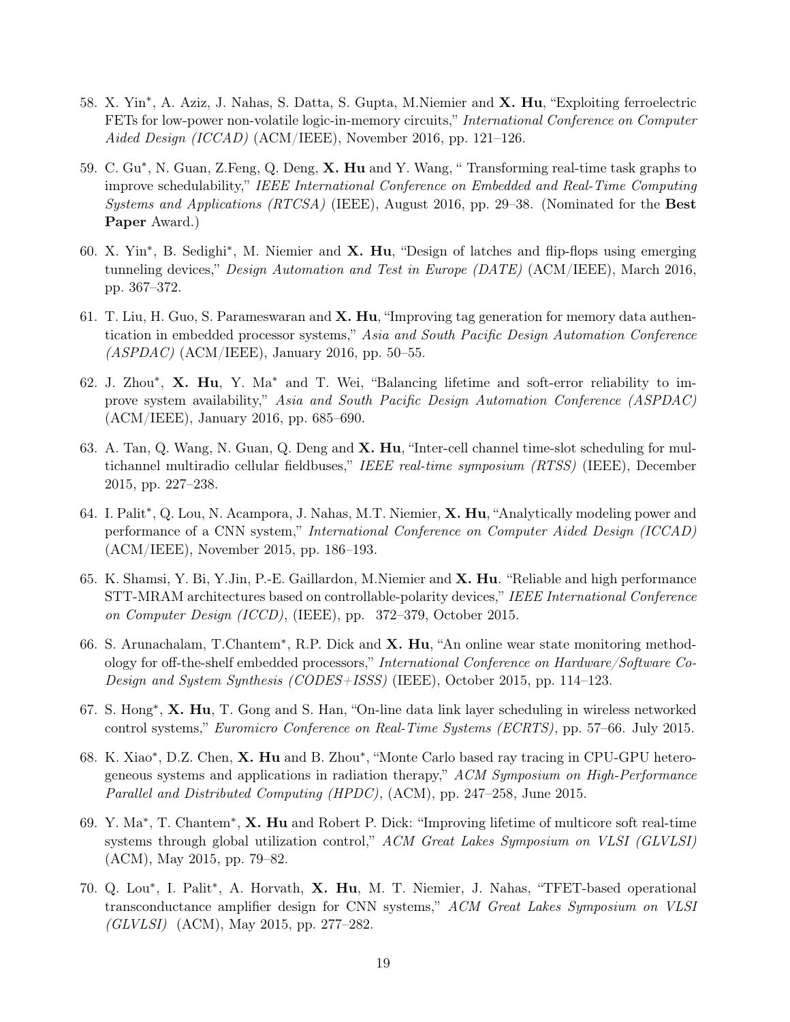- 58. X. Yin<sup>∗</sup>, A. Aziz, J. Nahas, S. Datta, S. Gupta, M. Niemier and X. Hu, "Exploiting ferroelectric FETs for low-power non-volatile logic-in-memory circuits," International Conference on Computer Aided Design (ICCAD) (ACM/IEEE), November 2016, pp. 121–126.
- 59. C. Gu<sup>∗</sup>, N. Guan, Z.Feng, Q. Deng, **X. Hu** and Y. Wang, "Transforming real-time task graphs to improve schedulability," IEEE International Conference on Embedded and Real-Time Computing Systems and Applications  $(RTCSA)$  (IEEE), August 2016, pp. 29–38. (Nominated for the **Best** Paper Award.)
- 60. X. Yin<sup>\*</sup>, B. Sedighi<sup>\*</sup>, M. Niemier and X. Hu, "Design of latches and flip-flops using emerging tunneling devices," Design Automation and Test in Europe (DATE) (ACM/IEEE), March 2016, pp. 367–372.
- 61. T. Liu, H. Guo, S. Parameswaran and X. Hu, "Improving tag generation for memory data authentication in embedded processor systems," Asia and South Pacific Design Automation Conference  $(ASPDAC)$  (ACM/IEEE), January 2016, pp. 50–55.
- 62. J. Zhou\*, X. Hu, Y. Ma\* and T. Wei, "Balancing lifetime and soft-error reliability to improve system availability," Asia and South Pacific Design Automation Conference (ASPDAC) (ACM/IEEE), January 2016, pp. 685–690.
- 63. A. Tan, Q. Wang, N. Guan, Q. Deng and X. Hu, "Inter-cell channel time-slot scheduling for multichannel multiradio cellular fieldbuses," IEEE real-time symposium (RTSS) (IEEE), December 2015, pp. 227–238.
- 64. I. Palit<sup>\*</sup>, Q. Lou, N. Acampora, J. Nahas, M.T. Niemier, X. Hu, "Analytically modeling power and performance of a CNN system," International Conference on Computer Aided Design (ICCAD) (ACM/IEEE), November 2015, pp. 186–193.
- 65. K. Shamsi, Y. Bi, Y.Jin, P.-E. Gaillardon, M.Niemier and X. Hu. "Reliable and high performance STT-MRAM architectures based on controllable-polarity devices," IEEE International Conference on Computer Design (ICCD), (IEEE), pp. 372–379, October 2015.
- 66. S. Arunachalam, T.Chantem<sup>\*</sup>, R.P. Dick and X. Hu, "An online wear state monitoring methodology for off-the-shelf embedded processors," International Conference on Hardware/Software Co-Design and System Synthesis (CODES+ISSS) (IEEE), October 2015, pp. 114–123.
- 67. S. Hong<sup>∗</sup>, X. Hu, T. Gong and S. Han, "On-line data link layer scheduling in wireless networked control systems," Euromicro Conference on Real-Time Systems (ECRTS), pp. 57–66. July 2015.
- 68. K. Xiao<sup>\*</sup>, D.Z. Chen, X. Hu and B. Zhou<sup>\*</sup>, "Monte Carlo based ray tracing in CPU-GPU heterogeneous systems and applications in radiation therapy," ACM Symposium on High-Performance Parallel and Distributed Computing (HPDC), (ACM), pp. 247–258, June 2015.
- 69. Y. Ma<sup>∗</sup>, T. Chantem<sup>∗</sup>, X. Hu and Robert P. Dick: "Improving lifetime of multicore soft real-time systems through global utilization control," ACM Great Lakes Symposium on VLSI (GLVLSI) (ACM), May 2015, pp. 79–82.
- 70. Q. Lou<sup>\*</sup>, I. Palit<sup>\*</sup>, A. Horvath, X. Hu, M. T. Niemier, J. Nahas, "TFET-based operational transconductance amplifier design for CNN systems," ACM Great Lakes Symposium on VLSI (GLVLSI) (ACM), May 2015, pp. 277–282.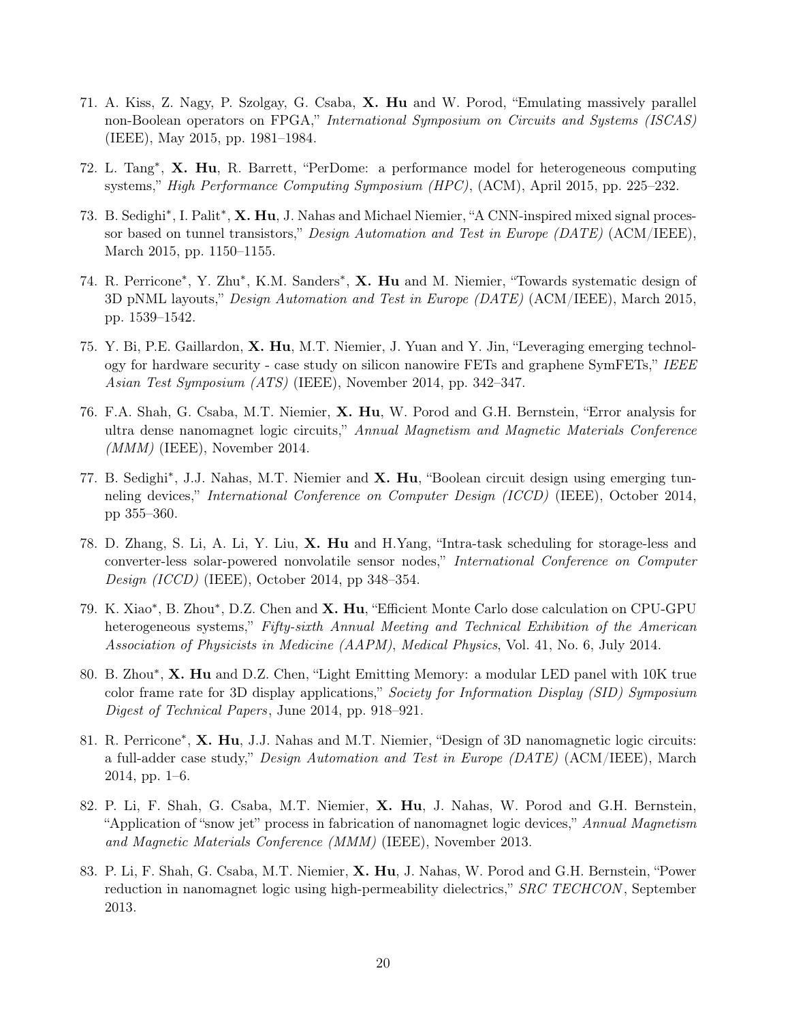- 71. A. Kiss, Z. Nagy, P. Szolgay, G. Csaba, X. Hu and W. Porod, "Emulating massively parallel non-Boolean operators on FPGA," International Symposium on Circuits and Systems (ISCAS) (IEEE), May 2015, pp. 1981–1984.
- 72. L. Tang<sup>\*</sup>, **X. Hu**, R. Barrett, "PerDome: a performance model for heterogeneous computing systems," High Performance Computing Symposium (HPC), (ACM), April 2015, pp. 225–232.
- 73. B. Sedighi<sup>\*</sup>, I. Palit<sup>\*</sup>, X. Hu, J. Nahas and Michael Niemier, "A CNN-inspired mixed signal processor based on tunnel transistors," Design Automation and Test in Europe (DATE) (ACM/IEEE), March 2015, pp. 1150–1155.
- 74. R. Perricone<sup>\*</sup>, Y. Zhu<sup>\*</sup>, K.M. Sanders<sup>\*</sup>, X. Hu and M. Niemier, "Towards systematic design of 3D pNML layouts," Design Automation and Test in Europe  $(DATE)$  (ACM/IEEE), March 2015, pp. 1539–1542.
- 75. Y. Bi, P.E. Gaillardon, X. Hu, M.T. Niemier, J. Yuan and Y. Jin, "Leveraging emerging technology for hardware security - case study on silicon nanowire FETs and graphene SymFETs," IEEE Asian Test Symposium (ATS) (IEEE), November 2014, pp. 342–347.
- 76. F.A. Shah, G. Csaba, M.T. Niemier, X. Hu, W. Porod and G.H. Bernstein, "Error analysis for ultra dense nanomagnet logic circuits," Annual Magnetism and Magnetic Materials Conference  $(MMM)$  (IEEE), November 2014.
- 77. B. Sedighi<sup>\*</sup>, J.J. Nahas, M.T. Niemier and X. Hu, "Boolean circuit design using emerging tunneling devices," International Conference on Computer Design (ICCD) (IEEE), October 2014, pp 355–360.
- 78. D. Zhang, S. Li, A. Li, Y. Liu, X. Hu and H.Yang, "Intra-task scheduling for storage-less and converter-less solar-powered nonvolatile sensor nodes," International Conference on Computer Design (ICCD) (IEEE), October 2014, pp 348–354.
- 79. K. Xiao<sup>\*</sup>, B. Zhou<sup>\*</sup>, D.Z. Chen and **X. Hu**, "Efficient Monte Carlo dose calculation on CPU-GPU heterogeneous systems," Fifty-sixth Annual Meeting and Technical Exhibition of the American Association of Physicists in Medicine (AAPM), Medical Physics, Vol. 41, No. 6, July 2014.
- 80. B. Zhou\*, X. Hu and D.Z. Chen, "Light Emitting Memory: a modular LED panel with 10K true color frame rate for 3D display applications," Society for Information Display (SID) Symposium Digest of Technical Papers, June 2014, pp. 918–921.
- 81. R. Perricone<sup>\*</sup>, X. Hu, J.J. Nahas and M.T. Niemier, "Design of 3D nanomagnetic logic circuits: a full-adder case study," Design Automation and Test in Europe (DATE) (ACM/IEEE), March 2014, pp. 1–6.
- 82. P. Li, F. Shah, G. Csaba, M.T. Niemier, X. Hu, J. Nahas, W. Porod and G.H. Bernstein, "Application of "snow jet" process in fabrication of nanomagnet logic devices," Annual Magnetism and Magnetic Materials Conference (MMM) (IEEE), November 2013.
- 83. P. Li, F. Shah, G. Csaba, M.T. Niemier, X. Hu, J. Nahas, W. Porod and G.H. Bernstein, "Power reduction in nanomagnet logic using high-permeability dielectrics," SRC TECHCON, September 2013.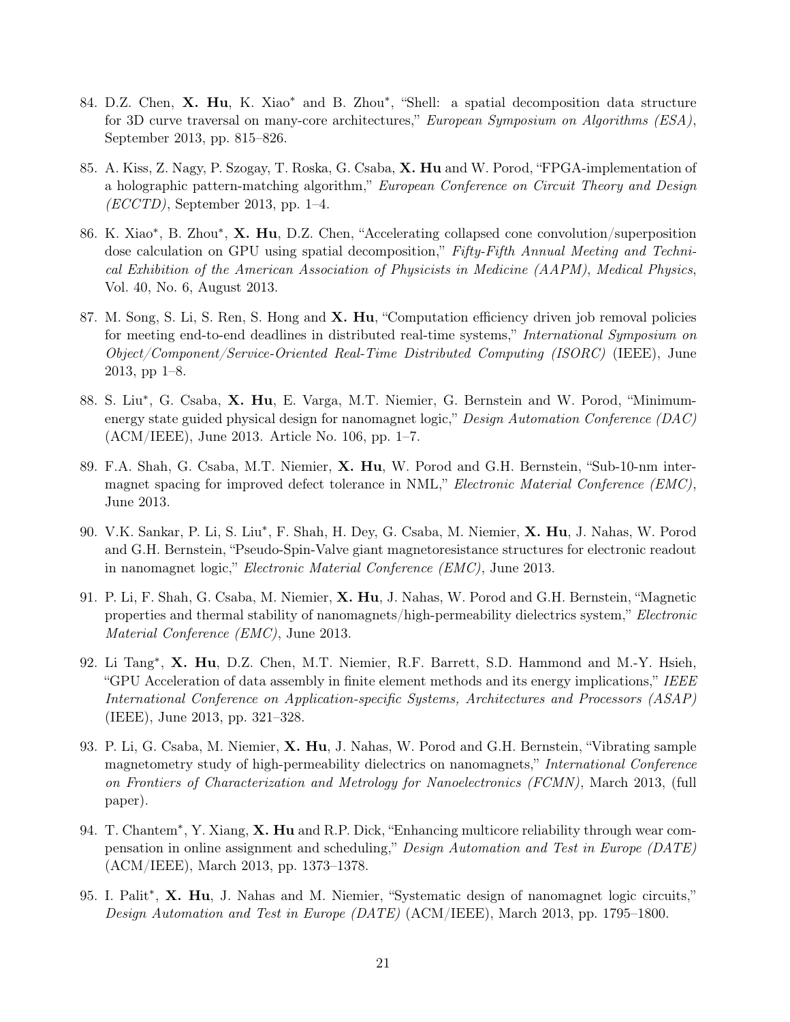- 84. D.Z. Chen, X. Hu, K. Xiao<sup>\*</sup> and B. Zhou<sup>\*</sup>, "Shell: a spatial decomposition data structure for 3D curve traversal on many-core architectures," European Symposium on Algorithms (ESA), September 2013, pp. 815–826.
- 85. A. Kiss, Z. Nagy, P. Szogay, T. Roska, G. Csaba, X. Hu and W. Porod, "FPGA-implementation of a holographic pattern-matching algorithm," European Conference on Circuit Theory and Design  $(ECCTD)$ , September 2013, pp. 1–4.
- 86. K. Xiao<sup>\*</sup>, B. Zhou<sup>\*</sup>, **X. Hu**, D.Z. Chen, "Accelerating collapsed cone convolution/superposition dose calculation on GPU using spatial decomposition," Fifty-Fifth Annual Meeting and Technical Exhibition of the American Association of Physicists in Medicine (AAPM), Medical Physics, Vol. 40, No. 6, August 2013.
- 87. M. Song, S. Li, S. Ren, S. Hong and X. Hu, "Computation efficiency driven job removal policies for meeting end-to-end deadlines in distributed real-time systems," International Symposium on Object/Component/Service-Oriented Real-Time Distributed Computing (ISORC) (IEEE), June 2013, pp 1–8.
- 88. S. Liu<sup>\*</sup>, G. Csaba, X. Hu, E. Varga, M.T. Niemier, G. Bernstein and W. Porod, "Minimumenergy state guided physical design for nanomagnet logic," Design Automation Conference (DAC) (ACM/IEEE), June 2013. Article No. 106, pp. 1–7.
- 89. F.A. Shah, G. Csaba, M.T. Niemier, X. Hu, W. Porod and G.H. Bernstein, "Sub-10-nm intermagnet spacing for improved defect tolerance in NML," Electronic Material Conference (EMC), June 2013.
- 90. V.K. Sankar, P. Li, S. Liu<sup>\*</sup>, F. Shah, H. Dey, G. Csaba, M. Niemier, X. Hu, J. Nahas, W. Porod and G.H. Bernstein, "Pseudo-Spin-Valve giant magnetoresistance structures for electronic readout in nanomagnet logic," Electronic Material Conference (EMC), June 2013.
- 91. P. Li, F. Shah, G. Csaba, M. Niemier, X. Hu, J. Nahas, W. Porod and G.H. Bernstein, "Magnetic properties and thermal stability of nanomagnets/high-permeability dielectrics system," Electronic Material Conference (EMC), June 2013.
- 92. Li Tang<sup>\*</sup>, X. Hu, D.Z. Chen, M.T. Niemier, R.F. Barrett, S.D. Hammond and M.-Y. Hsieh, "GPU Acceleration of data assembly in finite element methods and its energy implications," IEEE International Conference on Application-specific Systems, Architectures and Processors (ASAP) (IEEE), June 2013, pp. 321–328.
- 93. P. Li, G. Csaba, M. Niemier, X. Hu, J. Nahas, W. Porod and G.H. Bernstein, "Vibrating sample magnetometry study of high-permeability dielectrics on nanomagnets," International Conference on Frontiers of Characterization and Metrology for Nanoelectronics (FCMN), March 2013, (full paper).
- 94. T. Chantem<sup>\*</sup>, Y. Xiang, X. Hu and R.P. Dick, "Enhancing multicore reliability through wear compensation in online assignment and scheduling," Design Automation and Test in Europe (DATE) (ACM/IEEE), March 2013, pp. 1373–1378.
- 95. I. Palit<sup>\*</sup>, X. Hu, J. Nahas and M. Niemier, "Systematic design of nanomagnet logic circuits," Design Automation and Test in Europe (DATE) (ACM/IEEE), March 2013, pp. 1795–1800.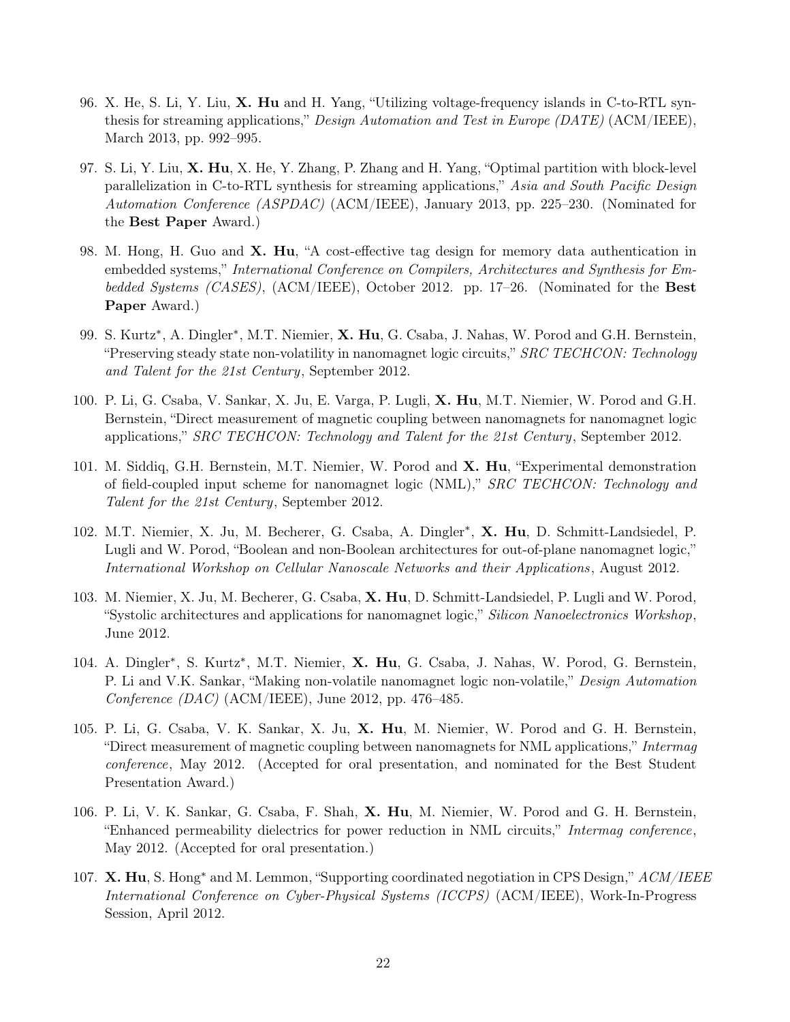- 96. X. He, S. Li, Y. Liu, X. Hu and H. Yang, "Utilizing voltage-frequency islands in C-to-RTL synthesis for streaming applications," Design Automation and Test in Europe (DATE) (ACM/IEEE), March 2013, pp. 992–995.
- 97. S. Li, Y. Liu, X. Hu, X. He, Y. Zhang, P. Zhang and H. Yang, "Optimal partition with block-level parallelization in C-to-RTL synthesis for streaming applications," Asia and South Pacific Design Automation Conference (ASPDAC) (ACM/IEEE), January 2013, pp. 225–230. (Nominated for the Best Paper Award.)
- 98. M. Hong, H. Guo and X. Hu, "A cost-effective tag design for memory data authentication in embedded systems," International Conference on Compilers, Architectures and Synthesis for Embedded Systems (CASES),  $(ACM/IEEE)$ , October 2012. pp. 17–26. (Nominated for the **Best** Paper Award.)
- 99. S. Kurtz<sup>\*</sup>, A. Dingler<sup>\*</sup>, M.T. Niemier, **X. Hu**, G. Csaba, J. Nahas, W. Porod and G.H. Bernstein, "Preserving steady state non-volatility in nanomagnet logic circuits," SRC TECHCON: Technology and Talent for the 21st Century, September 2012.
- 100. P. Li, G. Csaba, V. Sankar, X. Ju, E. Varga, P. Lugli, X. Hu, M.T. Niemier, W. Porod and G.H. Bernstein, "Direct measurement of magnetic coupling between nanomagnets for nanomagnet logic applications," SRC TECHCON: Technology and Talent for the 21st Century, September 2012.
- 101. M. Siddiq, G.H. Bernstein, M.T. Niemier, W. Porod and **X. Hu**, "Experimental demonstration of field-coupled input scheme for nanomagnet logic (NML)," SRC TECHCON: Technology and Talent for the 21st Century, September 2012.
- 102. M.T. Niemier, X. Ju, M. Becherer, G. Csaba, A. Dingler<sup>\*</sup>, X. Hu, D. Schmitt-Landsiedel, P. Lugli and W. Porod, "Boolean and non-Boolean architectures for out-of-plane nanomagnet logic," International Workshop on Cellular Nanoscale Networks and their Applications , August 2012.
- 103. M. Niemier, X. Ju, M. Becherer, G. Csaba, X. Hu, D. Schmitt-Landsiedel, P. Lugli and W. Porod, "Systolic architectures and applications for nanomagnet logic," Silicon Nanoelectronics Workshop, June 2012.
- 104. A. Dingler<sup>\*</sup>, S. Kurtz<sup>\*</sup>, M.T. Niemier, X. Hu, G. Csaba, J. Nahas, W. Porod, G. Bernstein, P. Li and V.K. Sankar, "Making non-volatile nanomagnet logic non-volatile," Design Automation Conference  $(DAC)$  (ACM/IEEE), June 2012, pp. 476–485.
- 105. P. Li, G. Csaba, V. K. Sankar, X. Ju, X. Hu, M. Niemier, W. Porod and G. H. Bernstein, "Direct measurement of magnetic coupling between nanomagnets for NML applications," Intermag conference, May 2012. (Accepted for oral presentation, and nominated for the Best Student Presentation Award.)
- 106. P. Li, V. K. Sankar, G. Csaba, F. Shah, X. Hu, M. Niemier, W. Porod and G. H. Bernstein, "Enhanced permeability dielectrics for power reduction in NML circuits," Intermag conference, May 2012. (Accepted for oral presentation.)
- 107. X. Hu, S. Hong<sup>\*</sup> and M. Lemmon, "Supporting coordinated negotiation in CPS Design,"  $ACM/IEEE$ International Conference on Cyber-Physical Systems (ICCPS) (ACM/IEEE), Work-In-Progress Session, April 2012.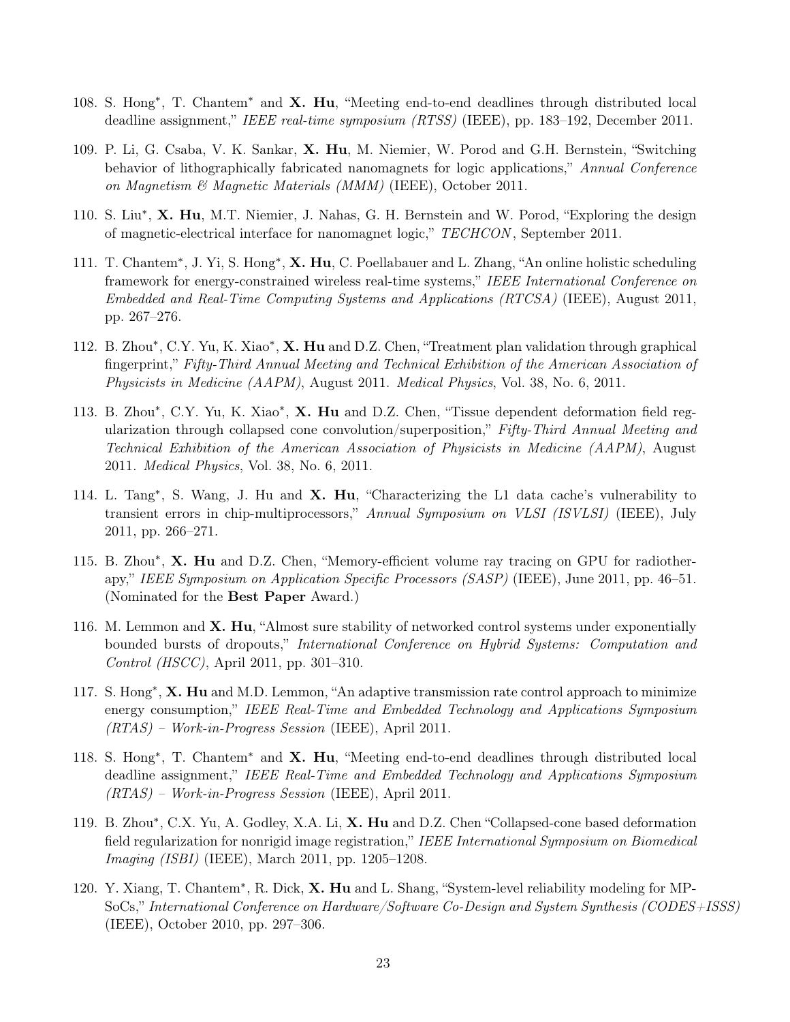- 108. S. Hong<sup>∗</sup> , T. Chantem<sup>∗</sup> and X. Hu, "Meeting end-to-end deadlines through distributed local deadline assignment," IEEE real-time symposium (RTSS) (IEEE), pp. 183–192, December 2011.
- 109. P. Li, G. Csaba, V. K. Sankar, X. Hu, M. Niemier, W. Porod and G.H. Bernstein, "Switching behavior of lithographically fabricated nanomagnets for logic applications," Annual Conference on Magnetism & Magnetic Materials (MMM) (IEEE), October 2011.
- 110. S. Liu<sup>\*</sup>, X. Hu, M.T. Niemier, J. Nahas, G. H. Bernstein and W. Porod, "Exploring the design of magnetic-electrical interface for nanomagnet logic," TECHCON , September 2011.
- 111. T. Chantem<sup>∗</sup>, J. Yi, S. Hong<sup>∗</sup>, **X. Hu**, C. Poellabauer and L. Zhang, "An online holistic scheduling framework for energy-constrained wireless real-time systems," IEEE International Conference on Embedded and Real-Time Computing Systems and Applications (RTCSA) (IEEE), August 2011, pp. 267–276.
- 112. B. Zhou\*, C.Y. Yu, K. Xiao\*, X. Hu and D.Z. Chen, "Treatment plan validation through graphical fingerprint," Fifty-Third Annual Meeting and Technical Exhibition of the American Association of Physicists in Medicine (AAPM), August 2011. Medical Physics, Vol. 38, No. 6, 2011.
- 113. B. Zhou\*, C.Y. Yu, K. Xiao\*, X. Hu and D.Z. Chen, "Tissue dependent deformation field regularization through collapsed cone convolution/superposition," Fifty-Third Annual Meeting and Technical Exhibition of the American Association of Physicists in Medicine (AAPM), August 2011. Medical Physics, Vol. 38, No. 6, 2011.
- 114. L. Tang<sup>\*</sup>, S. Wang, J. Hu and X. Hu, "Characterizing the L1 data cache's vulnerability to transient errors in chip-multiprocessors," Annual Symposium on VLSI (ISVLSI) (IEEE), July 2011, pp. 266–271.
- 115. B. Zhou\*, X. Hu and D.Z. Chen, "Memory-efficient volume ray tracing on GPU for radiotherapy," IEEE Symposium on Application Specific Processors (SASP) (IEEE), June 2011, pp. 46–51. (Nominated for the Best Paper Award.)
- 116. M. Lemmon and  $X$ . Hu, "Almost sure stability of networked control systems under exponentially bounded bursts of dropouts," International Conference on Hybrid Systems: Computation and Control (HSCC), April 2011, pp. 301–310.
- 117. S. Hong<sup>\*</sup>, **X. Hu** and M.D. Lemmon, "An adaptive transmission rate control approach to minimize energy consumption," IEEE Real-Time and Embedded Technology and Applications Symposium (RTAS) – Work-in-Progress Session (IEEE), April 2011.
- 118. S. Hong<sup>∗</sup> , T. Chantem<sup>∗</sup> and X. Hu, "Meeting end-to-end deadlines through distributed local deadline assignment," IEEE Real-Time and Embedded Technology and Applications Symposium (RTAS) – Work-in-Progress Session (IEEE), April 2011.
- 119. B. Zhou\*, C.X. Yu, A. Godley, X.A. Li, X. Hu and D.Z. Chen "Collapsed-cone based deformation field regularization for nonrigid image registration," IEEE International Symposium on Biomedical Imaging (ISBI) (IEEE), March 2011, pp. 1205–1208.
- 120. Y. Xiang, T. Chantem<sup>\*</sup>, R. Dick, X. Hu and L. Shang, "System-level reliability modeling for MP-SoCs," International Conference on Hardware/Software Co-Design and System Synthesis (CODES+ISSS) (IEEE), October 2010, pp. 297–306.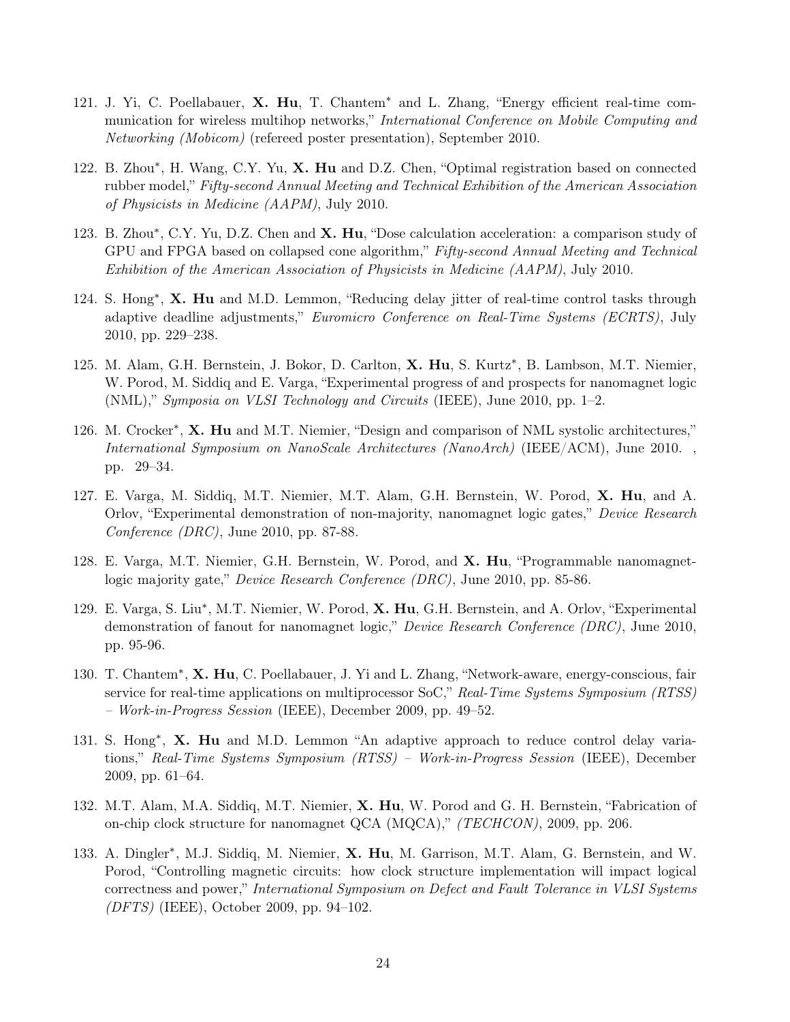- 121. J. Yi, C. Poellabauer, X. Hu, T. Chantem<sup>∗</sup> and L. Zhang, "Energy efficient real-time communication for wireless multihop networks," International Conference on Mobile Computing and Networking (Mobicom) (refereed poster presentation), September 2010.
- 122. B. Zhou\*, H. Wang, C.Y. Yu, X. Hu and D.Z. Chen, "Optimal registration based on connected rubber model," Fifty-second Annual Meeting and Technical Exhibition of the American Association of Physicists in Medicine (AAPM), July 2010.
- 123. B. Zhou\*, C.Y. Yu, D.Z. Chen and X. Hu, "Dose calculation acceleration: a comparison study of GPU and FPGA based on collapsed cone algorithm," Fifty-second Annual Meeting and Technical Exhibition of the American Association of Physicists in Medicine (AAPM), July 2010.
- 124. S. Hong<sup>\*</sup>, X. Hu and M.D. Lemmon, "Reducing delay jitter of real-time control tasks through adaptive deadline adjustments," Euromicro Conference on Real-Time Systems (ECRTS), July 2010, pp. 229–238.
- 125. M. Alam, G.H. Bernstein, J. Bokor, D. Carlton, X. Hu, S. Kurtz\*, B. Lambson, M.T. Niemier, W. Porod, M. Siddiq and E. Varga, "Experimental progress of and prospects for nanomagnet logic (NML)," Symposia on VLSI Technology and Circuits (IEEE), June 2010, pp. 1–2.
- 126. M. Crocker<sup>\*</sup>, X. Hu and M.T. Niemier, "Design and comparison of NML systolic architectures," International Symposium on NanoScale Architectures (NanoArch) (IEEE/ACM), June 2010. , pp. 29–34.
- 127. E. Varga, M. Siddiq, M.T. Niemier, M.T. Alam, G.H. Bernstein, W. Porod, X. Hu, and A. Orlov, "Experimental demonstration of non-majority, nanomagnet logic gates," Device Research Conference (DRC), June 2010, pp. 87-88.
- 128. E. Varga, M.T. Niemier, G.H. Bernstein, W. Porod, and X. Hu, "Programmable nanomagnetlogic majority gate," *Device Research Conference (DRC)*, June 2010, pp. 85-86.
- 129. E. Varga, S. Liu<sup>\*</sup>, M.T. Niemier, W. Porod, X. Hu, G.H. Bernstein, and A. Orlov, "Experimental demonstration of fanout for nanomagnet logic," Device Research Conference (DRC), June 2010, pp. 95-96.
- 130. T. Chantem<sup>\*</sup>, X. Hu, C. Poellabauer, J. Yi and L. Zhang, "Network-aware, energy-conscious, fair service for real-time applications on multiprocessor SoC," Real-Time Systems Symposium (RTSS) – Work-in-Progress Session (IEEE), December 2009, pp. 49–52.
- 131. S. Hong<sup>\*</sup>, X. Hu and M.D. Lemmon "An adaptive approach to reduce control delay variations," Real-Time Systems Symposium (RTSS) – Work-in-Progress Session (IEEE), December 2009, pp. 61–64.
- 132. M.T. Alam, M.A. Siddiq, M.T. Niemier, X. Hu, W. Porod and G. H. Bernstein, "Fabrication of on-chip clock structure for nanomagnet QCA (MQCA),"  $(TECHCON)$ , 2009, pp. 206.
- 133. A. Dingler<sup>\*</sup>, M.J. Siddiq, M. Niemier, X. Hu, M. Garrison, M.T. Alam, G. Bernstein, and W. Porod, "Controlling magnetic circuits: how clock structure implementation will impact logical correctness and power," International Symposium on Defect and Fault Tolerance in VLSI Systems (DFTS) (IEEE), October 2009, pp. 94–102.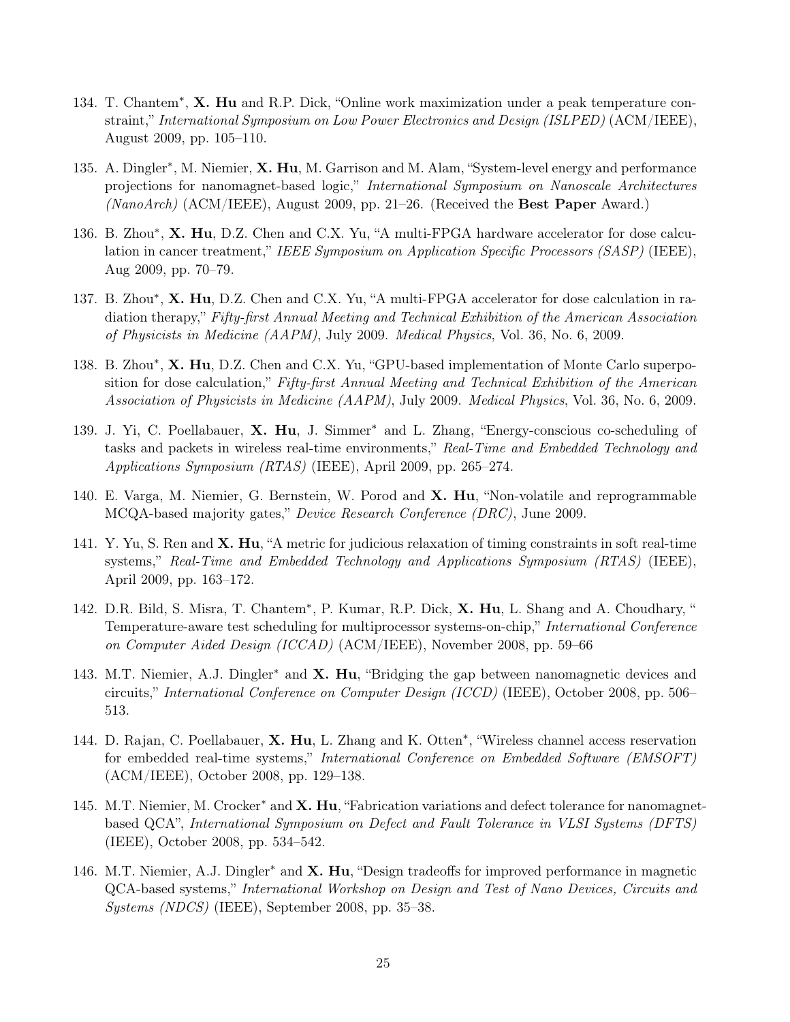- 134. T. Chantem<sup>\*</sup>, X. Hu and R.P. Dick, "Online work maximization under a peak temperature constraint," International Symposium on Low Power Electronics and Design (ISLPED) (ACM/IEEE), August 2009, pp. 105–110.
- 135. A. Dingler<sup>\*</sup>, M. Niemier, X. Hu, M. Garrison and M. Alam, "System-level energy and performance projections for nanomagnet-based logic," International Symposium on Nanoscale Architectures  $(NanoArch)$  (ACM/IEEE), August 2009, pp. 21–26. (Received the Best Paper Award.)
- 136. B. Zhou\*, X. Hu, D.Z. Chen and C.X. Yu, "A multi-FPGA hardware accelerator for dose calculation in cancer treatment," IEEE Symposium on Application Specific Processors (SASP) (IEEE), Aug 2009, pp. 70–79.
- 137. B. Zhou\*, X. Hu, D.Z. Chen and C.X. Yu, "A multi-FPGA accelerator for dose calculation in radiation therapy," Fifty-first Annual Meeting and Technical Exhibition of the American Association of Physicists in Medicine (AAPM), July 2009. Medical Physics, Vol. 36, No. 6, 2009.
- 138. B. Zhou\*, X. Hu, D.Z. Chen and C.X. Yu, "GPU-based implementation of Monte Carlo superposition for dose calculation," Fifty-first Annual Meeting and Technical Exhibition of the American Association of Physicists in Medicine (AAPM), July 2009. Medical Physics, Vol. 36, No. 6, 2009.
- 139. J. Yi, C. Poellabauer, X. Hu, J. Simmer<sup>∗</sup> and L. Zhang, "Energy-conscious co-scheduling of tasks and packets in wireless real-time environments," Real-Time and Embedded Technology and Applications Symposium (RTAS) (IEEE), April 2009, pp. 265–274.
- 140. E. Varga, M. Niemier, G. Bernstein, W. Porod and X. Hu, "Non-volatile and reprogrammable MCQA-based majority gates," Device Research Conference (DRC), June 2009.
- 141. Y. Yu, S. Ren and X. Hu, "A metric for judicious relaxation of timing constraints in soft real-time systems," Real-Time and Embedded Technology and Applications Symposium (RTAS) (IEEE), April 2009, pp. 163–172.
- 142. D.R. Bild, S. Misra, T. Chantem<sup>\*</sup>, P. Kumar, R.P. Dick, X. Hu, L. Shang and A. Choudhary, " Temperature-aware test scheduling for multiprocessor systems-on-chip," International Conference on Computer Aided Design (ICCAD) (ACM/IEEE), November 2008, pp. 59–66
- 143. M.T. Niemier, A.J. Dingler<sup>\*</sup> and **X. Hu**, "Bridging the gap between nanomagnetic devices and circuits," International Conference on Computer Design (ICCD) (IEEE), October 2008, pp. 506– 513.
- 144. D. Rajan, C. Poellabauer, X. Hu, L. Zhang and K. Otten<sup>\*</sup>, "Wireless channel access reservation for embedded real-time systems," International Conference on Embedded Software (EMSOFT) (ACM/IEEE), October 2008, pp. 129–138.
- 145. M.T. Niemier, M. Crocker<sup>\*</sup> and X. Hu, "Fabrication variations and defect tolerance for nanomagnetbased QCA", International Symposium on Defect and Fault Tolerance in VLSI Systems (DFTS) (IEEE), October 2008, pp. 534–542.
- 146. M.T. Niemier, A.J. Dingler<sup>\*</sup> and **X. Hu**, "Design tradeoffs for improved performance in magnetic QCA-based systems," International Workshop on Design and Test of Nano Devices, Circuits and Systems (NDCS) (IEEE), September 2008, pp. 35–38.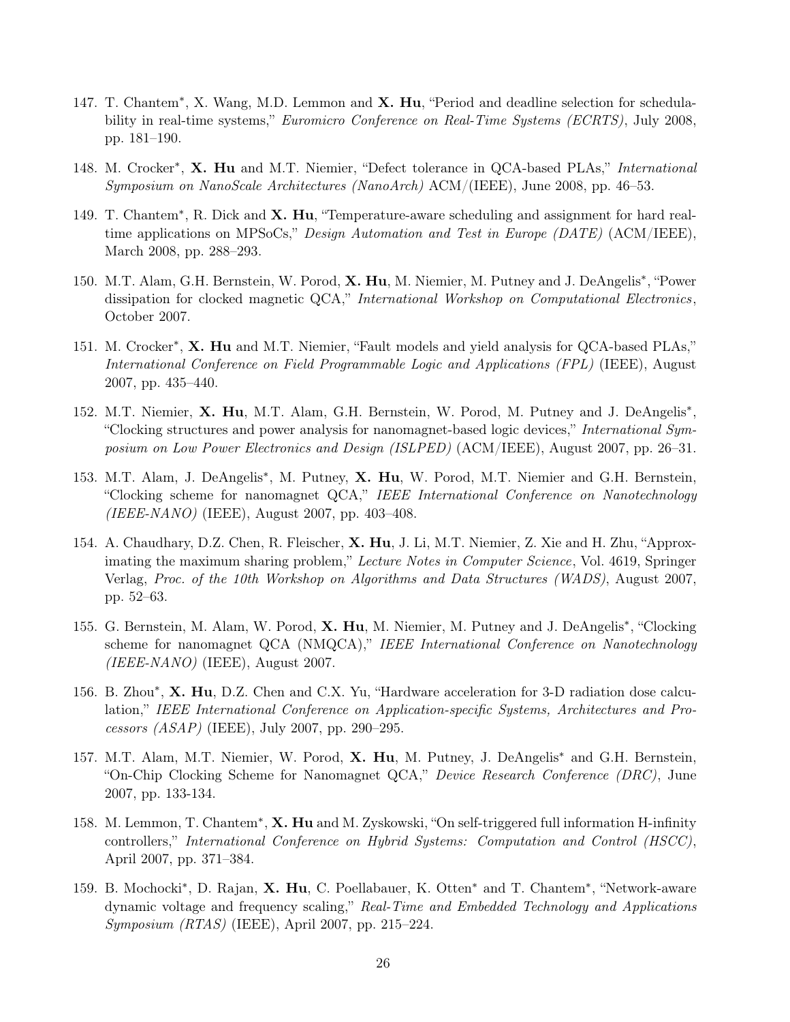- 147. T. Chantem<sup>\*</sup>, X. Wang, M.D. Lemmon and X. Hu, "Period and deadline selection for schedulability in real-time systems," Euromicro Conference on Real-Time Systems (ECRTS), July 2008, pp. 181–190.
- 148. M. Crocker<sup>\*</sup>, X. Hu and M.T. Niemier, "Defect tolerance in QCA-based PLAs," International Symposium on NanoScale Architectures (NanoArch) ACM/(IEEE), June 2008, pp. 46–53.
- 149. T. Chantem<sup>\*</sup>, R. Dick and X. Hu, "Temperature-aware scheduling and assignment for hard realtime applications on MPSoCs," Design Automation and Test in Europe (DATE) (ACM/IEEE), March 2008, pp. 288–293.
- 150. M.T. Alam, G.H. Bernstein, W. Porod, X. Hu, M. Niemier, M. Putney and J. DeAngelis\*, "Power dissipation for clocked magnetic QCA," International Workshop on Computational Electronics, October 2007.
- 151. M. Crocker<sup>\*</sup>, X. Hu and M.T. Niemier, "Fault models and yield analysis for QCA-based PLAs," International Conference on Field Programmable Logic and Applications (FPL) (IEEE), August 2007, pp. 435–440.
- 152. M.T. Niemier, X. Hu, M.T. Alam, G.H. Bernstein, W. Porod, M. Putney and J. DeAngelis<sup>\*</sup>, "Clocking structures and power analysis for nanomagnet-based logic devices," International Symposium on Low Power Electronics and Design (ISLPED) (ACM/IEEE), August 2007, pp. 26–31.
- 153. M.T. Alam, J. DeAngelis<sup>\*</sup>, M. Putney, X. Hu, W. Porod, M.T. Niemier and G.H. Bernstein, "Clocking scheme for nanomagnet QCA," IEEE International Conference on Nanotechnology (IEEE-NANO) (IEEE), August 2007, pp. 403–408.
- 154. A. Chaudhary, D.Z. Chen, R. Fleischer, X. Hu, J. Li, M.T. Niemier, Z. Xie and H. Zhu, "Approximating the maximum sharing problem," Lecture Notes in Computer Science, Vol. 4619, Springer Verlag, Proc. of the 10th Workshop on Algorithms and Data Structures (WADS), August 2007, pp. 52–63.
- 155. G. Bernstein, M. Alam, W. Porod, X. Hu, M. Niemier, M. Putney and J. DeAngelis\*, "Clocking scheme for nanomagnet QCA (NMQCA)," IEEE International Conference on Nanotechnology  $(IEEE-NANO)$  (IEEE), August 2007.
- 156. B. Zhou\*, X. Hu, D.Z. Chen and C.X. Yu, "Hardware acceleration for 3-D radiation dose calculation," IEEE International Conference on Application-specific Systems, Architectures and Processors (ASAP) (IEEE), July 2007, pp. 290–295.
- 157. M.T. Alam, M.T. Niemier, W. Porod, X. Hu, M. Putney, J. DeAngelis<sup>∗</sup> and G.H. Bernstein, "On-Chip Clocking Scheme for Nanomagnet QCA," Device Research Conference (DRC), June 2007, pp. 133-134.
- 158. M. Lemmon, T. Chantem<sup>\*</sup>, X. Hu and M. Zyskowski, "On self-triggered full information H-infinity controllers," International Conference on Hybrid Systems: Computation and Control (HSCC), April 2007, pp. 371–384.
- 159. B. Mochocki<sup>\*</sup>, D. Rajan, X. Hu, C. Poellabauer, K. Otten<sup>\*</sup> and T. Chantem<sup>\*</sup>, "Network-aware dynamic voltage and frequency scaling," Real-Time and Embedded Technology and Applications Symposium (RTAS) (IEEE), April 2007, pp. 215–224.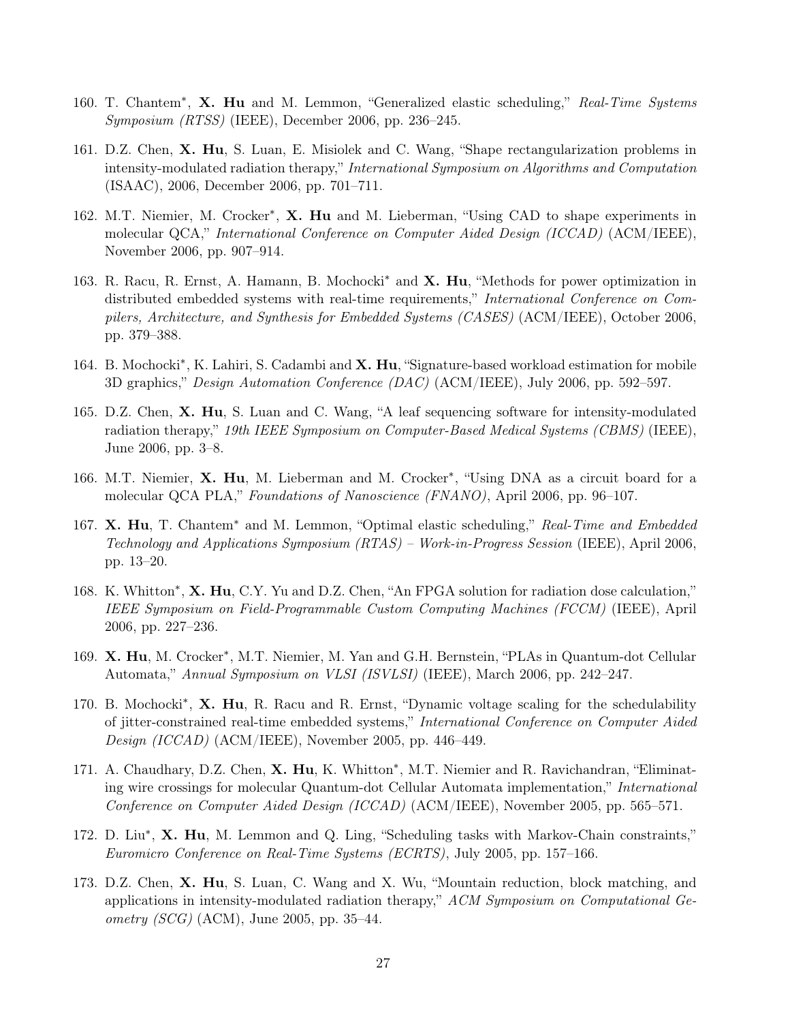- 160. T. Chantem<sup>\*</sup>, X. Hu and M. Lemmon, "Generalized elastic scheduling," Real-Time Systems Symposium (RTSS) (IEEE), December 2006, pp. 236–245.
- 161. D.Z. Chen, X. Hu, S. Luan, E. Misiolek and C. Wang, "Shape rectangularization problems in intensity-modulated radiation therapy," International Symposium on Algorithms and Computation (ISAAC), 2006, December 2006, pp. 701–711.
- 162. M.T. Niemier, M. Crocker<sup>\*</sup>, X. Hu and M. Lieberman, "Using CAD to shape experiments in molecular QCA," International Conference on Computer Aided Design (ICCAD) (ACM/IEEE), November 2006, pp. 907–914.
- 163. R. Racu, R. Ernst, A. Hamann, B. Mochocki<sup>\*</sup> and **X. Hu**, "Methods for power optimization in distributed embedded systems with real-time requirements," International Conference on Compilers, Architecture, and Synthesis for Embedded Systems (CASES) (ACM/IEEE), October 2006, pp. 379–388.
- 164. B. Mochocki<sup>\*</sup>, K. Lahiri, S. Cadambi and X. Hu, "Signature-based workload estimation for mobile 3D graphics," Design Automation Conference (DAC) (ACM/IEEE), July 2006, pp. 592–597.
- 165. D.Z. Chen, X. Hu, S. Luan and C. Wang, "A leaf sequencing software for intensity-modulated radiation therapy," 19th IEEE Symposium on Computer-Based Medical Systems (CBMS) (IEEE), June 2006, pp. 3–8.
- 166. M.T. Niemier, X. Hu, M. Lieberman and M. Crocker<sup>\*</sup>, "Using DNA as a circuit board for a molecular QCA PLA," Foundations of Nanoscience (FNANO), April 2006, pp. 96–107.
- 167. X. Hu, T. Chantem<sup>∗</sup> and M. Lemmon, "Optimal elastic scheduling," Real-Time and Embedded Technology and Applications Symposium (RTAS) – Work-in-Progress Session (IEEE), April 2006, pp. 13–20.
- 168. K. Whitton<sup>\*</sup>, X. Hu, C.Y. Yu and D.Z. Chen, "An FPGA solution for radiation dose calculation," IEEE Symposium on Field-Programmable Custom Computing Machines (FCCM) (IEEE), April 2006, pp. 227–236.
- 169. X. Hu, M. Crocker\*, M.T. Niemier, M. Yan and G.H. Bernstein, "PLAs in Quantum-dot Cellular Automata," Annual Symposium on VLSI (ISVLSI) (IEEE), March 2006, pp. 242–247.
- 170. B. Mochocki<sup>\*</sup>, X. Hu, R. Racu and R. Ernst, "Dynamic voltage scaling for the schedulability of jitter-constrained real-time embedded systems," International Conference on Computer Aided Design (ICCAD) (ACM/IEEE), November 2005, pp. 446–449.
- 171. A. Chaudhary, D.Z. Chen, X. Hu, K. Whitton<sup>\*</sup>, M.T. Niemier and R. Ravichandran, "Eliminating wire crossings for molecular Quantum-dot Cellular Automata implementation," International Conference on Computer Aided Design (ICCAD) (ACM/IEEE), November 2005, pp. 565–571.
- 172. D. Liu<sup>\*</sup>, X. Hu, M. Lemmon and Q. Ling, "Scheduling tasks with Markov-Chain constraints," Euromicro Conference on Real-Time Systems (ECRTS), July 2005, pp. 157–166.
- 173. D.Z. Chen, X. Hu, S. Luan, C. Wang and X. Wu, "Mountain reduction, block matching, and applications in intensity-modulated radiation therapy," ACM Symposium on Computational Ge*ometry (SCG)* (ACM), June 2005, pp. 35–44.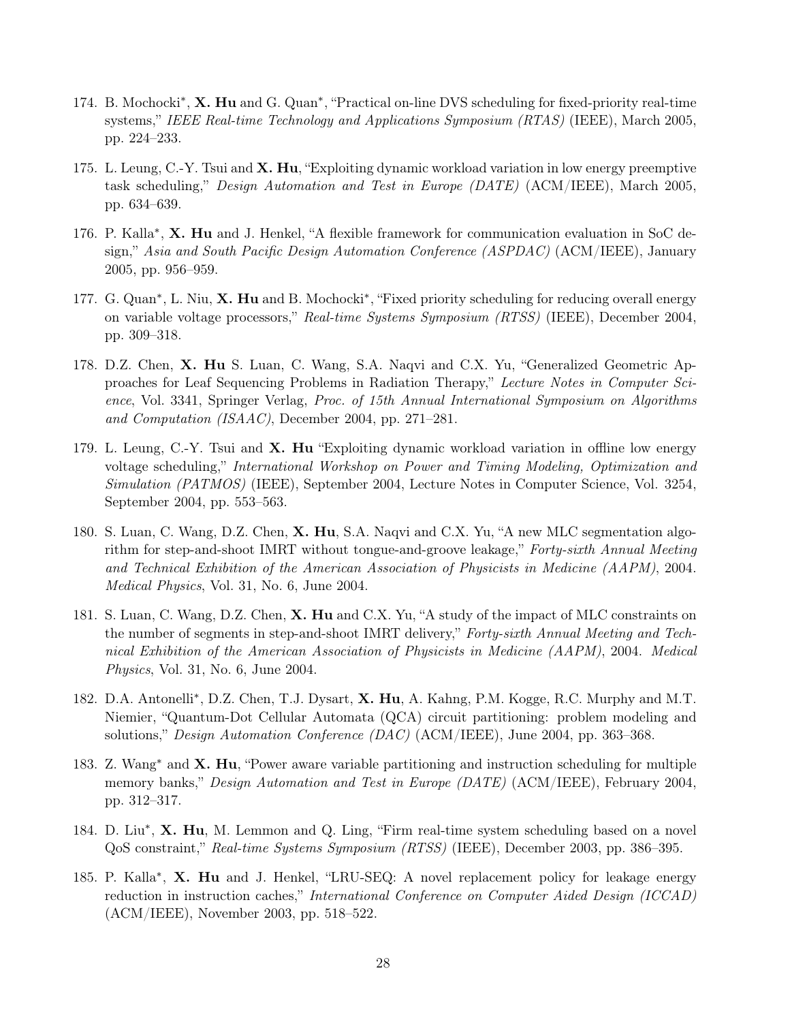- 174. B. Mochocki<sup>\*</sup>, X. Hu and G. Quan<sup>\*</sup>, "Practical on-line DVS scheduling for fixed-priority real-time systems," IEEE Real-time Technology and Applications Symposium (RTAS) (IEEE), March 2005, pp. 224–233.
- 175. L. Leung, C.-Y. Tsui and **X. Hu**, "Exploiting dynamic workload variation in low energy preemptive task scheduling," Design Automation and Test in Europe (DATE) (ACM/IEEE), March 2005, pp. 634–639.
- 176. P. Kalla<sup>\*</sup>, X. Hu and J. Henkel, "A flexible framework for communication evaluation in SoC design," Asia and South Pacific Design Automation Conference (ASPDAC) (ACM/IEEE), January 2005, pp. 956–959.
- 177. G. Quan<sup>\*</sup>, L. Niu, X. Hu and B. Mochocki<sup>\*</sup>, "Fixed priority scheduling for reducing overall energy on variable voltage processors," Real-time Systems Symposium (RTSS) (IEEE), December 2004, pp. 309–318.
- 178. D.Z. Chen, X. Hu S. Luan, C. Wang, S.A. Naqvi and C.X. Yu, "Generalized Geometric Approaches for Leaf Sequencing Problems in Radiation Therapy," Lecture Notes in Computer Science, Vol. 3341, Springer Verlag, Proc. of 15th Annual International Symposium on Algorithms and Computation (ISAAC), December 2004, pp. 271–281.
- 179. L. Leung, C.-Y. Tsui and **X. Hu** "Exploiting dynamic workload variation in offline low energy voltage scheduling," International Workshop on Power and Timing Modeling, Optimization and Simulation (PATMOS) (IEEE), September 2004, Lecture Notes in Computer Science, Vol. 3254, September 2004, pp. 553–563.
- 180. S. Luan, C. Wang, D.Z. Chen, X. Hu, S.A. Naqvi and C.X. Yu, "A new MLC segmentation algorithm for step-and-shoot IMRT without tongue-and-groove leakage," Forty-sixth Annual Meeting and Technical Exhibition of the American Association of Physicists in Medicine (AAPM), 2004. Medical Physics, Vol. 31, No. 6, June 2004.
- 181. S. Luan, C. Wang, D.Z. Chen, X. Hu and C.X. Yu, "A study of the impact of MLC constraints on the number of segments in step-and-shoot IMRT delivery," Forty-sixth Annual Meeting and Technical Exhibition of the American Association of Physicists in Medicine (AAPM), 2004. Medical Physics, Vol. 31, No. 6, June 2004.
- 182. D.A. Antonelli<sup>\*</sup>, D.Z. Chen, T.J. Dysart, X. Hu, A. Kahng, P.M. Kogge, R.C. Murphy and M.T. Niemier, "Quantum-Dot Cellular Automata (QCA) circuit partitioning: problem modeling and solutions," Design Automation Conference (DAC) (ACM/IEEE), June 2004, pp. 363–368.
- 183. Z. Wang<sup>∗</sup> and X. Hu, "Power aware variable partitioning and instruction scheduling for multiple memory banks," *Design Automation and Test in Europe (DATE)* (ACM/IEEE), February 2004, pp. 312–317.
- 184. D. Liu<sup>\*</sup>, X. Hu, M. Lemmon and Q. Ling, "Firm real-time system scheduling based on a novel QoS constraint," Real-time Systems Symposium (RTSS) (IEEE), December 2003, pp. 386–395.
- 185. P. Kalla<sup>\*</sup>, X. Hu and J. Henkel, "LRU-SEQ: A novel replacement policy for leakage energy reduction in instruction caches," International Conference on Computer Aided Design (ICCAD) (ACM/IEEE), November 2003, pp. 518–522.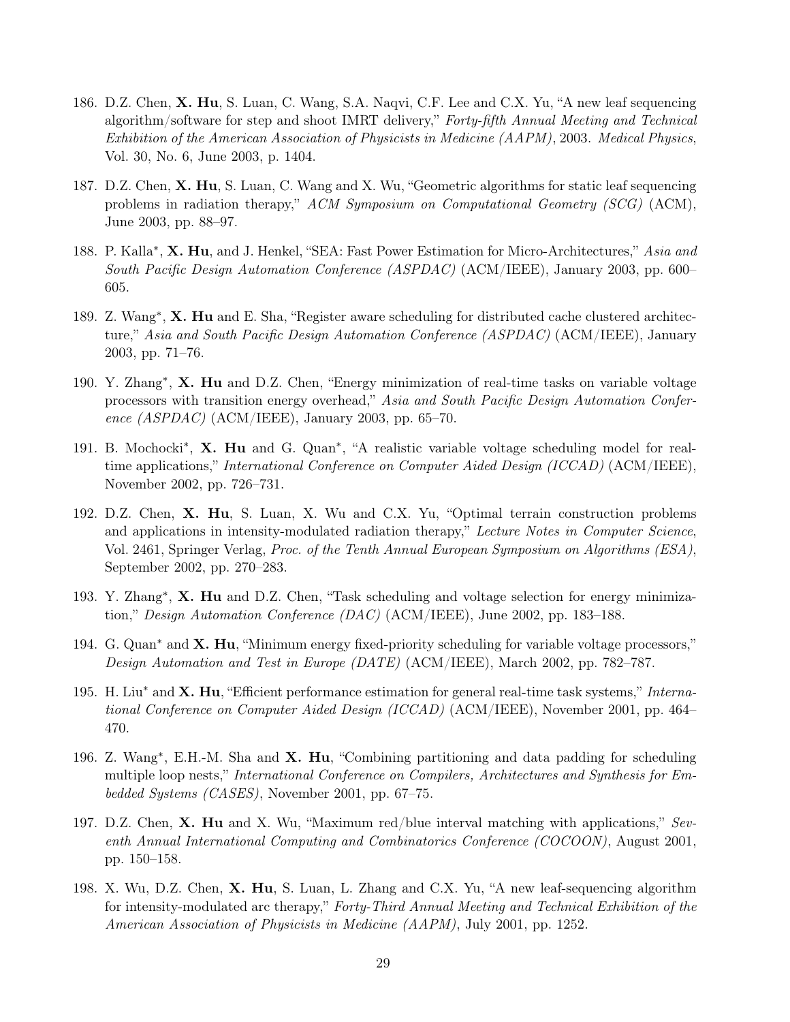- 186. D.Z. Chen, X. Hu, S. Luan, C. Wang, S.A. Naqvi, C.F. Lee and C.X. Yu, "A new leaf sequencing algorithm/software for step and shoot IMRT delivery," Forty-fifth Annual Meeting and Technical Exhibition of the American Association of Physicists in Medicine (AAPM), 2003. Medical Physics, Vol. 30, No. 6, June 2003, p. 1404.
- 187. D.Z. Chen, X. Hu, S. Luan, C. Wang and X. Wu, "Geometric algorithms for static leaf sequencing problems in radiation therapy," ACM Symposium on Computational Geometry (SCG) (ACM), June 2003, pp. 88–97.
- 188. P. Kalla<sup>\*</sup>, X. Hu, and J. Henkel, "SEA: Fast Power Estimation for Micro-Architectures," Asia and South Pacific Design Automation Conference (ASPDAC) (ACM/IEEE), January 2003, pp. 600– 605.
- 189. Z. Wang<sup>\*</sup>, X. Hu and E. Sha, "Register aware scheduling for distributed cache clustered architecture," Asia and South Pacific Design Automation Conference (ASPDAC) (ACM/IEEE), January 2003, pp. 71–76.
- 190. Y. Zhang<sup>\*</sup>, X. Hu and D.Z. Chen, "Energy minimization of real-time tasks on variable voltage processors with transition energy overhead," Asia and South Pacific Design Automation Conference (ASPDAC) (ACM/IEEE), January 2003, pp. 65–70.
- 191. B. Mochocki<sup>\*</sup>, X. Hu and G. Quan<sup>\*</sup>, "A realistic variable voltage scheduling model for realtime applications," International Conference on Computer Aided Design (ICCAD) (ACM/IEEE), November 2002, pp. 726–731.
- 192. D.Z. Chen, X. Hu, S. Luan, X. Wu and C.X. Yu, "Optimal terrain construction problems and applications in intensity-modulated radiation therapy," Lecture Notes in Computer Science, Vol. 2461, Springer Verlag, Proc. of the Tenth Annual European Symposium on Algorithms (ESA), September 2002, pp. 270–283.
- 193. Y. Zhang<sup>\*</sup>, X. Hu and D.Z. Chen, "Task scheduling and voltage selection for energy minimization," Design Automation Conference (DAC) (ACM/IEEE), June 2002, pp. 183–188.
- 194. G. Quan<sup>\*</sup> and **X. Hu**, "Minimum energy fixed-priority scheduling for variable voltage processors," Design Automation and Test in Europe (DATE) (ACM/IEEE), March 2002, pp. 782–787.
- 195. H. Liu<sup>∗</sup> and X. Hu, "Efficient performance estimation for general real-time task systems," International Conference on Computer Aided Design (ICCAD) (ACM/IEEE), November 2001, pp. 464– 470.
- 196. Z. Wang<sup>\*</sup>, E.H.-M. Sha and X. Hu, "Combining partitioning and data padding for scheduling multiple loop nests," International Conference on Compilers, Architectures and Synthesis for Embedded Systems (CASES), November 2001, pp. 67–75.
- 197. D.Z. Chen, X. Hu and X. Wu, "Maximum red/blue interval matching with applications," Seventh Annual International Computing and Combinatorics Conference (COCOON), August 2001, pp. 150–158.
- 198. X. Wu, D.Z. Chen, X. Hu, S. Luan, L. Zhang and C.X. Yu, "A new leaf-sequencing algorithm for intensity-modulated arc therapy," Forty-Third Annual Meeting and Technical Exhibition of the American Association of Physicists in Medicine (AAPM), July 2001, pp. 1252.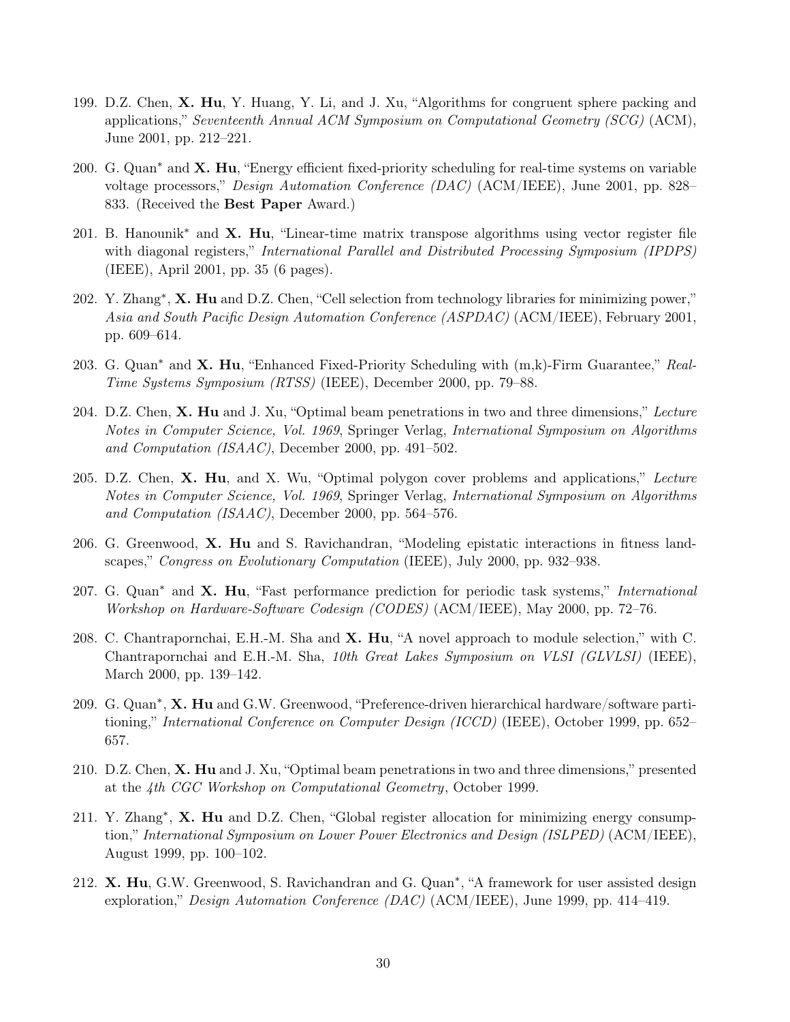- 199. D.Z. Chen, X. Hu, Y. Huang, Y. Li, and J. Xu, "Algorithms for congruent sphere packing and applications," Seventeenth Annual ACM Symposium on Computational Geometry (SCG) (ACM), June 2001, pp. 212–221.
- 200. G. Quan<sup> $*$ </sup> and  $X$ . Hu, "Energy efficient fixed-priority scheduling for real-time systems on variable voltage processors," Design Automation Conference (DAC) (ACM/IEEE), June 2001, pp. 828– 833. (Received the Best Paper Award.)
- 201. B. Hanounik<sup>∗</sup> and X. Hu, "Linear-time matrix transpose algorithms using vector register file with diagonal registers," *International Parallel and Distributed Processing Symposium (IPDPS)* (IEEE), April 2001, pp. 35 (6 pages).
- 202. Y. Zhang<sup>∗</sup>, X. Hu and D.Z. Chen, "Cell selection from technology libraries for minimizing power," Asia and South Pacific Design Automation Conference (ASPDAC) (ACM/IEEE), February 2001, pp. 609–614.
- 203. G. Quan<sup>\*</sup> and **X. Hu**, "Enhanced Fixed-Priority Scheduling with  $(m,k)$ -Firm Guarantee," Real-Time Systems Symposium (RTSS) (IEEE), December 2000, pp. 79–88.
- 204. D.Z. Chen, X. Hu and J. Xu, "Optimal beam penetrations in two and three dimensions," Lecture Notes in Computer Science, Vol. 1969, Springer Verlag, International Symposium on Algorithms and Computation (ISAAC), December 2000, pp. 491–502.
- 205. D.Z. Chen, X. Hu, and X. Wu, "Optimal polygon cover problems and applications," Lecture Notes in Computer Science, Vol. 1969, Springer Verlag, International Symposium on Algorithms and Computation (ISAAC), December 2000, pp. 564–576.
- 206. G. Greenwood, X. Hu and S. Ravichandran, "Modeling epistatic interactions in fitness landscapes," Congress on Evolutionary Computation (IEEE), July 2000, pp. 932–938.
- 207. G. Quan<sup>\*</sup> and **X. Hu**, "Fast performance prediction for periodic task systems," International Workshop on Hardware-Software Codesign (CODES) (ACM/IEEE), May 2000, pp. 72–76.
- 208. C. Chantrapornchai, E.H.-M. Sha and X. Hu, "A novel approach to module selection," with C. Chantrapornchai and E.H.-M. Sha, 10th Great Lakes Symposium on VLSI (GLVLSI) (IEEE), March 2000, pp. 139–142.
- 209. G. Quan<sup>\*</sup>, **X. Hu** and G.W. Greenwood, "Preference-driven hierarchical hardware/software partitioning," International Conference on Computer Design (ICCD) (IEEE), October 1999, pp. 652– 657.
- 210. D.Z. Chen, X. Hu and J. Xu, "Optimal beam penetrations in two and three dimensions," presented at the 4th CGC Workshop on Computational Geometry, October 1999.
- 211. Y. Zhang<sup>\*</sup>, X. Hu and D.Z. Chen, "Global register allocation for minimizing energy consumption," International Symposium on Lower Power Electronics and Design (ISLPED) (ACM/IEEE), August 1999, pp. 100–102.
- 212. X. Hu, G.W. Greenwood, S. Ravichandran and G. Quan<sup>\*</sup>, "A framework for user assisted design exploration," Design Automation Conference (DAC) (ACM/IEEE), June 1999, pp. 414–419.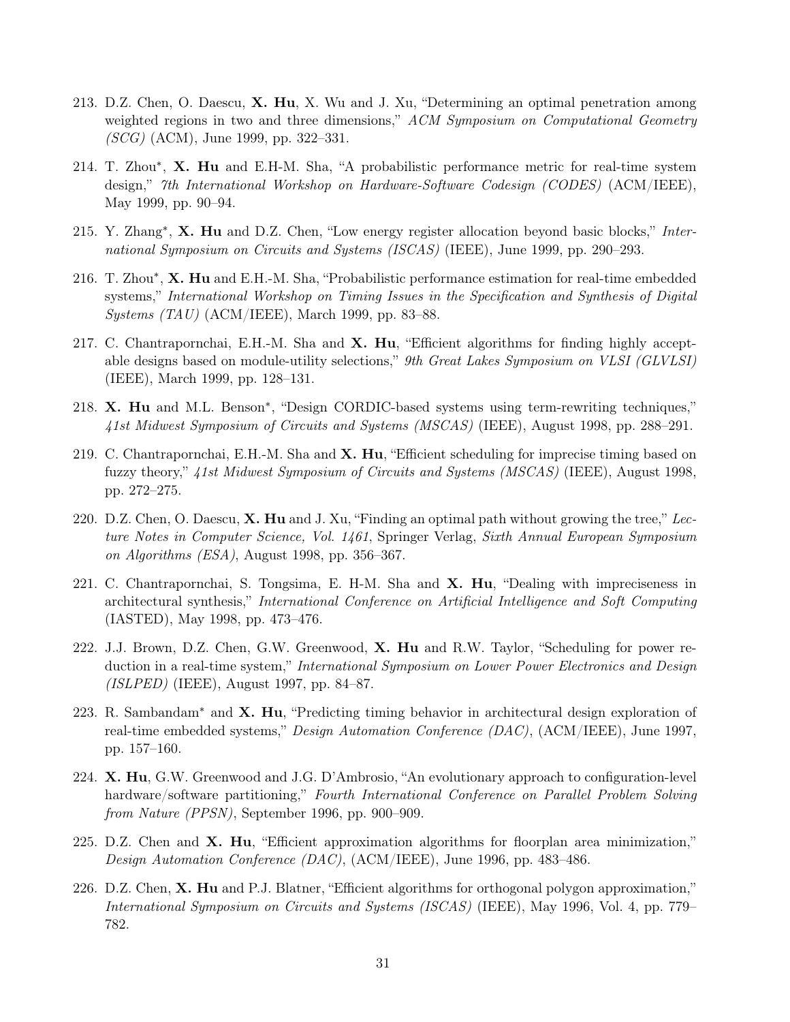- 213. D.Z. Chen, O. Daescu, X. Hu, X. Wu and J. Xu, "Determining an optimal penetration among weighted regions in two and three dimensions," ACM Symposium on Computational Geometry (SCG) (ACM), June 1999, pp. 322–331.
- 214. T. Zhou\*, X. Hu and E.H-M. Sha, "A probabilistic performance metric for real-time system design," 7th International Workshop on Hardware-Software Codesign (CODES) (ACM/IEEE), May 1999, pp. 90–94.
- 215. Y. Zhang<sup>\*</sup>, X. Hu and D.Z. Chen, "Low energy register allocation beyond basic blocks," International Symposium on Circuits and Systems (ISCAS) (IEEE), June 1999, pp. 290–293.
- 216. T. Zhou\*, X. Hu and E.H.-M. Sha, "Probabilistic performance estimation for real-time embedded systems," International Workshop on Timing Issues in the Specification and Synthesis of Digital Systems (TAU) (ACM/IEEE), March 1999, pp. 83–88.
- 217. C. Chantrapornchai, E.H.-M. Sha and X. Hu, "Efficient algorithms for finding highly acceptable designs based on module-utility selections," 9th Great Lakes Symposium on VLSI (GLVLSI) (IEEE), March 1999, pp. 128–131.
- 218. X. Hu and M.L. Benson<sup>\*</sup>, "Design CORDIC-based systems using term-rewriting techniques," 41st Midwest Symposium of Circuits and Systems (MSCAS) (IEEE), August 1998, pp. 288–291.
- 219. C. Chantrapornchai, E.H.-M. Sha and X. Hu, "Efficient scheduling for imprecise timing based on fuzzy theory," 41st Midwest Symposium of Circuits and Systems (MSCAS) (IEEE), August 1998, pp. 272–275.
- 220. D.Z. Chen, O. Daescu,  $X$ . Hu and J. Xu, "Finding an optimal path without growing the tree," Lecture Notes in Computer Science, Vol. 1461, Springer Verlag, Sixth Annual European Symposium on Algorithms (ESA), August 1998, pp. 356–367.
- 221. C. Chantrapornchai, S. Tongsima, E. H-M. Sha and X. Hu, "Dealing with impreciseness in architectural synthesis," International Conference on Artificial Intelligence and Soft Computing (IASTED), May 1998, pp. 473–476.
- 222. J.J. Brown, D.Z. Chen, G.W. Greenwood, X. Hu and R.W. Taylor, "Scheduling for power reduction in a real-time system," International Symposium on Lower Power Electronics and Design  $(ISLPED)$  (IEEE), August 1997, pp. 84–87.
- 223. R. Sambandam<sup>∗</sup> and X. Hu, "Predicting timing behavior in architectural design exploration of real-time embedded systems," *Design Automation Conference (DAC)*, (ACM/IEEE), June 1997, pp. 157–160.
- 224. X. Hu, G.W. Greenwood and J.G. D'Ambrosio, "An evolutionary approach to configuration-level hardware/software partitioning," Fourth International Conference on Parallel Problem Solving from Nature (PPSN), September 1996, pp. 900–909.
- 225. D.Z. Chen and  $X$ . Hu, "Efficient approximation algorithms for floorplan area minimization," Design Automation Conference (DAC), (ACM/IEEE), June 1996, pp. 483–486.
- 226. D.Z. Chen, X. Hu and P.J. Blatner, "Efficient algorithms for orthogonal polygon approximation," International Symposium on Circuits and Systems (ISCAS) (IEEE), May 1996, Vol. 4, pp. 779– 782.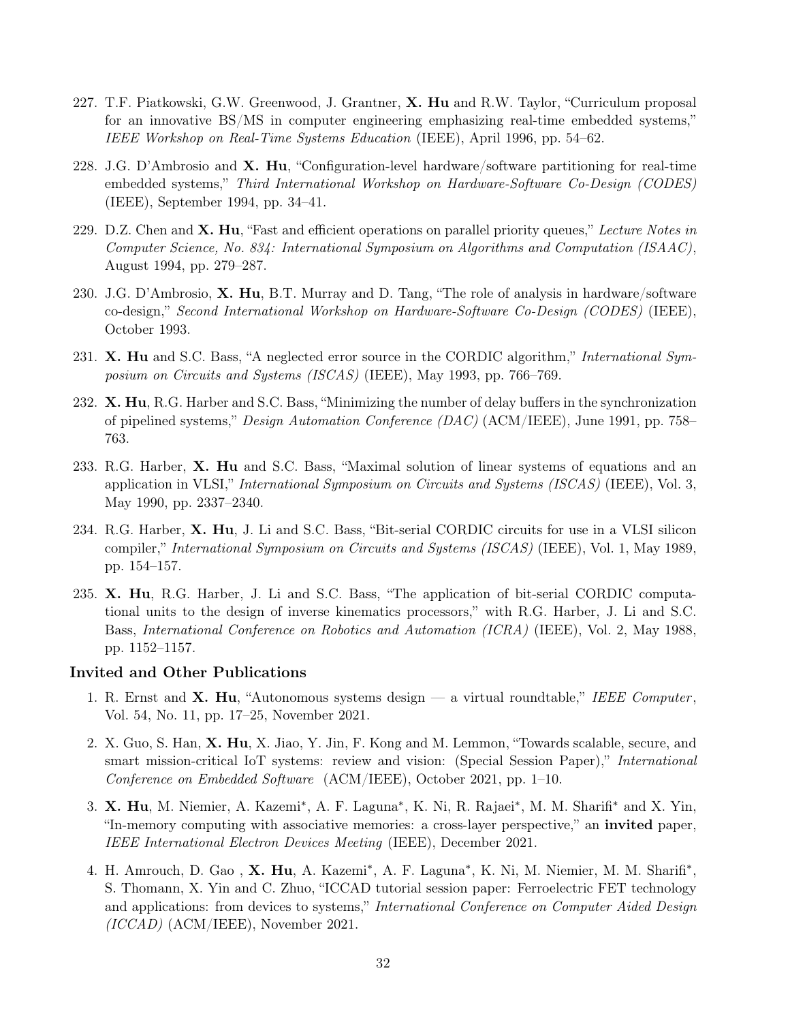- 227. T.F. Piatkowski, G.W. Greenwood, J. Grantner, X. Hu and R.W. Taylor, "Curriculum proposal for an innovative BS/MS in computer engineering emphasizing real-time embedded systems," IEEE Workshop on Real-Time Systems Education (IEEE), April 1996, pp. 54–62.
- 228. J.G. D'Ambrosio and  $X$ . Hu, "Configuration-level hardware/software partitioning for real-time embedded systems," Third International Workshop on Hardware-Software Co-Design (CODES) (IEEE), September 1994, pp. 34–41.
- 229. D.Z. Chen and  $X$ . Hu, "Fast and efficient operations on parallel priority queues," Lecture Notes in Computer Science, No. 834: International Symposium on Algorithms and Computation (ISAAC), August 1994, pp. 279–287.
- 230. J.G. D'Ambrosio,  $X$ . Hu, B.T. Murray and D. Tang, "The role of analysis in hardware/software co-design," Second International Workshop on Hardware-Software Co-Design (CODES) (IEEE), October 1993.
- 231. X. Hu and S.C. Bass, "A neglected error source in the CORDIC algorithm," International Symposium on Circuits and Systems (ISCAS) (IEEE), May 1993, pp. 766–769.
- 232. X. Hu, R.G. Harber and S.C. Bass, "Minimizing the number of delay buffers in the synchronization of pipelined systems," Design Automation Conference (DAC) (ACM/IEEE), June 1991, pp. 758– 763.
- 233. R.G. Harber, X. Hu and S.C. Bass, "Maximal solution of linear systems of equations and an application in VLSI," International Symposium on Circuits and Systems (ISCAS) (IEEE), Vol. 3, May 1990, pp. 2337–2340.
- 234. R.G. Harber, X. Hu, J. Li and S.C. Bass, "Bit-serial CORDIC circuits for use in a VLSI silicon compiler," International Symposium on Circuits and Systems (ISCAS) (IEEE), Vol. 1, May 1989, pp. 154–157.
- 235. X. Hu, R.G. Harber, J. Li and S.C. Bass, "The application of bit-serial CORDIC computational units to the design of inverse kinematics processors," with R.G. Harber, J. Li and S.C. Bass, International Conference on Robotics and Automation (ICRA) (IEEE), Vol. 2, May 1988, pp. 1152–1157.

## Invited and Other Publications

- 1. R. Ernst and  $X$ . Hu, "Autonomous systems design a virtual roundtable," IEEE Computer, Vol. 54, No. 11, pp. 17–25, November 2021.
- 2. X. Guo, S. Han, X. Hu, X. Jiao, Y. Jin, F. Kong and M. Lemmon, "Towards scalable, secure, and smart mission-critical IoT systems: review and vision: (Special Session Paper)," International Conference on Embedded Software (ACM/IEEE), October 2021, pp. 1–10.
- 3. X. Hu, M. Niemier, A. Kazemi<sup>\*</sup>, A. F. Laguna<sup>\*</sup>, K. Ni, R. Rajaei<sup>\*</sup>, M. M. Sharifi<sup>\*</sup> and X. Yin, "In-memory computing with associative memories: a cross-layer perspective," an invited paper, IEEE International Electron Devices Meeting (IEEE), December 2021.
- 4. H. Amrouch, D. Gao, X. Hu, A. Kazemi<sup>\*</sup>, A. F. Laguna<sup>\*</sup>, K. Ni, M. Niemier, M. M. Sharifi<sup>\*</sup>, S. Thomann, X. Yin and C. Zhuo, "ICCAD tutorial session paper: Ferroelectric FET technology and applications: from devices to systems," International Conference on Computer Aided Design (ICCAD) (ACM/IEEE), November 2021.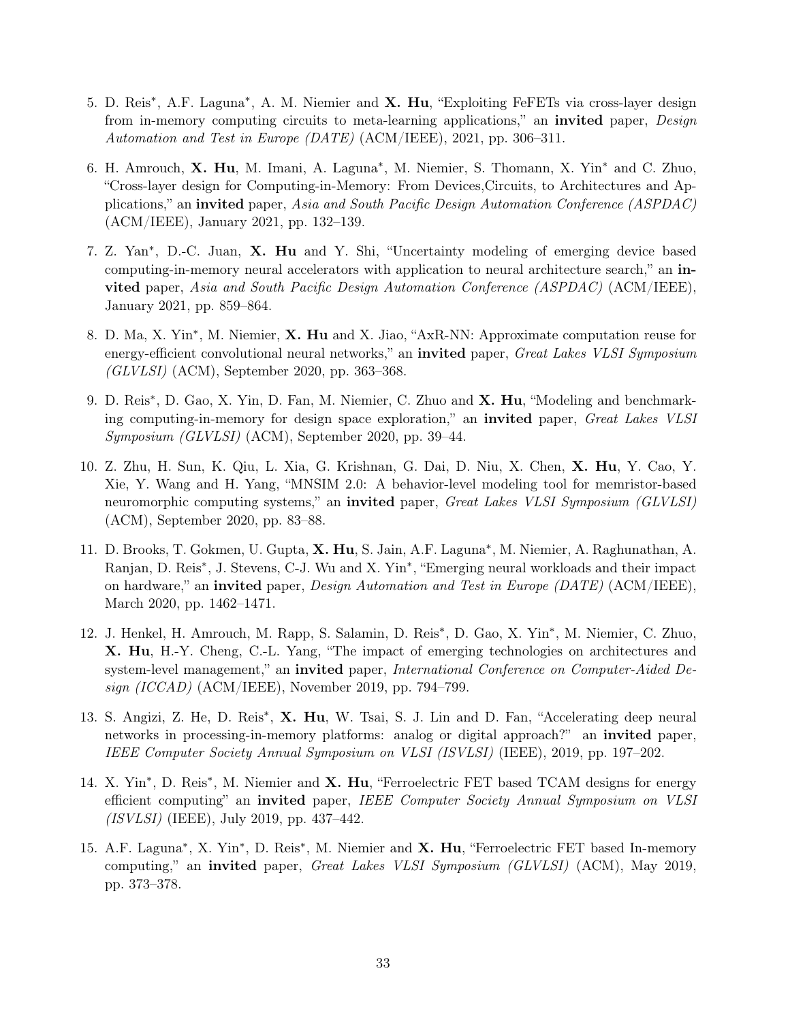- 5. D. Reis<sup>\*</sup>, A.F. Laguna<sup>\*</sup>, A. M. Niemier and X. Hu, "Exploiting FeFETs via cross-layer design from in-memory computing circuits to meta-learning applications," an **invited** paper, *Design* Automation and Test in Europe (DATE) (ACM/IEEE), 2021, pp. 306–311.
- 6. H. Amrouch, X. Hu, M. Imani, A. Laguna<sup>\*</sup>, M. Niemier, S. Thomann, X. Yin<sup>\*</sup> and C. Zhuo, "Cross-layer design for Computing-in-Memory: From Devices,Circuits, to Architectures and Applications," an invited paper, Asia and South Pacific Design Automation Conference (ASPDAC) (ACM/IEEE), January 2021, pp. 132–139.
- 7. Z. Yan<sup>\*</sup>, D.-C. Juan, X. Hu and Y. Shi, "Uncertainty modeling of emerging device based computing-in-memory neural accelerators with application to neural architecture search," an invited paper, Asia and South Pacific Design Automation Conference (ASPDAC) (ACM/IEEE), January 2021, pp. 859–864.
- 8. D. Ma, X. Yin<sup>\*</sup>, M. Niemier, X. Hu and X. Jiao, "AxR-NN: Approximate computation reuse for energy-efficient convolutional neural networks," an **invited** paper, Great Lakes VLSI Symposium  $(GLVLSI)$  (ACM), September 2020, pp. 363–368.
- 9. D. Reis<sup>\*</sup>, D. Gao, X. Yin, D. Fan, M. Niemier, C. Zhuo and X. Hu, "Modeling and benchmarking computing-in-memory for design space exploration," an invited paper, Great Lakes VLSI Symposium (GLVLSI) (ACM), September 2020, pp. 39–44.
- 10. Z. Zhu, H. Sun, K. Qiu, L. Xia, G. Krishnan, G. Dai, D. Niu, X. Chen, X. Hu, Y. Cao, Y. Xie, Y. Wang and H. Yang, "MNSIM 2.0: A behavior-level modeling tool for memristor-based neuromorphic computing systems," an **invited** paper, Great Lakes VLSI Symposium (GLVLSI) (ACM), September 2020, pp. 83–88.
- 11. D. Brooks, T. Gokmen, U. Gupta, X. Hu, S. Jain, A.F. Laguna<sup>\*</sup>, M. Niemier, A. Raghunathan, A. Ranjan, D. Reis<sup>\*</sup>, J. Stevens, C-J. Wu and X. Yin<sup>\*</sup>, "Emerging neural workloads and their impact on hardware," an **invited** paper, *Design Automation and Test in Europe (DATE)* (ACM/IEEE), March 2020, pp. 1462–1471.
- 12. J. Henkel, H. Amrouch, M. Rapp, S. Salamin, D. Reis<sup>\*</sup>, D. Gao, X. Yin<sup>\*</sup>, M. Niemier, C. Zhuo, X. Hu, H.-Y. Cheng, C.-L. Yang, "The impact of emerging technologies on architectures and system-level management," an invited paper, International Conference on Computer-Aided De $sign (ICCAD) (ACM/IEEE)$ , November 2019, pp. 794–799.
- 13. S. Angizi, Z. He, D. Reis<sup>\*</sup>, X. Hu, W. Tsai, S. J. Lin and D. Fan, "Accelerating deep neural networks in processing-in-memory platforms: analog or digital approach?" an invited paper, IEEE Computer Society Annual Symposium on VLSI (ISVLSI) (IEEE), 2019, pp. 197–202.
- 14. X. Yin<sup>\*</sup>, D. Reis<sup>\*</sup>, M. Niemier and X. Hu, "Ferroelectric FET based TCAM designs for energy efficient computing" an invited paper, IEEE Computer Society Annual Symposium on VLSI (ISVLSI) (IEEE), July 2019, pp. 437–442.
- 15. A.F. Laguna<sup>\*</sup>, X. Yin<sup>\*</sup>, D. Reis<sup>\*</sup>, M. Niemier and X. Hu, "Ferroelectric FET based In-memory computing," an invited paper, Great Lakes VLSI Symposium (GLVLSI) (ACM), May 2019, pp. 373–378.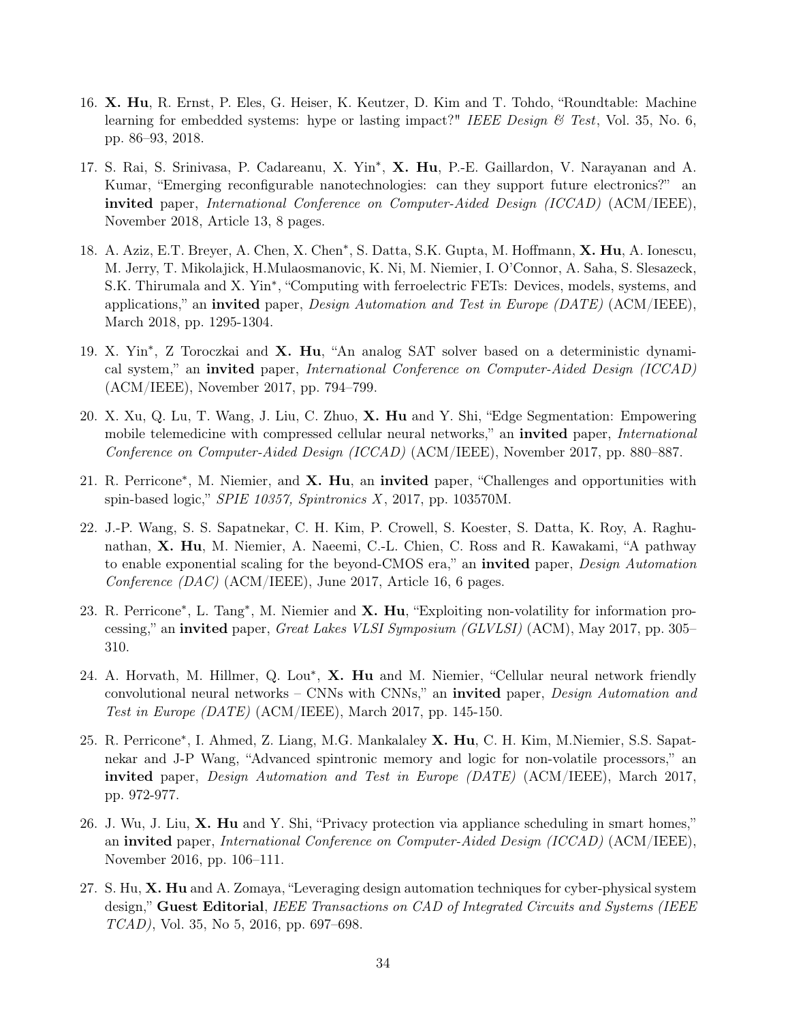- 16. X. Hu, R. Ernst, P. Eles, G. Heiser, K. Keutzer, D. Kim and T. Tohdo, "Roundtable: Machine learning for embedded systems: hype or lasting impact?" IEEE Design & Test, Vol. 35, No. 6, pp. 86–93, 2018.
- 17. S. Rai, S. Srinivasa, P. Cadareanu, X. Yin<sup>\*</sup>, X. Hu, P.-E. Gaillardon, V. Narayanan and A. Kumar, "Emerging reconfigurable nanotechnologies: can they support future electronics?" an invited paper, International Conference on Computer-Aided Design (ICCAD) (ACM/IEEE), November 2018, Article 13, 8 pages.
- 18. A. Aziz, E.T. Breyer, A. Chen, X. Chen<sup>\*</sup>, S. Datta, S.K. Gupta, M. Hoffmann, X. Hu, A. Ionescu, M. Jerry, T. Mikolajick, H.Mulaosmanovic, K. Ni, M. Niemier, I. O'Connor, A. Saha, S. Slesazeck, S.K. Thirumala and X. Yin<sup>\*</sup>, "Computing with ferroelectric FETs: Devices, models, systems, and applications," an invited paper, *Design Automation and Test in Europe (DATE)* (ACM/IEEE), March 2018, pp. 1295-1304.
- 19. X. Yin<sup>\*</sup>, Z Toroczkai and X. Hu, "An analog SAT solver based on a deterministic dynamical system," an invited paper, International Conference on Computer-Aided Design (ICCAD) (ACM/IEEE), November 2017, pp. 794–799.
- 20. X. Xu, Q. Lu, T. Wang, J. Liu, C. Zhuo, X. Hu and Y. Shi, "Edge Segmentation: Empowering mobile telemedicine with compressed cellular neural networks," an **invited** paper, *International* Conference on Computer-Aided Design (ICCAD) (ACM/IEEE), November 2017, pp. 880–887.
- 21. R. Perricone<sup>\*</sup>, M. Niemier, and X. Hu, an invited paper, "Challenges and opportunities with spin-based logic," SPIE 10357, Spintronics  $X$ , 2017, pp. 103570M.
- 22. J.-P. Wang, S. S. Sapatnekar, C. H. Kim, P. Crowell, S. Koester, S. Datta, K. Roy, A. Raghunathan, X. Hu, M. Niemier, A. Naeemi, C.-L. Chien, C. Ross and R. Kawakami, "A pathway to enable exponential scaling for the beyond-CMOS era," an **invited** paper, *Design Automation* Conference (DAC) (ACM/IEEE), June 2017, Article 16, 6 pages.
- 23. R. Perricone<sup>\*</sup>, L. Tang<sup>\*</sup>, M. Niemier and X. Hu, "Exploiting non-volatility for information processing," an invited paper, *Great Lakes VLSI Symposium (GLVLSI)* (ACM), May 2017, pp. 305– 310.
- 24. A. Horvath, M. Hillmer, Q. Lou<sup>\*</sup>, X. Hu and M. Niemier, "Cellular neural network friendly convolutional neural networks – CNNs with CNNs," an **invited** paper, *Design Automation and* Test in Europe (DATE) (ACM/IEEE), March 2017, pp. 145-150.
- 25. R. Perricone<sup>\*</sup>, I. Ahmed, Z. Liang, M.G. Mankalaley X. Hu, C. H. Kim, M.Niemier, S.S. Sapatnekar and J-P Wang, "Advanced spintronic memory and logic for non-volatile processors," an invited paper, Design Automation and Test in Europe (DATE) (ACM/IEEE), March 2017, pp. 972-977.
- 26. J. Wu, J. Liu, X. Hu and Y. Shi, "Privacy protection via appliance scheduling in smart homes," an invited paper, International Conference on Computer-Aided Design (ICCAD) (ACM/IEEE), November 2016, pp. 106–111.
- 27. S. Hu, X. Hu and A. Zomaya, "Leveraging design automation techniques for cyber-physical system design," Guest Editorial, IEEE Transactions on CAD of Integrated Circuits and Systems (IEEE TCAD), Vol. 35, No 5, 2016, pp. 697–698.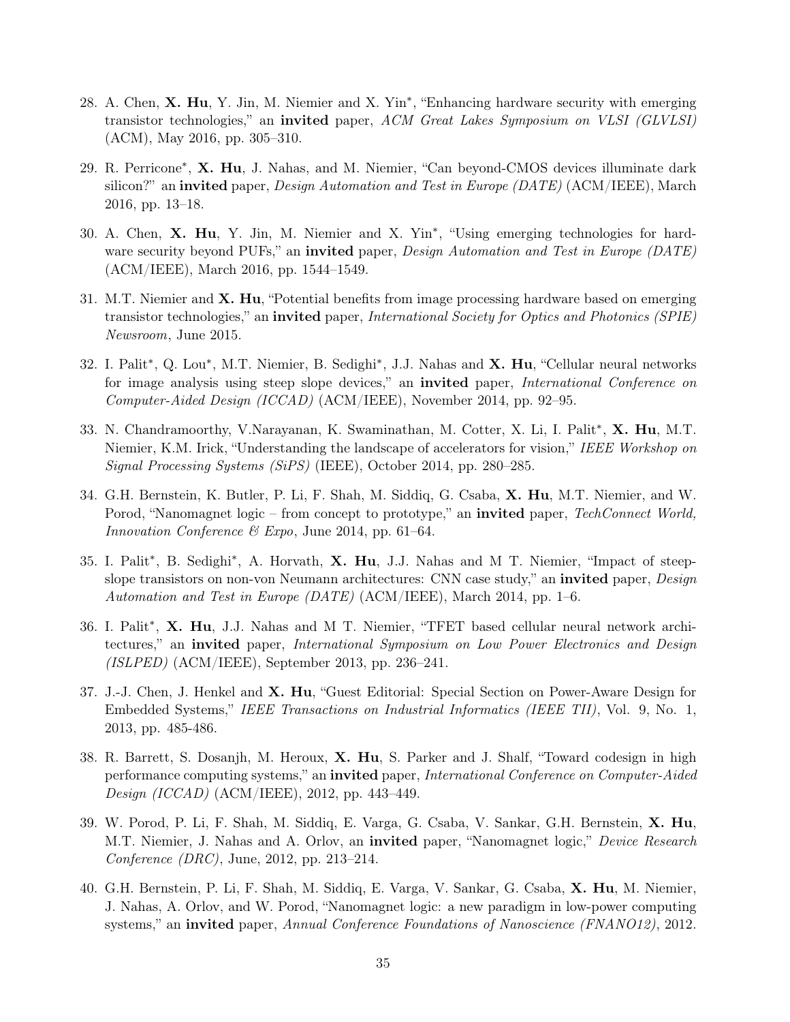- 28. A. Chen, X. Hu, Y. Jin, M. Niemier and X. Yin<sup>\*</sup>, "Enhancing hardware security with emerging transistor technologies," an invited paper, ACM Great Lakes Symposium on VLSI (GLVLSI) (ACM), May 2016, pp. 305–310.
- 29. R. Perricone<sup>\*</sup>, X. Hu, J. Nahas, and M. Niemier, "Can beyond-CMOS devices illuminate dark silicon?" an invited paper, *Design Automation and Test in Europe (DATE)* (ACM/IEEE), March 2016, pp. 13–18.
- 30. A. Chen, X. Hu, Y. Jin, M. Niemier and X. Yin<sup>\*</sup>, "Using emerging technologies for hardware security beyond PUFs," an invited paper, Design Automation and Test in Europe (DATE) (ACM/IEEE), March 2016, pp. 1544–1549.
- 31. M.T. Niemier and X. Hu, "Potential benefits from image processing hardware based on emerging transistor technologies," an invited paper, International Society for Optics and Photonics (SPIE) Newsroom, June 2015.
- 32. I. Palit<sup>\*</sup>, Q. Lou<sup>\*</sup>, M.T. Niemier, B. Sedighi<sup>\*</sup>, J.J. Nahas and **X. Hu**, "Cellular neural networks for image analysis using steep slope devices," an **invited** paper, *International Conference on* Computer-Aided Design (ICCAD) (ACM/IEEE), November 2014, pp. 92–95.
- 33. N. Chandramoorthy, V.Narayanan, K. Swaminathan, M. Cotter, X. Li, I. Palit<sup>\*</sup>, X. Hu, M.T. Niemier, K.M. Irick, "Understanding the landscape of accelerators for vision," IEEE Workshop on Signal Processing Systems (SiPS) (IEEE), October 2014, pp. 280–285.
- 34. G.H. Bernstein, K. Butler, P. Li, F. Shah, M. Siddiq, G. Csaba, X. Hu, M.T. Niemier, and W. Porod, "Nanomagnet logic – from concept to prototype," an **invited** paper, TechConnect World, Innovation Conference & Expo, June 2014, pp. 61–64.
- 35. I. Palit<sup>\*</sup>, B. Sedighi<sup>\*</sup>, A. Horvath, **X. Hu**, J.J. Nahas and M T. Niemier, "Impact of steepslope transistors on non-von Neumann architectures: CNN case study," an **invited** paper, *Design* Automation and Test in Europe (DATE) (ACM/IEEE), March 2014, pp. 1–6.
- 36. I. Palit<sup>\*</sup>, X. Hu, J.J. Nahas and M T. Niemier, "TFET based cellular neural network architectures," an invited paper, International Symposium on Low Power Electronics and Design (ISLPED) (ACM/IEEE), September 2013, pp. 236–241.
- 37. J.-J. Chen, J. Henkel and X. Hu, "Guest Editorial: Special Section on Power-Aware Design for Embedded Systems," IEEE Transactions on Industrial Informatics (IEEE TII), Vol. 9, No. 1, 2013, pp. 485-486.
- 38. R. Barrett, S. Dosanjh, M. Heroux, X. Hu, S. Parker and J. Shalf, "Toward codesign in high performance computing systems," an invited paper, International Conference on Computer-Aided Design (ICCAD) (ACM/IEEE), 2012, pp. 443–449.
- 39. W. Porod, P. Li, F. Shah, M. Siddiq, E. Varga, G. Csaba, V. Sankar, G.H. Bernstein, X. Hu, M.T. Niemier, J. Nahas and A. Orlov, an **invited** paper, "Nanomagnet logic," *Device Research* Conference (DRC), June, 2012, pp. 213–214.
- 40. G.H. Bernstein, P. Li, F. Shah, M. Siddiq, E. Varga, V. Sankar, G. Csaba, X. Hu, M. Niemier, J. Nahas, A. Orlov, and W. Porod, "Nanomagnet logic: a new paradigm in low-power computing systems," an invited paper, Annual Conference Foundations of Nanoscience (FNANO12), 2012.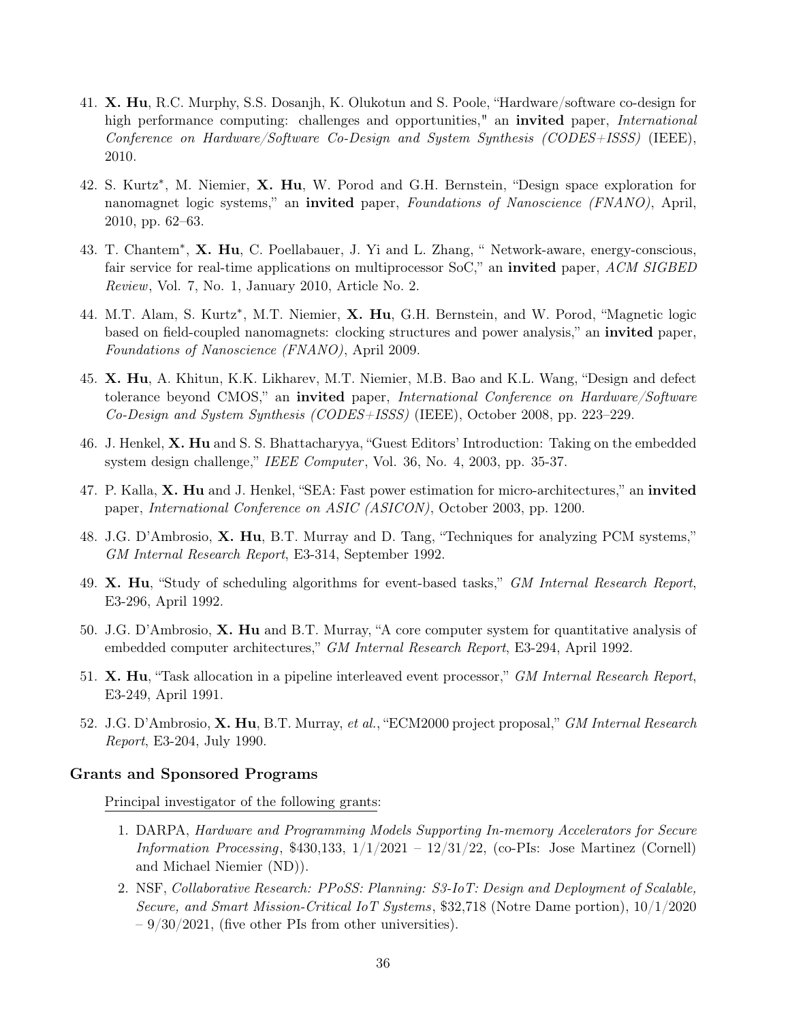- 41. X. Hu, R.C. Murphy, S.S. Dosanjh, K. Olukotun and S. Poole, "Hardware/software co-design for high performance computing: challenges and opportunities," an **invited** paper, *International* Conference on Hardware/Software Co-Design and System Synthesis (CODES+ISSS) (IEEE), 2010.
- 42. S. Kurtz<sup>\*</sup>, M. Niemier, X. Hu, W. Porod and G.H. Bernstein, "Design space exploration for nanomagnet logic systems," an **invited** paper, *Foundations of Nanoscience (FNANO)*, April, 2010, pp. 62–63.
- 43. T. Chantem<sup>\*</sup>, X. Hu, C. Poellabauer, J. Yi and L. Zhang, " Network-aware, energy-conscious, fair service for real-time applications on multiprocessor SoC," an invited paper, ACM SIGBED Review, Vol. 7, No. 1, January 2010, Article No. 2.
- 44. M.T. Alam, S. Kurtz<sup>\*</sup>, M.T. Niemier, X. Hu, G.H. Bernstein, and W. Porod, "Magnetic logic based on field-coupled nanomagnets: clocking structures and power analysis," an invited paper, Foundations of Nanoscience (FNANO), April 2009.
- 45. X. Hu, A. Khitun, K.K. Likharev, M.T. Niemier, M.B. Bao and K.L. Wang, "Design and defect tolerance beyond CMOS," an **invited** paper, *International Conference on Hardware/Software* Co-Design and System Synthesis (CODES+ISSS) (IEEE), October 2008, pp. 223–229.
- 46. J. Henkel, X. Hu and S. S. Bhattacharyya, "Guest Editors' Introduction: Taking on the embedded system design challenge," IEEE Computer, Vol. 36, No. 4, 2003, pp. 35-37.
- 47. P. Kalla, X. Hu and J. Henkel, "SEA: Fast power estimation for micro-architectures," an invited paper, International Conference on ASIC (ASICON), October 2003, pp. 1200.
- 48. J.G. D'Ambrosio, X. Hu, B.T. Murray and D. Tang, "Techniques for analyzing PCM systems," GM Internal Research Report, E3-314, September 1992.
- 49. X. Hu, "Study of scheduling algorithms for event-based tasks," GM Internal Research Report, E3-296, April 1992.
- 50. J.G. D'Ambrosio, X. Hu and B.T. Murray, "A core computer system for quantitative analysis of embedded computer architectures," GM Internal Research Report, E3-294, April 1992.
- 51. X. Hu, "Task allocation in a pipeline interleaved event processor," GM Internal Research Report, E3-249, April 1991.
- 52. J.G. D'Ambrosio, X. Hu, B.T. Murray, et al., "ECM2000 project proposal," GM Internal Research Report, E3-204, July 1990.

#### Grants and Sponsored Programs

Principal investigator of the following grants:

- 1. DARPA, Hardware and Programming Models Supporting In-memory Accelerators for Secure Information Processing,  $$430,133, 1/1/2021 - 12/31/22$ , (co-PIs: Jose Martinez (Cornell) and Michael Niemier (ND)).
- 2. NSF, Collaborative Research: PPoSS: Planning: S3-IoT: Design and Deployment of Scalable, Secure, and Smart Mission-Critical IoT Systems, \$32,718 (Notre Dame portion),  $10/1/2020$  $-9/30/2021$ , (five other PIs from other universities).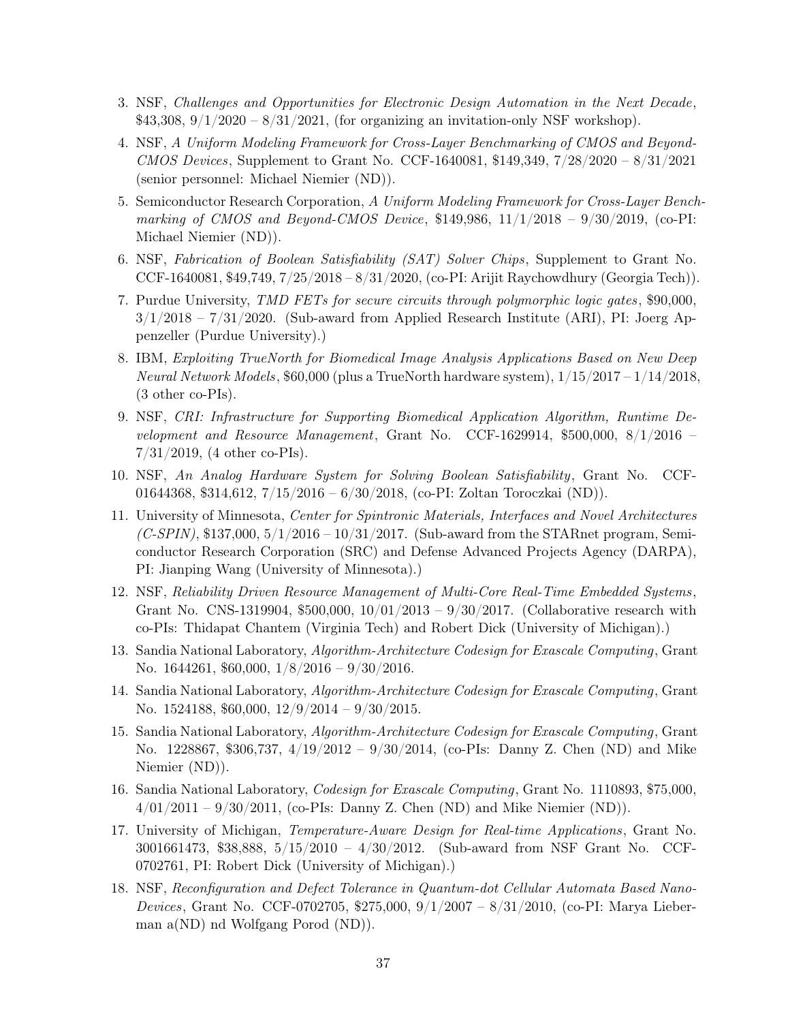- 3. NSF, Challenges and Opportunities for Electronic Design Automation in the Next Decade,  $$43,308, 9/1/2020 - 8/31/2021$ , (for organizing an invitation-only NSF workshop).
- 4. NSF, A Uniform Modeling Framework for Cross-Layer Benchmarking of CMOS and Beyond-CMOS Devices, Supplement to Grant No. CCF-1640081, \$149,349, 7/28/2020 – 8/31/2021 (senior personnel: Michael Niemier (ND)).
- 5. Semiconductor Research Corporation, A Uniform Modeling Framework for Cross-Layer Benchmarking of CMOS and Beyond-CMOS Device, \$149,986, 11/1/2018 - 9/30/2019, (co-PI: Michael Niemier (ND)).
- 6. NSF, Fabrication of Boolean Satisfiability (SAT) Solver Chips , Supplement to Grant No. CCF-1640081, \$49,749, 7/25/2018 – 8/31/2020, (co-PI: Arijit Raychowdhury (Georgia Tech)).
- 7. Purdue University, TMD FETs for secure circuits through polymorphic logic gates, \$90,000,  $3/1/2018 - 7/31/2020$ . (Sub-award from Applied Research Institute (ARI), PI: Joerg Appenzeller (Purdue University).)
- 8. IBM, Exploiting TrueNorth for Biomedical Image Analysis Applications Based on New Deep *Neural Network Models*, \$60,000 (plus a TrueNorth hardware system),  $1/15/2017 - 1/14/2018$ , (3 other co-PIs).
- 9. NSF, CRI: Infrastructure for Supporting Biomedical Application Algorithm, Runtime Development and Resource Management, Grant No. CCF-1629914, \$500,000,  $8/1/2016$  – 7/31/2019, (4 other co-PIs).
- 10. NSF, An Analog Hardware System for Solving Boolean Satisfiability, Grant No. CCF-01644368, \$314,612, 7/15/2016 – 6/30/2018, (co-PI: Zoltan Toroczkai (ND)).
- 11. University of Minnesota, Center for Spintronic Materials, Interfaces and Novel Architectures  $(C\text{-SPIN})$ , \$137,000,  $5/1/2016 - 10/31/2017$ . (Sub-award from the STARnet program, Semiconductor Research Corporation (SRC) and Defense Advanced Projects Agency (DARPA), PI: Jianping Wang (University of Minnesota).)
- 12. NSF, Reliability Driven Resource Management of Multi-Core Real-Time Embedded Systems , Grant No. CNS-1319904, \$500,000, 10/01/2013 – 9/30/2017. (Collaborative research with co-PIs: Thidapat Chantem (Virginia Tech) and Robert Dick (University of Michigan).)
- 13. Sandia National Laboratory, Algorithm-Architecture Codesign for Exascale Computing, Grant No. 1644261, \$60,000, 1/8/2016 – 9/30/2016.
- 14. Sandia National Laboratory, Algorithm-Architecture Codesign for Exascale Computing, Grant No. 1524188, \$60,000, 12/9/2014 – 9/30/2015.
- 15. Sandia National Laboratory, Algorithm-Architecture Codesign for Exascale Computing, Grant No. 1228867, \$306,737, 4/19/2012 – 9/30/2014, (co-PIs: Danny Z. Chen (ND) and Mike Niemier (ND)).
- 16. Sandia National Laboratory, Codesign for Exascale Computing, Grant No. 1110893, \$75,000,  $4/01/2011 - 9/30/2011$ , (co-PIs: Danny Z. Chen (ND) and Mike Niemier (ND)).
- 17. University of Michigan, Temperature-Aware Design for Real-time Applications, Grant No. 3001661473, \$38,888, 5/15/2010 – 4/30/2012. (Sub-award from NSF Grant No. CCF-0702761, PI: Robert Dick (University of Michigan).)
- 18. NSF, Reconfiguration and Defect Tolerance in Quantum-dot Cellular Automata Based Nano-Devices, Grant No. CCF-0702705, \$275,000, 9/1/2007 – 8/31/2010, (co-PI: Marya Lieberman a(ND) nd Wolfgang Porod (ND)).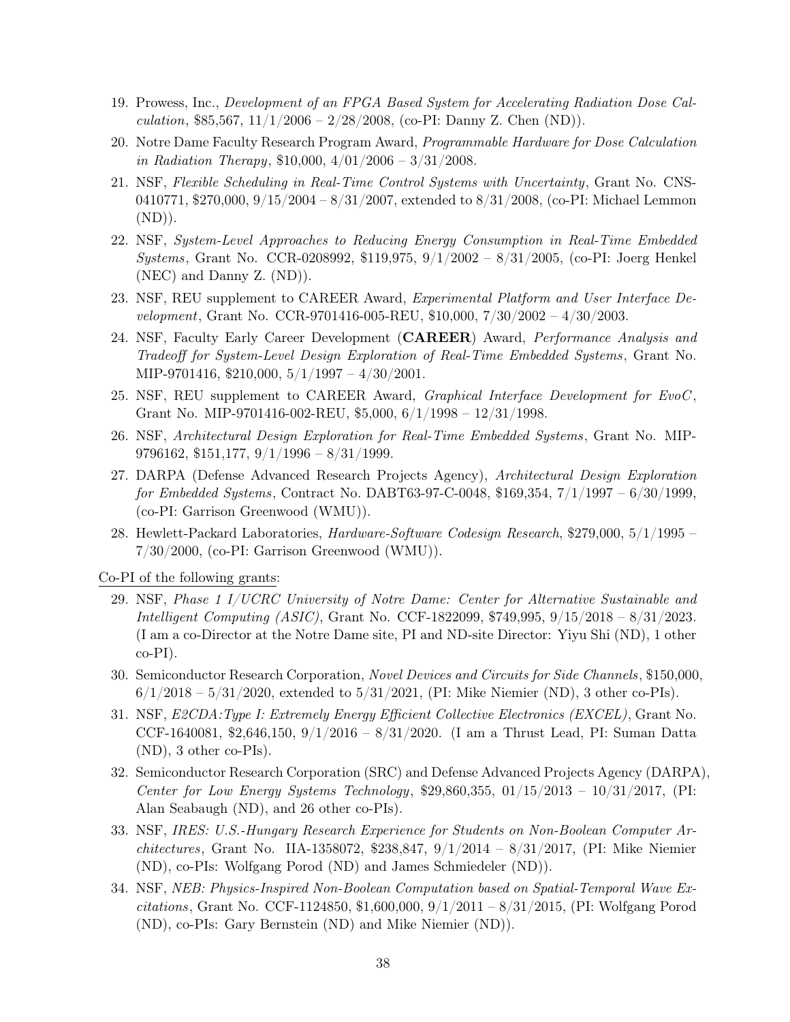- 19. Prowess, Inc., Development of an FPGA Based System for Accelerating Radiation Dose Calculation, \$85,567,  $11/1/2006 - 2/28/2008$ , (co-PI: Danny Z. Chen (ND)).
- 20. Notre Dame Faculty Research Program Award, Programmable Hardware for Dose Calculation in Radiation Therapy,  $$10,000, 4/01/2006 - 3/31/2008$ .
- 21. NSF, Flexible Scheduling in Real-Time Control Systems with Uncertainty, Grant No. CNS-0410771, \$270,000,  $9/15/2004 - 8/31/2007$ , extended to  $8/31/2008$ , (co-PI: Michael Lemmon  $(ND)$ ).
- 22. NSF, System-Level Approaches to Reducing Energy Consumption in Real-Time Embedded Systems, Grant No. CCR-0208992, \$119,975, 9/1/2002 – 8/31/2005, (co-PI: Joerg Henkel (NEC) and Danny Z. (ND)).
- 23. NSF, REU supplement to CAREER Award, Experimental Platform and User Interface Development, Grant No. CCR-9701416-005-REU, \$10,000, 7/30/2002 – 4/30/2003.
- 24. NSF, Faculty Early Career Development (CAREER) Award, Performance Analysis and Tradeoff for System-Level Design Exploration of Real-Time Embedded Systems , Grant No. MIP-9701416, \$210,000, 5/1/1997 – 4/30/2001.
- 25. NSF, REU supplement to CAREER Award, Graphical Interface Development for EvoC, Grant No. MIP-9701416-002-REU,  $$5,000, 6/1/1998 - 12/31/1998$ .
- 26. NSF, Architectural Design Exploration for Real-Time Embedded Systems , Grant No. MIP-9796162, \$151,177, 9/1/1996 – 8/31/1999.
- 27. DARPA (Defense Advanced Research Projects Agency), Architectural Design Exploration for Embedded Systems, Contract No. DABT63-97-C-0048, \$169,354, 7/1/1997 – 6/30/1999, (co-PI: Garrison Greenwood (WMU)).
- 28. Hewlett-Packard Laboratories, Hardware-Software Codesign Research, \$279,000, 5/1/1995 7/30/2000, (co-PI: Garrison Greenwood (WMU)).

Co-PI of the following grants:

- 29. NSF, Phase 1 I/UCRC University of Notre Dame: Center for Alternative Sustainable and Intelligent Computing (ASIC), Grant No. CCF-1822099, \$749,995, 9/15/2018 – 8/31/2023. (I am a co-Director at the Notre Dame site, PI and ND-site Director: Yiyu Shi (ND), 1 other  $co-PI$ ).
- 30. Semiconductor Research Corporation, Novel Devices and Circuits for Side Channels, \$150,000,  $6/1/2018 - 5/31/2020$ , extended to  $5/31/2021$ , (PI: Mike Niemier (ND), 3 other co-PIs).
- 31. NSF, E2CDA:Type I: Extremely Energy Efficient Collective Electronics (EXCEL), Grant No. CCF-1640081, \$2,646,150, 9/1/2016 – 8/31/2020. (I am a Thrust Lead, PI: Suman Datta (ND), 3 other co-PIs).
- 32. Semiconductor Research Corporation (SRC) and Defense Advanced Projects Agency (DARPA), Center for Low Energy Systems Technology, \$29,860,355,  $01/15/2013 - 10/31/2017$ , (PI: Alan Seabaugh (ND), and 26 other co-PIs).
- 33. NSF, IRES: U.S.-Hungary Research Experience for Students on Non-Boolean Computer Architectures, Grant No. IIA-1358072, \$238,847,  $9/1/2014 - 8/31/2017$ , (PI: Mike Niemier (ND), co-PIs: Wolfgang Porod (ND) and James Schmiedeler (ND)).
- 34. NSF, NEB: Physics-Inspired Non-Boolean Computation based on Spatial-Temporal Wave Excitations, Grant No. CCF-1124850, \$1,600,000, 9/1/2011 – 8/31/2015, (PI: Wolfgang Porod (ND), co-PIs: Gary Bernstein (ND) and Mike Niemier (ND)).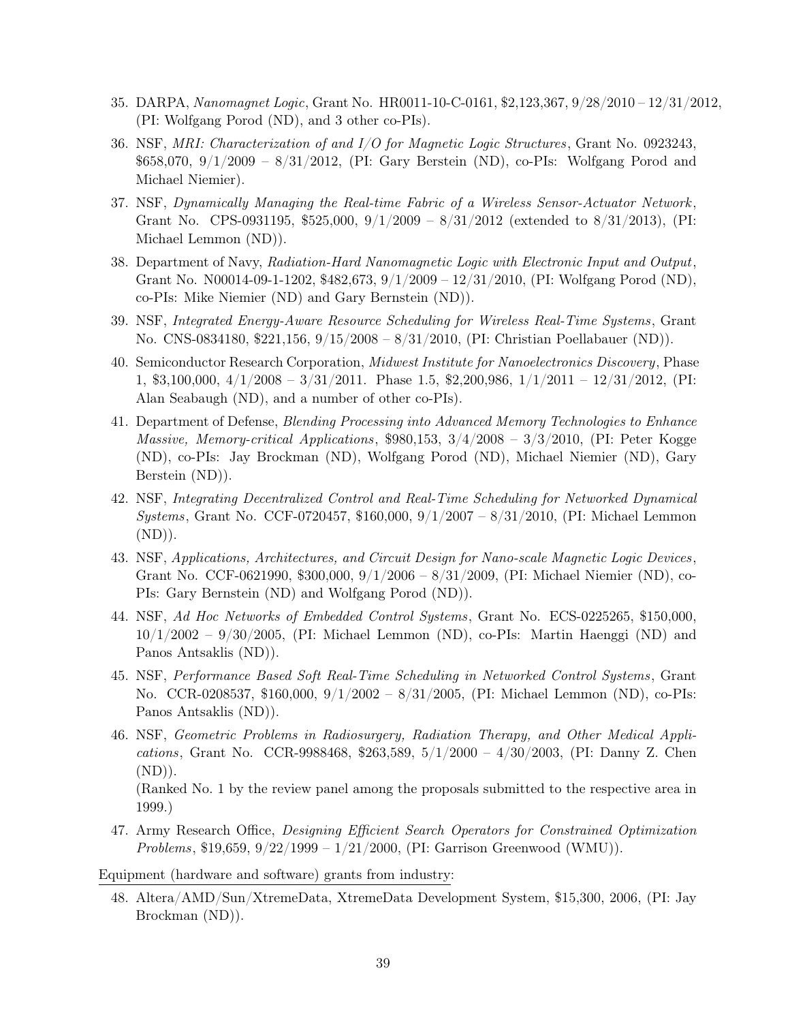- 35. DARPA, Nanomagnet Logic, Grant No. HR0011-10-C-0161, \$2,123,367, 9/28/2010 12/31/2012, (PI: Wolfgang Porod (ND), and 3 other co-PIs).
- 36. NSF, MRI: Characterization of and I/O for Magnetic Logic Structures , Grant No. 0923243, \$658,070, 9/1/2009 – 8/31/2012, (PI: Gary Berstein (ND), co-PIs: Wolfgang Porod and Michael Niemier).
- 37. NSF, Dynamically Managing the Real-time Fabric of a Wireless Sensor-Actuator Network , Grant No. CPS-0931195, \$525,000,  $9/1/2009 - 8/31/2012$  (extended to  $8/31/2013$ ), (PI: Michael Lemmon (ND)).
- 38. Department of Navy, Radiation-Hard Nanomagnetic Logic with Electronic Input and Output, Grant No. N00014-09-1-1202, \$482,673, 9/1/2009 – 12/31/2010, (PI: Wolfgang Porod (ND), co-PIs: Mike Niemier (ND) and Gary Bernstein (ND)).
- 39. NSF, Integrated Energy-Aware Resource Scheduling for Wireless Real-Time Systems , Grant No. CNS-0834180, \$221,156, 9/15/2008 – 8/31/2010, (PI: Christian Poellabauer (ND)).
- 40. Semiconductor Research Corporation, Midwest Institute for Nanoelectronics Discovery, Phase 1, \$3,100,000,  $4/1/2008 - 3/31/2011$ . Phase 1.5, \$2,200,986,  $1/1/2011 - 12/31/2012$ , (PI: Alan Seabaugh (ND), and a number of other co-PIs).
- 41. Department of Defense, Blending Processing into Advanced Memory Technologies to Enhance Massive, Memory-critical Applications, \$980,153, 3/4/2008 – 3/3/2010, (PI: Peter Kogge (ND), co-PIs: Jay Brockman (ND), Wolfgang Porod (ND), Michael Niemier (ND), Gary Berstein (ND)).
- 42. NSF, Integrating Decentralized Control and Real-Time Scheduling for Networked Dynamical Systems, Grant No. CCF-0720457, \$160,000, 9/1/2007 – 8/31/2010, (PI: Michael Lemmon  $(ND)$ ).
- 43. NSF, Applications, Architectures, and Circuit Design for Nano-scale Magnetic Logic Devices , Grant No. CCF-0621990, \$300,000, 9/1/2006 – 8/31/2009, (PI: Michael Niemier (ND), co-PIs: Gary Bernstein (ND) and Wolfgang Porod (ND)).
- 44. NSF, Ad Hoc Networks of Embedded Control Systems, Grant No. ECS-0225265, \$150,000,  $10/1/2002 - 9/30/2005$ , (PI: Michael Lemmon (ND), co-PIs: Martin Haenggi (ND) and Panos Antsaklis (ND)).
- 45. NSF, Performance Based Soft Real-Time Scheduling in Networked Control Systems , Grant No. CCR-0208537, \$160,000, 9/1/2002 – 8/31/2005, (PI: Michael Lemmon (ND), co-PIs: Panos Antsaklis (ND)).
- 46. NSF, Geometric Problems in Radiosurgery, Radiation Therapy, and Other Medical Applications, Grant No. CCR-9988468, \$263,589, 5/1/2000 – 4/30/2003, (PI: Danny Z. Chen  $(ND)$ ).

(Ranked No. 1 by the review panel among the proposals submitted to the respective area in 1999.)

47. Army Research Office, Designing Efficient Search Operators for Constrained Optimization Problems, \$19,659,  $9/22/1999 - 1/21/2000$ , (PI: Garrison Greenwood (WMU)).

Equipment (hardware and software) grants from industry:

48. Altera/AMD/Sun/XtremeData, XtremeData Development System, \$15,300, 2006, (PI: Jay Brockman (ND)).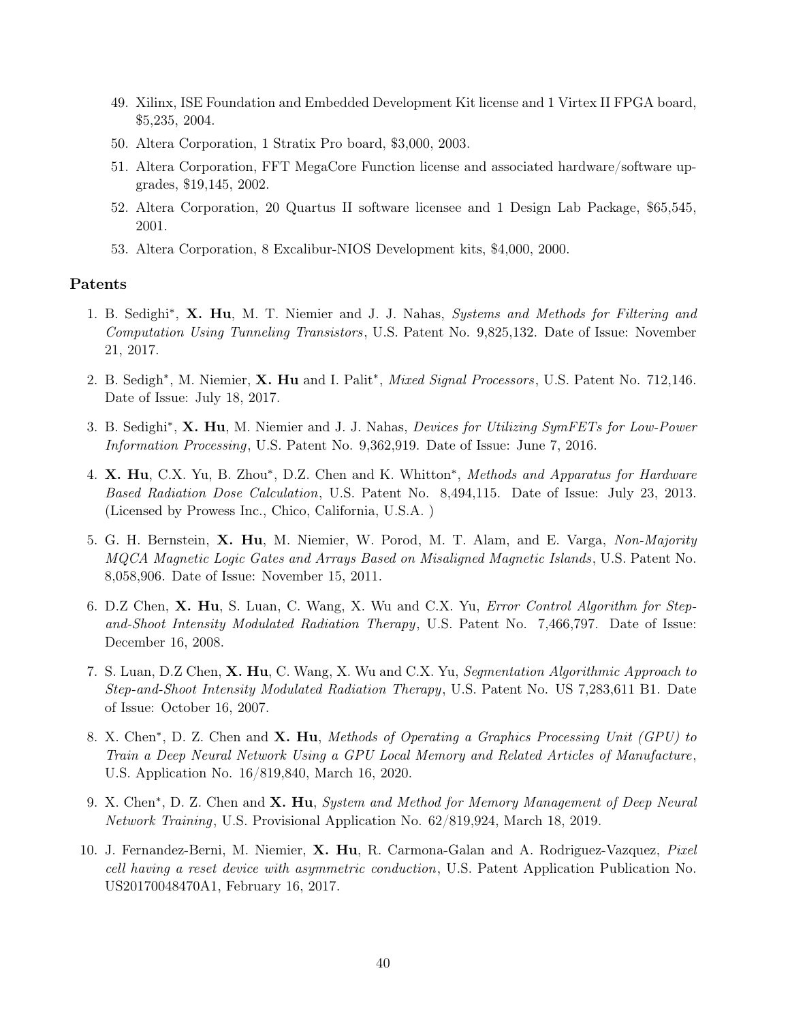- 49. Xilinx, ISE Foundation and Embedded Development Kit license and 1 Virtex II FPGA board, \$5,235, 2004.
- 50. Altera Corporation, 1 Stratix Pro board, \$3,000, 2003.
- 51. Altera Corporation, FFT MegaCore Function license and associated hardware/software upgrades, \$19,145, 2002.
- 52. Altera Corporation, 20 Quartus II software licensee and 1 Design Lab Package, \$65,545, 2001.
- 53. Altera Corporation, 8 Excalibur-NIOS Development kits, \$4,000, 2000.

## Patents

- 1. B. Sedighi<sup>\*</sup>, X. Hu, M. T. Niemier and J. J. Nahas, Systems and Methods for Filtering and Computation Using Tunneling Transistors, U.S. Patent No. 9,825,132. Date of Issue: November 21, 2017.
- 2. B. Sedigh<sup>\*</sup>, M. Niemier, X. Hu and I. Palit<sup>\*</sup>, Mixed Signal Processors, U.S. Patent No. 712,146. Date of Issue: July 18, 2017.
- 3. B. Sedighi<sup>\*</sup>, X. Hu, M. Niemier and J. J. Nahas, *Devices for Utilizing SymFETs for Low-Power* Information Processing, U.S. Patent No. 9,362,919. Date of Issue: June 7, 2016.
- 4. X. Hu, C.X. Yu, B. Zhou\*, D.Z. Chen and K. Whitton<sup>\*</sup>, Methods and Apparatus for Hardware Based Radiation Dose Calculation, U.S. Patent No. 8,494,115. Date of Issue: July 23, 2013. (Licensed by Prowess Inc., Chico, California, U.S.A. )
- 5. G. H. Bernstein, X. Hu, M. Niemier, W. Porod, M. T. Alam, and E. Varga, Non-Majority MQCA Magnetic Logic Gates and Arrays Based on Misaligned Magnetic Islands , U.S. Patent No. 8,058,906. Date of Issue: November 15, 2011.
- 6. D.Z Chen, X. Hu, S. Luan, C. Wang, X. Wu and C.X. Yu, *Error Control Algorithm for Step*and-Shoot Intensity Modulated Radiation Therapy, U.S. Patent No. 7,466,797. Date of Issue: December 16, 2008.
- 7. S. Luan, D.Z Chen, X. Hu, C. Wang, X. Wu and C.X. Yu, Segmentation Algorithmic Approach to Step-and-Shoot Intensity Modulated Radiation Therapy, U.S. Patent No. US 7,283,611 B1. Date of Issue: October 16, 2007.
- 8. X. Chen<sup>\*</sup>, D. Z. Chen and X. Hu, Methods of Operating a Graphics Processing Unit (GPU) to Train a Deep Neural Network Using a GPU Local Memory and Related Articles of Manufacture, U.S. Application No. 16/819,840, March 16, 2020.
- 9. X. Chen<sup>\*</sup>, D. Z. Chen and X. Hu, System and Method for Memory Management of Deep Neural Network Training, U.S. Provisional Application No. 62/819,924, March 18, 2019.
- 10. J. Fernandez-Berni, M. Niemier, X. Hu, R. Carmona-Galan and A. Rodriguez-Vazquez, Pixel cell having a reset device with asymmetric conduction, U.S. Patent Application Publication No. US20170048470A1, February 16, 2017.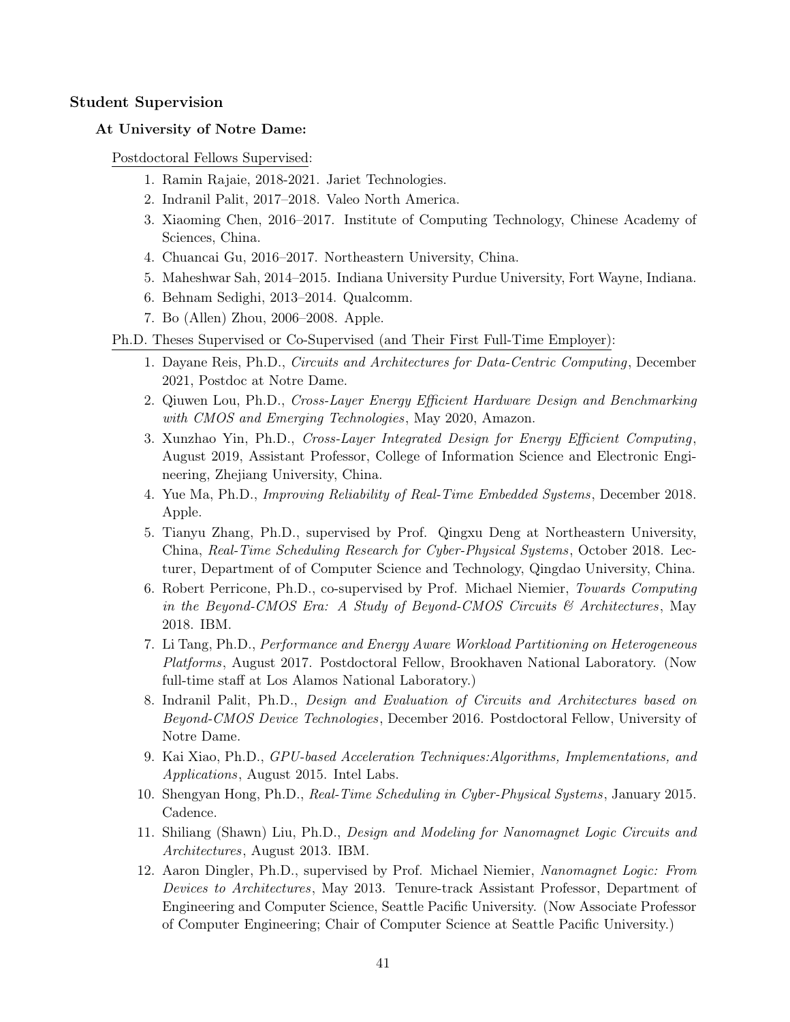## Student Supervision

### At University of Notre Dame:

Postdoctoral Fellows Supervised:

- 1. Ramin Rajaie, 2018-2021. Jariet Technologies.
- 2. Indranil Palit, 2017–2018. Valeo North America.
- 3. Xiaoming Chen, 2016–2017. Institute of Computing Technology, Chinese Academy of Sciences, China.
- 4. Chuancai Gu, 2016–2017. Northeastern University, China.
- 5. Maheshwar Sah, 2014–2015. Indiana University Purdue University, Fort Wayne, Indiana.
- 6. Behnam Sedighi, 2013–2014. Qualcomm.
- 7. Bo (Allen) Zhou, 2006–2008. Apple.

Ph.D. Theses Supervised or Co-Supervised (and Their First Full-Time Employer):

- 1. Dayane Reis, Ph.D., Circuits and Architectures for Data-Centric Computing, December 2021, Postdoc at Notre Dame.
- 2. Qiuwen Lou, Ph.D., Cross-Layer Energy Efficient Hardware Design and Benchmarking with CMOS and Emerging Technologies, May 2020, Amazon.
- 3. Xunzhao Yin, Ph.D., Cross-Layer Integrated Design for Energy Efficient Computing, August 2019, Assistant Professor, College of Information Science and Electronic Engineering, Zhejiang University, China.
- 4. Yue Ma, Ph.D., *Improving Reliability of Real-Time Embedded Systems*, December 2018. Apple.
- 5. Tianyu Zhang, Ph.D., supervised by Prof. Qingxu Deng at Northeastern University, China, Real-Time Scheduling Research for Cyber-Physical Systems , October 2018. Lecturer, Department of of Computer Science and Technology, Qingdao University, China.
- 6. Robert Perricone, Ph.D., co-supervised by Prof. Michael Niemier, Towards Computing in the Beyond-CMOS Era: A Study of Beyond-CMOS Circuits  $\mathscr B$  Architectures, May 2018. IBM.
- 7. Li Tang, Ph.D., Performance and Energy Aware Workload Partitioning on Heterogeneous Platforms, August 2017. Postdoctoral Fellow, Brookhaven National Laboratory. (Now full-time staff at Los Alamos National Laboratory.)
- 8. Indranil Palit, Ph.D., Design and Evaluation of Circuits and Architectures based on Beyond-CMOS Device Technologies, December 2016. Postdoctoral Fellow, University of Notre Dame.
- 9. Kai Xiao, Ph.D., GPU-based Acceleration Techniques:Algorithms, Implementations, and Applications, August 2015. Intel Labs.
- 10. Shengyan Hong, Ph.D., Real-Time Scheduling in Cyber-Physical Systems , January 2015. Cadence.
- 11. Shiliang (Shawn) Liu, Ph.D., Design and Modeling for Nanomagnet Logic Circuits and Architectures, August 2013. IBM.
- 12. Aaron Dingler, Ph.D., supervised by Prof. Michael Niemier, Nanomagnet Logic: From Devices to Architectures, May 2013. Tenure-track Assistant Professor, Department of Engineering and Computer Science, Seattle Pacific University. (Now Associate Professor of Computer Engineering; Chair of Computer Science at Seattle Pacific University.)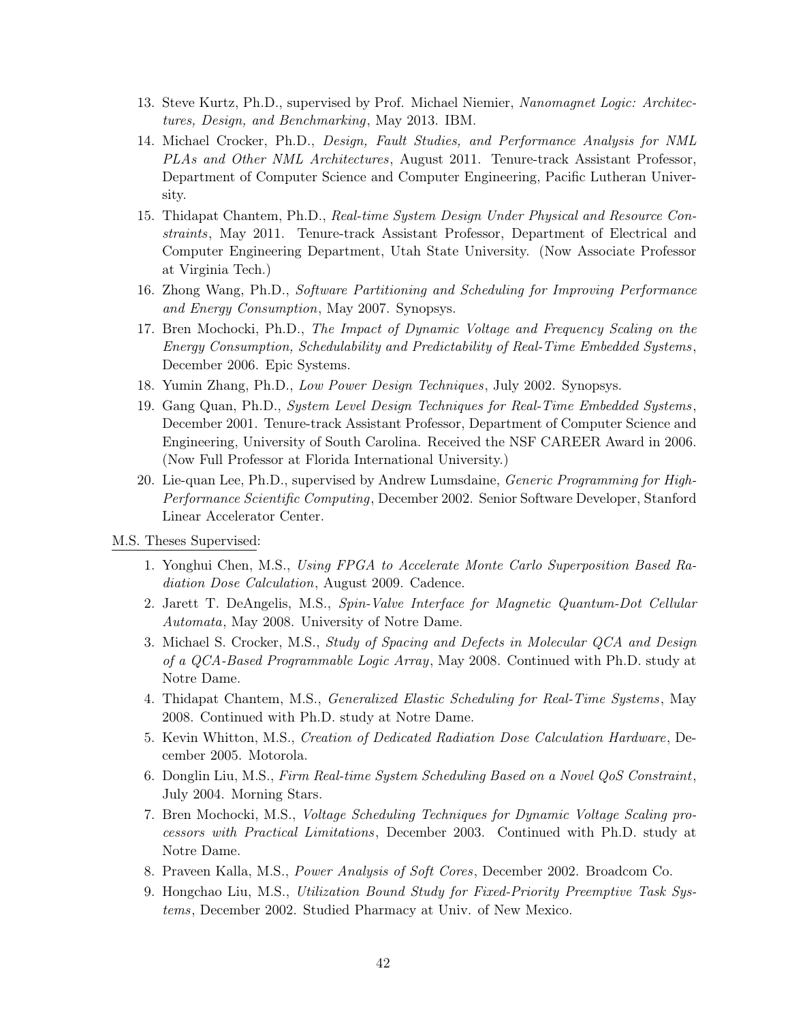- 13. Steve Kurtz, Ph.D., supervised by Prof. Michael Niemier, Nanomagnet Logic: Architectures, Design, and Benchmarking, May 2013. IBM.
- 14. Michael Crocker, Ph.D., Design, Fault Studies, and Performance Analysis for NML PLAs and Other NML Architectures, August 2011. Tenure-track Assistant Professor, Department of Computer Science and Computer Engineering, Pacific Lutheran University.
- 15. Thidapat Chantem, Ph.D., Real-time System Design Under Physical and Resource Constraints, May 2011. Tenure-track Assistant Professor, Department of Electrical and Computer Engineering Department, Utah State University. (Now Associate Professor at Virginia Tech.)
- 16. Zhong Wang, Ph.D., Software Partitioning and Scheduling for Improving Performance and Energy Consumption, May 2007. Synopsys.
- 17. Bren Mochocki, Ph.D., The Impact of Dynamic Voltage and Frequency Scaling on the Energy Consumption, Schedulability and Predictability of Real-Time Embedded Systems , December 2006. Epic Systems.
- 18. Yumin Zhang, Ph.D., Low Power Design Techniques, July 2002. Synopsys.
- 19. Gang Quan, Ph.D., System Level Design Techniques for Real-Time Embedded Systems , December 2001. Tenure-track Assistant Professor, Department of Computer Science and Engineering, University of South Carolina. Received the NSF CAREER Award in 2006. (Now Full Professor at Florida International University.)
- 20. Lie-quan Lee, Ph.D., supervised by Andrew Lumsdaine, Generic Programming for High-Performance Scientific Computing, December 2002. Senior Software Developer, Stanford Linear Accelerator Center.
- M.S. Theses Supervised:
	- 1. Yonghui Chen, M.S., Using FPGA to Accelerate Monte Carlo Superposition Based Radiation Dose Calculation, August 2009. Cadence.
	- 2. Jarett T. DeAngelis, M.S., Spin-Valve Interface for Magnetic Quantum-Dot Cellular Automata, May 2008. University of Notre Dame.
	- 3. Michael S. Crocker, M.S., Study of Spacing and Defects in Molecular QCA and Design of a QCA-Based Programmable Logic Array, May 2008. Continued with Ph.D. study at Notre Dame.
	- 4. Thidapat Chantem, M.S., *Generalized Elastic Scheduling for Real-Time Systems*, May 2008. Continued with Ph.D. study at Notre Dame.
	- 5. Kevin Whitton, M.S., Creation of Dedicated Radiation Dose Calculation Hardware, December 2005. Motorola.
	- 6. Donglin Liu, M.S., Firm Real-time System Scheduling Based on a Novel QoS Constraint, July 2004. Morning Stars.
	- 7. Bren Mochocki, M.S., Voltage Scheduling Techniques for Dynamic Voltage Scaling processors with Practical Limitations, December 2003. Continued with Ph.D. study at Notre Dame.
	- 8. Praveen Kalla, M.S., Power Analysis of Soft Cores, December 2002. Broadcom Co.
	- 9. Hongchao Liu, M.S., Utilization Bound Study for Fixed-Priority Preemptive Task Systems, December 2002. Studied Pharmacy at Univ. of New Mexico.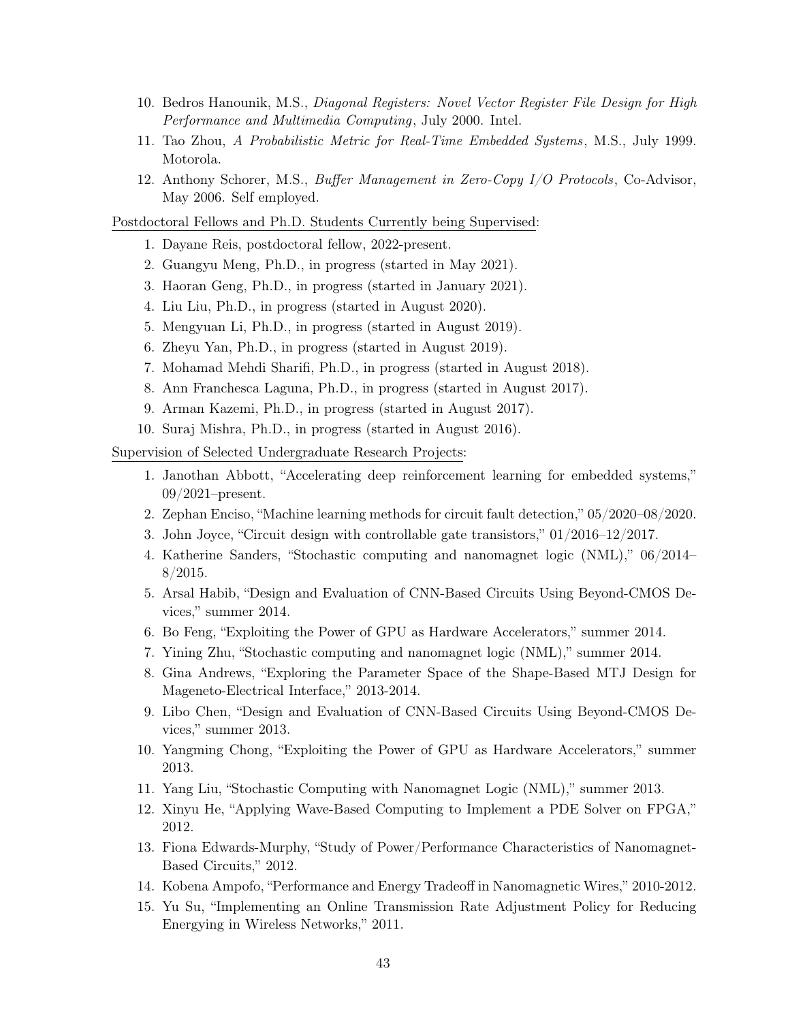- 10. Bedros Hanounik, M.S., Diagonal Registers: Novel Vector Register File Design for High Performance and Multimedia Computing, July 2000. Intel.
- 11. Tao Zhou, A Probabilistic Metric for Real-Time Embedded Systems , M.S., July 1999. Motorola.
- 12. Anthony Schorer, M.S., Buffer Management in Zero-Copy I/O Protocols, Co-Advisor, May 2006. Self employed.

#### Postdoctoral Fellows and Ph.D. Students Currently being Supervised:

- 1. Dayane Reis, postdoctoral fellow, 2022-present.
- 2. Guangyu Meng, Ph.D., in progress (started in May 2021).
- 3. Haoran Geng, Ph.D., in progress (started in January 2021).
- 4. Liu Liu, Ph.D., in progress (started in August 2020).
- 5. Mengyuan Li, Ph.D., in progress (started in August 2019).
- 6. Zheyu Yan, Ph.D., in progress (started in August 2019).
- 7. Mohamad Mehdi Sharifi, Ph.D., in progress (started in August 2018).
- 8. Ann Franchesca Laguna, Ph.D., in progress (started in August 2017).
- 9. Arman Kazemi, Ph.D., in progress (started in August 2017).
- 10. Suraj Mishra, Ph.D., in progress (started in August 2016).

Supervision of Selected Undergraduate Research Projects:

- 1. Janothan Abbott, "Accelerating deep reinforcement learning for embedded systems," 09/2021–present.
- 2. Zephan Enciso, "Machine learning methods for circuit fault detection," 05/2020–08/2020.
- 3. John Joyce, "Circuit design with controllable gate transistors," 01/2016–12/2017.
- 4. Katherine Sanders, "Stochastic computing and nanomagnet logic (NML)," 06/2014–  $8/2015.$
- 5. Arsal Habib, "Design and Evaluation of CNN-Based Circuits Using Beyond-CMOS Devices," summer 2014.
- 6. Bo Feng, "Exploiting the Power of GPU as Hardware Accelerators," summer 2014.
- 7. Yining Zhu, "Stochastic computing and nanomagnet logic (NML)," summer 2014.
- 8. Gina Andrews, "Exploring the Parameter Space of the Shape-Based MTJ Design for Mageneto-Electrical Interface," 2013-2014.
- 9. Libo Chen, "Design and Evaluation of CNN-Based Circuits Using Beyond-CMOS Devices," summer 2013.
- 10. Yangming Chong, "Exploiting the Power of GPU as Hardware Accelerators," summer 2013.
- 11. Yang Liu, "Stochastic Computing with Nanomagnet Logic (NML)," summer 2013.
- 12. Xinyu He, "Applying Wave-Based Computing to Implement a PDE Solver on FPGA," 2012.
- 13. Fiona Edwards-Murphy, "Study of Power/Performance Characteristics of Nanomagnet-Based Circuits," 2012.
- 14. Kobena Ampofo, "Performance and Energy Tradeoff in Nanomagnetic Wires," 2010-2012.
- 15. Yu Su, "Implementing an Online Transmission Rate Adjustment Policy for Reducing Energying in Wireless Networks," 2011.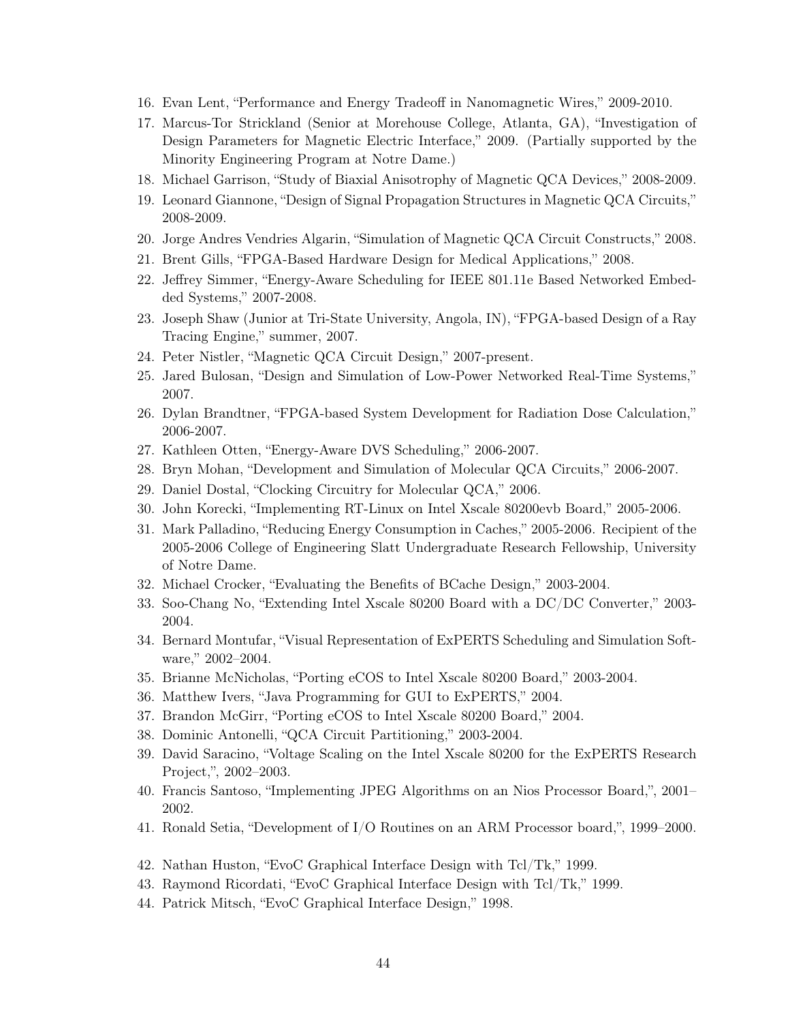- 16. Evan Lent, "Performance and Energy Tradeoff in Nanomagnetic Wires," 2009-2010.
- 17. Marcus-Tor Strickland (Senior at Morehouse College, Atlanta, GA), "Investigation of Design Parameters for Magnetic Electric Interface," 2009. (Partially supported by the Minority Engineering Program at Notre Dame.)
- 18. Michael Garrison, "Study of Biaxial Anisotrophy of Magnetic QCA Devices," 2008-2009.
- 19. Leonard Giannone, "Design of Signal Propagation Structures in Magnetic QCA Circuits," 2008-2009.
- 20. Jorge Andres Vendries Algarin, "Simulation of Magnetic QCA Circuit Constructs," 2008.
- 21. Brent Gills, "FPGA-Based Hardware Design for Medical Applications," 2008.
- 22. Jeffrey Simmer, "Energy-Aware Scheduling for IEEE 801.11e Based Networked Embedded Systems," 2007-2008.
- 23. Joseph Shaw (Junior at Tri-State University, Angola, IN), "FPGA-based Design of a Ray Tracing Engine," summer, 2007.
- 24. Peter Nistler, "Magnetic QCA Circuit Design," 2007-present.
- 25. Jared Bulosan, "Design and Simulation of Low-Power Networked Real-Time Systems," 2007.
- 26. Dylan Brandtner, "FPGA-based System Development for Radiation Dose Calculation," 2006-2007.
- 27. Kathleen Otten, "Energy-Aware DVS Scheduling," 2006-2007.
- 28. Bryn Mohan, "Development and Simulation of Molecular QCA Circuits," 2006-2007.
- 29. Daniel Dostal, "Clocking Circuitry for Molecular QCA," 2006.
- 30. John Korecki, "Implementing RT-Linux on Intel Xscale 80200evb Board," 2005-2006.
- 31. Mark Palladino, "Reducing Energy Consumption in Caches," 2005-2006. Recipient of the 2005-2006 College of Engineering Slatt Undergraduate Research Fellowship, University of Notre Dame.
- 32. Michael Crocker, "Evaluating the Benefits of BCache Design," 2003-2004.
- 33. Soo-Chang No, "Extending Intel Xscale 80200 Board with a DC/DC Converter," 2003- 2004.
- 34. Bernard Montufar, "Visual Representation of ExPERTS Scheduling and Simulation Software," 2002–2004.
- 35. Brianne McNicholas, "Porting eCOS to Intel Xscale 80200 Board," 2003-2004.
- 36. Matthew Ivers, "Java Programming for GUI to ExPERTS," 2004.
- 37. Brandon McGirr, "Porting eCOS to Intel Xscale 80200 Board," 2004.
- 38. Dominic Antonelli, "QCA Circuit Partitioning," 2003-2004.
- 39. David Saracino, "Voltage Scaling on the Intel Xscale 80200 for the ExPERTS Research Project,", 2002–2003.
- 40. Francis Santoso, "Implementing JPEG Algorithms on an Nios Processor Board,", 2001– 2002.
- 41. Ronald Setia, "Development of I/O Routines on an ARM Processor board,", 1999–2000.
- 42. Nathan Huston, "EvoC Graphical Interface Design with Tcl/Tk," 1999.
- 43. Raymond Ricordati, "EvoC Graphical Interface Design with Tcl/Tk," 1999.
- 44. Patrick Mitsch, "EvoC Graphical Interface Design," 1998.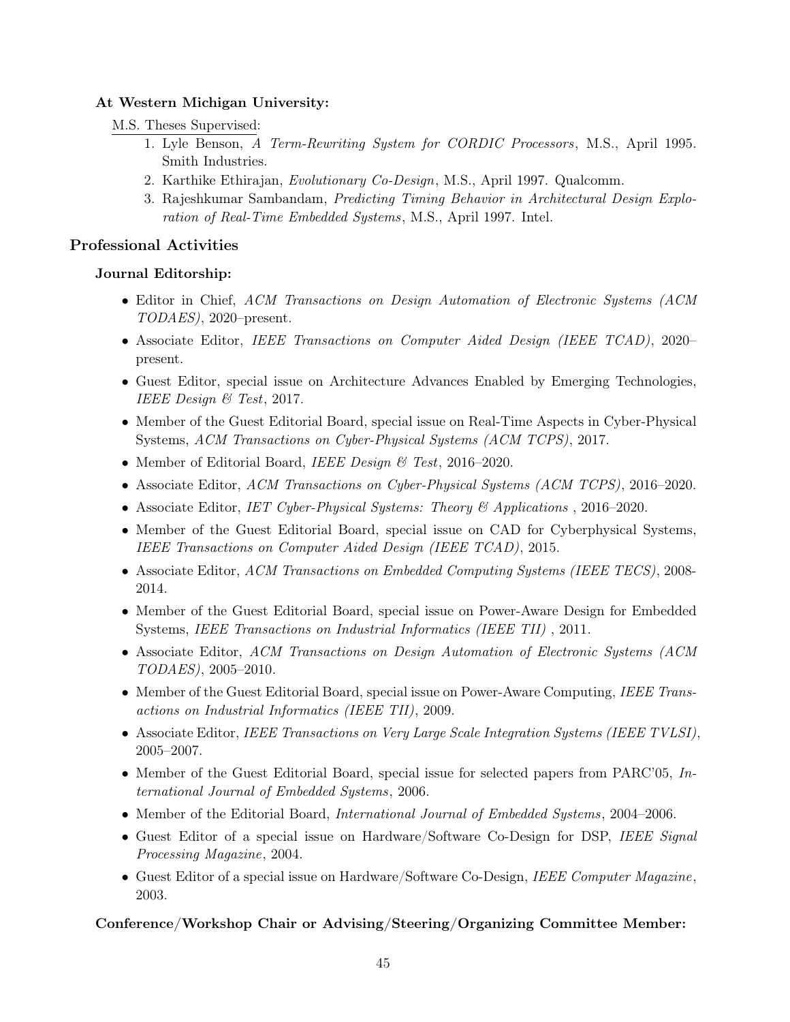# At Western Michigan University:

# M.S. Theses Supervised:

- 1. Lyle Benson, A Term-Rewriting System for CORDIC Processors, M.S., April 1995. Smith Industries.
- 2. Karthike Ethirajan, Evolutionary Co-Design, M.S., April 1997. Qualcomm.
- 3. Rajeshkumar Sambandam, Predicting Timing Behavior in Architectural Design Exploration of Real-Time Embedded Systems, M.S., April 1997. Intel.

# Professional Activities

# Journal Editorship:

- Editor in Chief, ACM Transactions on Design Automation of Electronic Systems (ACM) TODAES), 2020–present.
- Associate Editor, IEEE Transactions on Computer Aided Design (IEEE TCAD), 2020– present.
- Guest Editor, special issue on Architecture Advances Enabled by Emerging Technologies, IEEE Design & Test, 2017.
- Member of the Guest Editorial Board, special issue on Real-Time Aspects in Cyber-Physical Systems, ACM Transactions on Cyber-Physical Systems (ACM TCPS), 2017.
- Member of Editorial Board, IEEE Design & Test, 2016–2020.
- Associate Editor, ACM Transactions on Cyber-Physical Systems (ACM TCPS), 2016–2020.
- Associate Editor, IET Cyber-Physical Systems: Theory & Applications , 2016–2020.
- Member of the Guest Editorial Board, special issue on CAD for Cyberphysical Systems, IEEE Transactions on Computer Aided Design (IEEE TCAD), 2015.
- Associate Editor, ACM Transactions on Embedded Computing Systems (IEEE TECS), 2008- 2014.
- Member of the Guest Editorial Board, special issue on Power-Aware Design for Embedded Systems, IEEE Transactions on Industrial Informatics (IEEE TII) , 2011.
- Associate Editor, ACM Transactions on Design Automation of Electronic Systems (ACM TODAES), 2005–2010.
- Member of the Guest Editorial Board, special issue on Power-Aware Computing, IEEE Transactions on Industrial Informatics (IEEE TII), 2009.
- Associate Editor, IEEE Transactions on Very Large Scale Integration Systems (IEEE TVLSI), 2005–2007.
- Member of the Guest Editorial Board, special issue for selected papers from PARC'05, International Journal of Embedded Systems, 2006.
- Member of the Editorial Board, *International Journal of Embedded Systems*, 2004–2006.
- Guest Editor of a special issue on Hardware/Software Co-Design for DSP, IEEE Signal Processing Magazine, 2004.
- Guest Editor of a special issue on Hardware/Software Co-Design, IEEE Computer Magazine, 2003.

# Conference/Workshop Chair or Advising/Steering/Organizing Committee Member: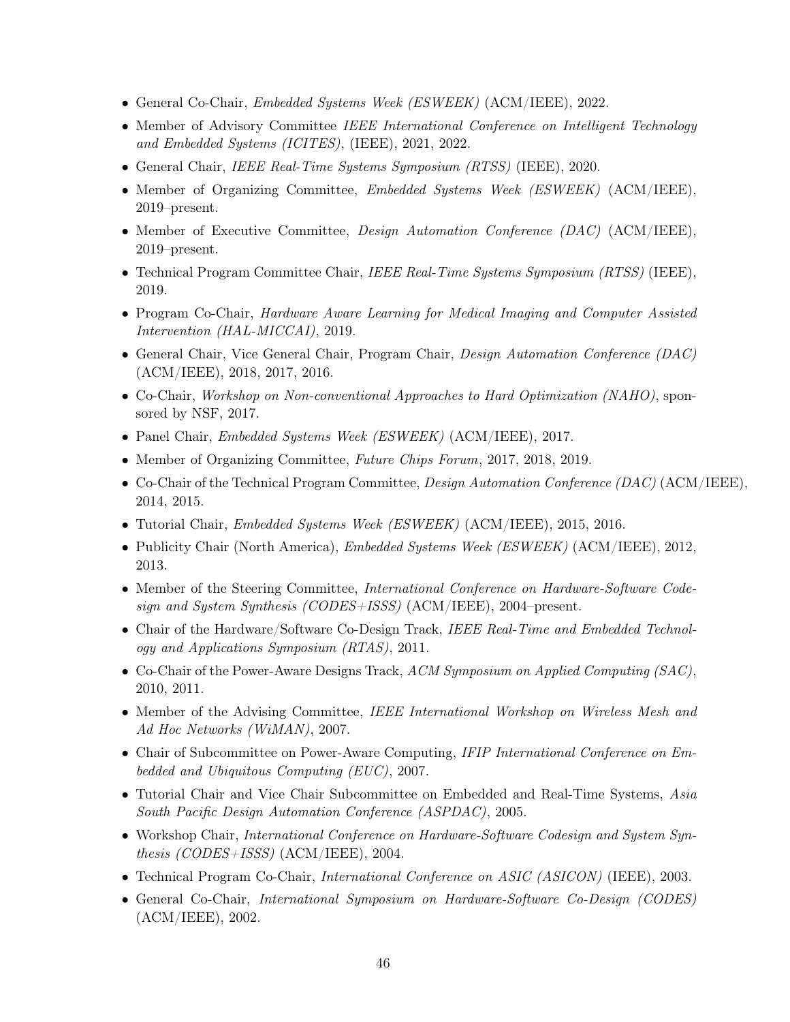- General Co-Chair, Embedded Systems Week (ESWEEK) (ACM/IEEE), 2022.
- Member of Advisory Committee IEEE International Conference on Intelligent Technology and Embedded Systems (ICITES), (IEEE), 2021, 2022.
- General Chair, IEEE Real-Time Systems Symposium (RTSS) (IEEE), 2020.
- Member of Organizing Committee, *Embedded Systems Week (ESWEEK)* (ACM/IEEE), 2019–present.
- Member of Executive Committee, *Design Automation Conference (DAC)* (ACM/IEEE), 2019–present.
- Technical Program Committee Chair, IEEE Real-Time Systems Symposium (RTSS) (IEEE), 2019.
- Program Co-Chair, Hardware Aware Learning for Medical Imaging and Computer Assisted Intervention (HAL-MICCAI), 2019.
- General Chair, Vice General Chair, Program Chair, Design Automation Conference (DAC) (ACM/IEEE), 2018, 2017, 2016.
- Co-Chair, *Workshop on Non-conventional Approaches to Hard Optimization (NAHO)*, sponsored by NSF, 2017.
- Panel Chair, *Embedded Systems Week (ESWEEK)* (ACM/IEEE), 2017.
- Member of Organizing Committee, Future Chips Forum, 2017, 2018, 2019.
- Co-Chair of the Technical Program Committee, Design Automation Conference (DAC) (ACM/IEEE), 2014, 2015.
- Tutorial Chair, Embedded Systems Week (ESWEEK) (ACM/IEEE), 2015, 2016.
- Publicity Chair (North America), Embedded Systems Week (ESWEEK) (ACM/IEEE), 2012, 2013.
- Member of the Steering Committee, *International Conference on Hardware-Software Code*sign and System Synthesis (CODES+ISSS) (ACM/IEEE), 2004–present.
- Chair of the Hardware/Software Co-Design Track, IEEE Real-Time and Embedded Technology and Applications Symposium (RTAS), 2011.
- Co-Chair of the Power-Aware Designs Track, ACM Symposium on Applied Computing (SAC), 2010, 2011.
- Member of the Advising Committee, IEEE International Workshop on Wireless Mesh and Ad Hoc Networks (WiMAN), 2007.
- Chair of Subcommittee on Power-Aware Computing, IFIP International Conference on Embedded and Ubiquitous Computing (EUC), 2007.
- Tutorial Chair and Vice Chair Subcommittee on Embedded and Real-Time Systems, Asia South Pacific Design Automation Conference (ASPDAC), 2005.
- Workshop Chair, International Conference on Hardware-Software Codesign and System Synthesis (CODES+ISSS) (ACM/IEEE), 2004.
- Technical Program Co-Chair, *International Conference on ASIC (ASICON)* (IEEE), 2003.
- General Co-Chair, *International Symposium on Hardware-Software Co-Design (CODES)* (ACM/IEEE), 2002.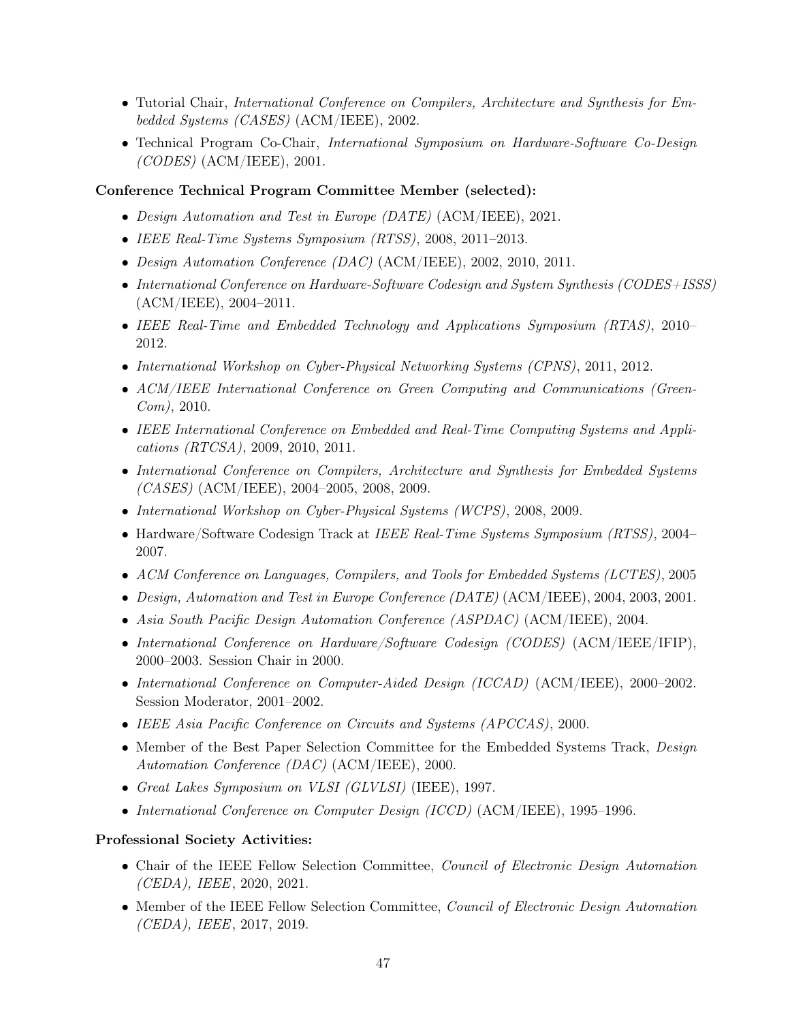- Tutorial Chair, International Conference on Compilers, Architecture and Synthesis for Embedded Systems (CASES) (ACM/IEEE), 2002.
- Technical Program Co-Chair, International Symposium on Hardware-Software Co-Design  $(CODES)$  (ACM/IEEE), 2001.

# Conference Technical Program Committee Member (selected):

- Design Automation and Test in Europe (DATE) (ACM/IEEE), 2021.
- IEEE Real-Time Systems Symposium (RTSS), 2008, 2011–2013.
- Design Automation Conference (DAC) (ACM/IEEE), 2002, 2010, 2011.
- International Conference on Hardware-Software Codesign and System Synthesis (CODES+ISSS) (ACM/IEEE), 2004–2011.
- IEEE Real-Time and Embedded Technology and Applications Symposium (RTAS), 2010– 2012.
- International Workshop on Cyber-Physical Networking Systems (CPNS), 2011, 2012.
- ACM/IEEE International Conference on Green Computing and Communications (Green- $Com$ , 2010.
- IEEE International Conference on Embedded and Real-Time Computing Systems and Applications (RTCSA), 2009, 2010, 2011.
- International Conference on Compilers, Architecture and Synthesis for Embedded Systems (CASES) (ACM/IEEE), 2004–2005, 2008, 2009.
- International Workshop on Cyber-Physical Systems (WCPS), 2008, 2009.
- Hardware/Software Codesign Track at IEEE Real-Time Systems Symposium (RTSS), 2004– 2007.
- ACM Conference on Languages, Compilers, and Tools for Embedded Systems (LCTES), 2005
- Design, Automation and Test in Europe Conference (DATE) (ACM/IEEE), 2004, 2003, 2001.
- Asia South Pacific Design Automation Conference (ASPDAC) (ACM/IEEE), 2004.
- International Conference on Hardware/Software Codesign (CODES) (ACM/IEEE/IFIP), 2000–2003. Session Chair in 2000.
- International Conference on Computer-Aided Design (ICCAD) (ACM/IEEE), 2000–2002. Session Moderator, 2001–2002.
- IEEE Asia Pacific Conference on Circuits and Systems (APCCAS), 2000.
- Member of the Best Paper Selection Committee for the Embedded Systems Track, *Design* Automation Conference (DAC) (ACM/IEEE), 2000.
- Great Lakes Symposium on VLSI (GLVLSI) (IEEE), 1997.
- International Conference on Computer Design (ICCD) (ACM/IEEE), 1995–1996.

## Professional Society Activities:

- Chair of the IEEE Fellow Selection Committee, *Council of Electronic Design Automation* (CEDA), IEEE, 2020, 2021.
- Member of the IEEE Fellow Selection Committee, *Council of Electronic Design Automation* (CEDA), IEEE, 2017, 2019.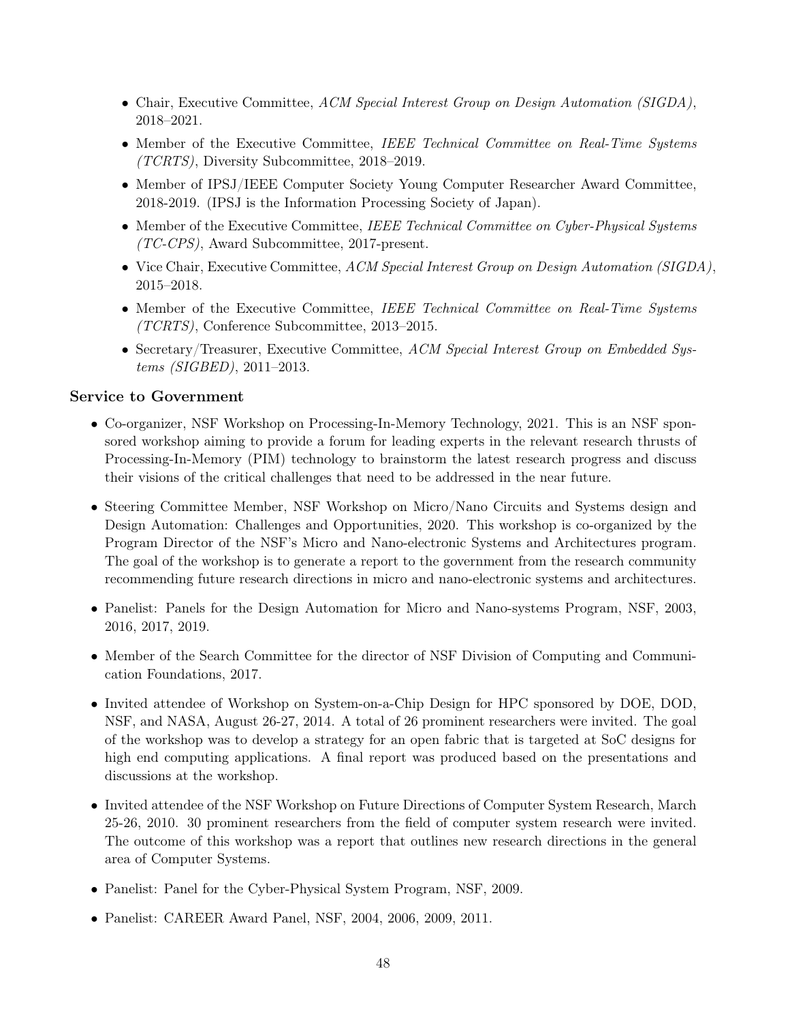- Chair, Executive Committee, ACM Special Interest Group on Design Automation (SIGDA), 2018–2021.
- Member of the Executive Committee, IEEE Technical Committee on Real-Time Systems (TCRTS), Diversity Subcommittee, 2018–2019.
- Member of IPSJ/IEEE Computer Society Young Computer Researcher Award Committee, 2018-2019. (IPSJ is the Information Processing Society of Japan).
- Member of the Executive Committee, IEEE Technical Committee on Cyber-Physical Systems (TC-CPS), Award Subcommittee, 2017-present.
- Vice Chair, Executive Committee, ACM Special Interest Group on Design Automation (SIGDA), 2015–2018.
- Member of the Executive Committee, IEEE Technical Committee on Real-Time Systems (TCRTS), Conference Subcommittee, 2013–2015.
- Secretary/Treasurer, Executive Committee, ACM Special Interest Group on Embedded Systems (SIGBED), 2011–2013.

# Service to Government

- Co-organizer, NSF Workshop on Processing-In-Memory Technology, 2021. This is an NSF sponsored workshop aiming to provide a forum for leading experts in the relevant research thrusts of Processing-In-Memory (PIM) technology to brainstorm the latest research progress and discuss their visions of the critical challenges that need to be addressed in the near future.
- Steering Committee Member, NSF Workshop on Micro/Nano Circuits and Systems design and Design Automation: Challenges and Opportunities, 2020. This workshop is co-organized by the Program Director of the NSF's Micro and Nano-electronic Systems and Architectures program. The goal of the workshop is to generate a report to the government from the research community recommending future research directions in micro and nano-electronic systems and architectures.
- Panelist: Panels for the Design Automation for Micro and Nano-systems Program, NSF, 2003, 2016, 2017, 2019.
- Member of the Search Committee for the director of NSF Division of Computing and Communication Foundations, 2017.
- Invited attendee of Workshop on System-on-a-Chip Design for HPC sponsored by DOE, DOD, NSF, and NASA, August 26-27, 2014. A total of 26 prominent researchers were invited. The goal of the workshop was to develop a strategy for an open fabric that is targeted at SoC designs for high end computing applications. A final report was produced based on the presentations and discussions at the workshop.
- Invited attendee of the NSF Workshop on Future Directions of Computer System Research, March 25-26, 2010. 30 prominent researchers from the field of computer system research were invited. The outcome of this workshop was a report that outlines new research directions in the general area of Computer Systems.
- Panelist: Panel for the Cyber-Physical System Program, NSF, 2009.
- Panelist: CAREER Award Panel, NSF, 2004, 2006, 2009, 2011.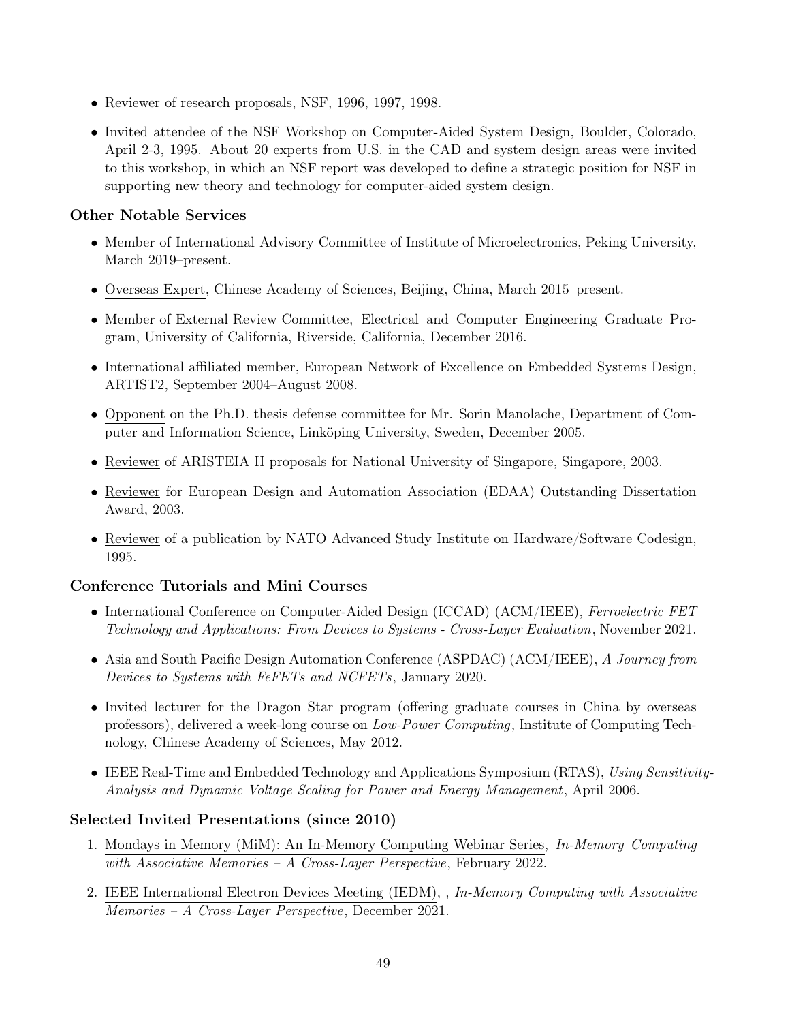- Reviewer of research proposals, NSF, 1996, 1997, 1998.
- Invited attendee of the NSF Workshop on Computer-Aided System Design, Boulder, Colorado, April 2-3, 1995. About 20 experts from U.S. in the CAD and system design areas were invited to this workshop, in which an NSF report was developed to define a strategic position for NSF in supporting new theory and technology for computer-aided system design.

# Other Notable Services

- Member of International Advisory Committee of Institute of Microelectronics, Peking University, March 2019–present.
- Overseas Expert, Chinese Academy of Sciences, Beijing, China, March 2015–present.
- Member of External Review Committee, Electrical and Computer Engineering Graduate Program, University of California, Riverside, California, December 2016.
- International affiliated member, European Network of Excellence on Embedded Systems Design, ARTIST2, September 2004–August 2008.
- Opponent on the Ph.D. thesis defense committee for Mr. Sorin Manolache, Department of Computer and Information Science, Linköping University, Sweden, December 2005.
- Reviewer of ARISTEIA II proposals for National University of Singapore, Singapore, 2003.
- Reviewer for European Design and Automation Association (EDAA) Outstanding Dissertation Award, 2003.
- Reviewer of a publication by NATO Advanced Study Institute on Hardware/Software Codesign, 1995.

# Conference Tutorials and Mini Courses

- International Conference on Computer-Aided Design (ICCAD) (ACM/IEEE), Ferroelectric FET Technology and Applications: From Devices to Systems - Cross-Layer Evaluation, November 2021.
- Asia and South Pacific Design Automation Conference (ASPDAC) (ACM/IEEE), A Journey from Devices to Systems with FeFETs and NCFETs, January 2020.
- Invited lecturer for the Dragon Star program (offering graduate courses in China by overseas professors), delivered a week-long course on Low-Power Computing, Institute of Computing Technology, Chinese Academy of Sciences, May 2012.
- IEEE Real-Time and Embedded Technology and Applications Symposium (RTAS), Using Sensitivity-Analysis and Dynamic Voltage Scaling for Power and Energy Management, April 2006.

## Selected Invited Presentations (since 2010)

- 1. Mondays in Memory (MiM): An In-Memory Computing Webinar Series, In-Memory Computing with Associative Memories – A Cross-Layer Perspective, February 2022.
- 2. IEEE International Electron Devices Meeting (IEDM), , In-Memory Computing with Associative Memories – A Cross-Layer Perspective, December 2021.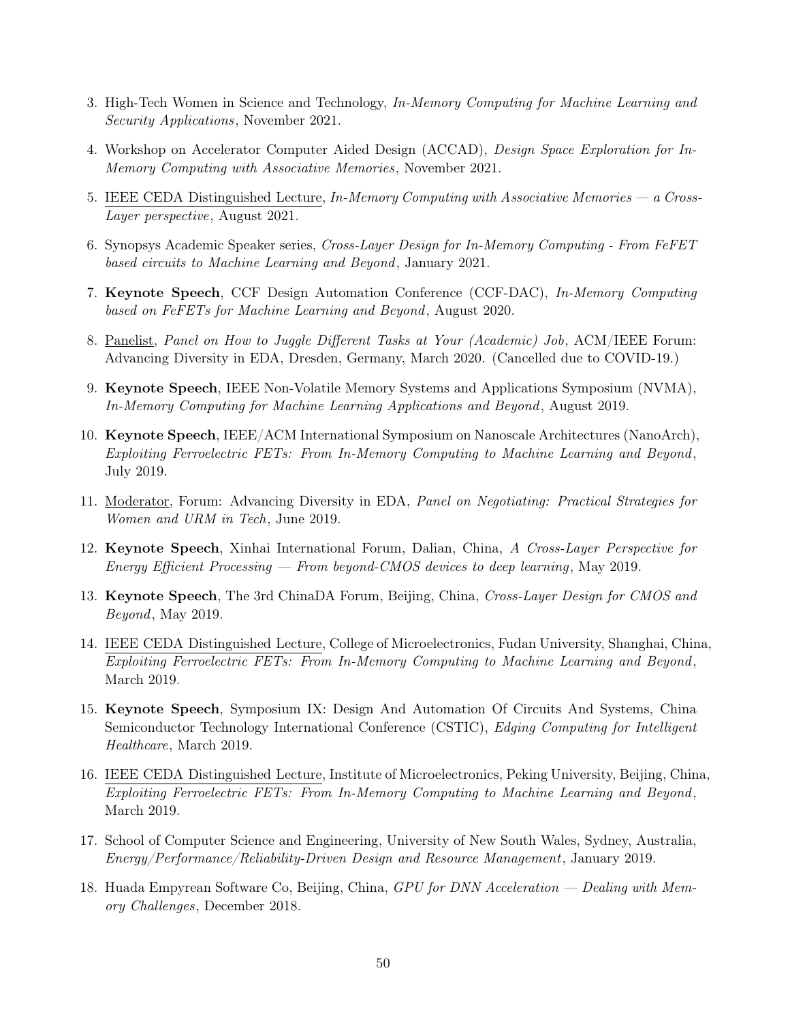- 3. High-Tech Women in Science and Technology, In-Memory Computing for Machine Learning and Security Applications, November 2021.
- 4. Workshop on Accelerator Computer Aided Design (ACCAD), Design Space Exploration for In-Memory Computing with Associative Memories, November 2021.
- 5. IEEE CEDA Distinguished Lecture, In-Memory Computing with Associative Memories a Cross-Layer perspective, August 2021.
- 6. Synopsys Academic Speaker series, Cross-Layer Design for In-Memory Computing From FeFET based circuits to Machine Learning and Beyond, January 2021.
- 7. Keynote Speech, CCF Design Automation Conference (CCF-DAC), In-Memory Computing based on FeFETs for Machine Learning and Beyond, August 2020.
- 8. Panelist, Panel on How to Juggle Different Tasks at Your (Academic) Job, ACM/IEEE Forum: Advancing Diversity in EDA, Dresden, Germany, March 2020. (Cancelled due to COVID-19.)
- 9. Keynote Speech, IEEE Non-Volatile Memory Systems and Applications Symposium (NVMA), In-Memory Computing for Machine Learning Applications and Beyond, August 2019.
- 10. Keynote Speech, IEEE/ACM International Symposium on Nanoscale Architectures (NanoArch), Exploiting Ferroelectric FETs: From In-Memory Computing to Machine Learning and Beyond , July 2019.
- 11. Moderator, Forum: Advancing Diversity in EDA, Panel on Negotiating: Practical Strategies for Women and URM in Tech, June 2019.
- 12. Keynote Speech, Xinhai International Forum, Dalian, China, A Cross-Layer Perspective for Energy Efficient Processing — From beyond-CMOS devices to deep learning , May 2019.
- 13. Keynote Speech, The 3rd ChinaDA Forum, Beijing, China, Cross-Layer Design for CMOS and Beyond, May 2019.
- 14. IEEE CEDA Distinguished Lecture, College of Microelectronics, Fudan University, Shanghai, China, Exploiting Ferroelectric FETs: From In-Memory Computing to Machine Learning and Beyond , March 2019.
- 15. Keynote Speech, Symposium IX: Design And Automation Of Circuits And Systems, China Semiconductor Technology International Conference (CSTIC), Edging Computing for Intelligent Healthcare, March 2019.
- 16. IEEE CEDA Distinguished Lecture, Institute of Microelectronics, Peking University, Beijing, China, Exploiting Ferroelectric FETs: From In-Memory Computing to Machine Learning and Beyond , March 2019.
- 17. School of Computer Science and Engineering, University of New South Wales, Sydney, Australia, Energy/Performance/Reliability-Driven Design and Resource Management, January 2019.
- 18. Huada Empyrean Software Co, Beijing, China, GPU for DNN Acceleration Dealing with Memory Challenges, December 2018.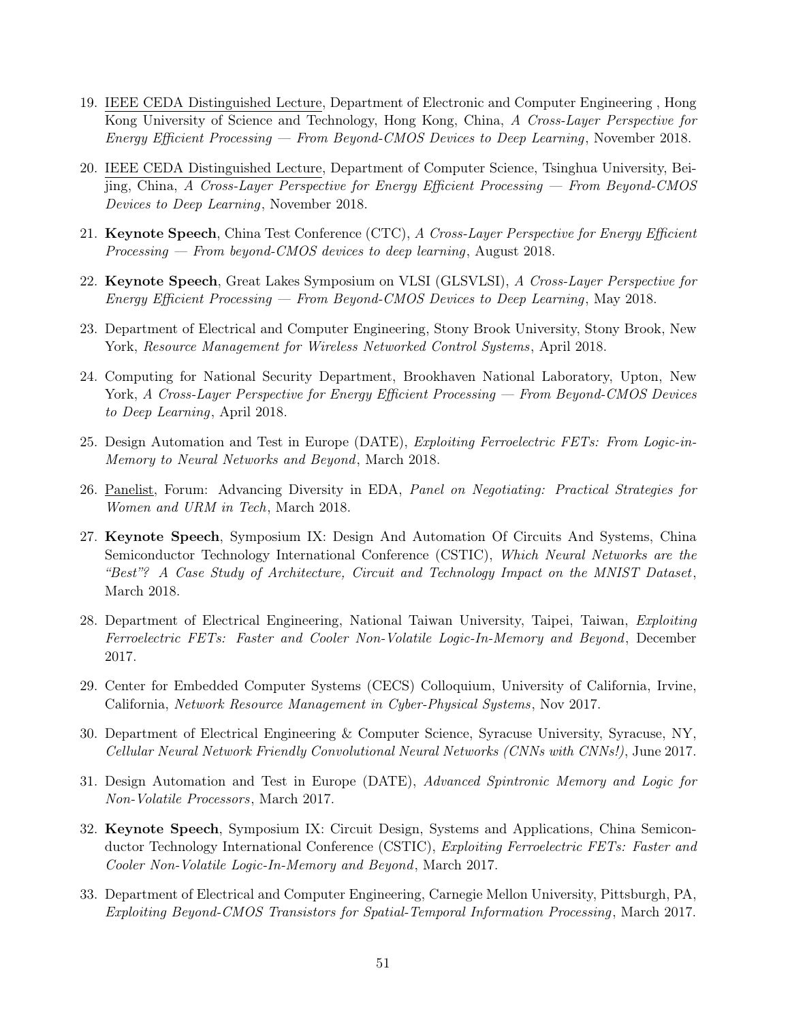- 19. IEEE CEDA Distinguished Lecture, Department of Electronic and Computer Engineering , Hong Kong University of Science and Technology, Hong Kong, China, A Cross-Layer Perspective for Energy Efficient Processing — From Beyond-CMOS Devices to Deep Learning , November 2018.
- 20. IEEE CEDA Distinguished Lecture, Department of Computer Science, Tsinghua University, Beijing, China, A Cross-Layer Perspective for Energy Efficient Processing — From Beyond-CMOS Devices to Deep Learning, November 2018.
- 21. Keynote Speech, China Test Conference (CTC), A Cross-Layer Perspective for Energy Efficient Processing — From beyond-CMOS devices to deep learning, August 2018.
- 22. Keynote Speech, Great Lakes Symposium on VLSI (GLSVLSI), A Cross-Layer Perspective for Energy Efficient Processing — From Beyond-CMOS Devices to Deep Learning , May 2018.
- 23. Department of Electrical and Computer Engineering, Stony Brook University, Stony Brook, New York, Resource Management for Wireless Networked Control Systems , April 2018.
- 24. Computing for National Security Department, Brookhaven National Laboratory, Upton, New York, A Cross-Layer Perspective for Energy Efficient Processing — From Beyond-CMOS Devices to Deep Learning, April 2018.
- 25. Design Automation and Test in Europe (DATE), Exploiting Ferroelectric FETs: From Logic-in-Memory to Neural Networks and Beyond, March 2018.
- 26. Panelist, Forum: Advancing Diversity in EDA, Panel on Negotiating: Practical Strategies for Women and URM in Tech, March 2018.
- 27. Keynote Speech, Symposium IX: Design And Automation Of Circuits And Systems, China Semiconductor Technology International Conference (CSTIC), Which Neural Networks are the "Best"? A Case Study of Architecture, Circuit and Technology Impact on the MNIST Dataset, March 2018.
- 28. Department of Electrical Engineering, National Taiwan University, Taipei, Taiwan, Exploiting Ferroelectric FETs: Faster and Cooler Non-Volatile Logic-In-Memory and Beyond, December 2017.
- 29. Center for Embedded Computer Systems (CECS) Colloquium, University of California, Irvine, California, Network Resource Management in Cyber-Physical Systems , Nov 2017.
- 30. Department of Electrical Engineering & Computer Science, Syracuse University, Syracuse, NY, Cellular Neural Network Friendly Convolutional Neural Networks (CNNs with CNNs!), June 2017.
- 31. Design Automation and Test in Europe (DATE), Advanced Spintronic Memory and Logic for Non-Volatile Processors, March 2017.
- 32. Keynote Speech, Symposium IX: Circuit Design, Systems and Applications, China Semiconductor Technology International Conference (CSTIC), *Exploiting Ferroelectric FETs: Faster and* Cooler Non-Volatile Logic-In-Memory and Beyond, March 2017.
- 33. Department of Electrical and Computer Engineering, Carnegie Mellon University, Pittsburgh, PA, Exploiting Beyond-CMOS Transistors for Spatial-Temporal Information Processing , March 2017.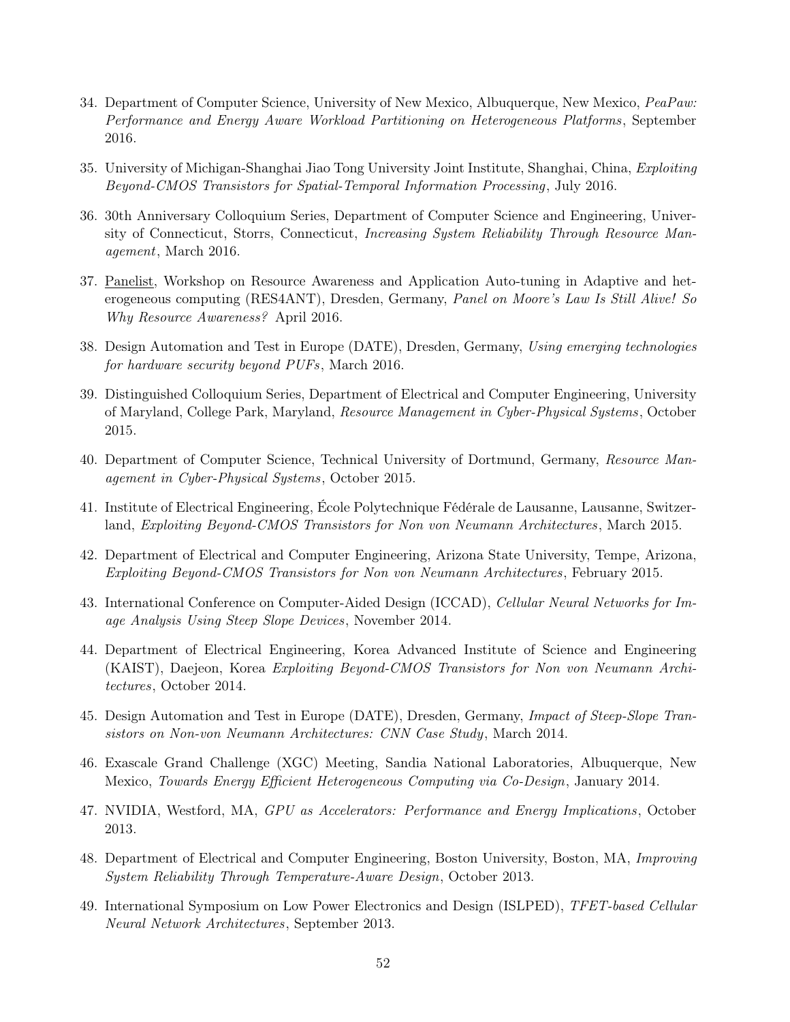- 34. Department of Computer Science, University of New Mexico, Albuquerque, New Mexico, PeaPaw: Performance and Energy Aware Workload Partitioning on Heterogeneous Platforms, September 2016.
- 35. University of Michigan-Shanghai Jiao Tong University Joint Institute, Shanghai, China, Exploiting Beyond-CMOS Transistors for Spatial-Temporal Information Processing , July 2016.
- 36. 30th Anniversary Colloquium Series, Department of Computer Science and Engineering, University of Connecticut, Storrs, Connecticut, *Increasing System Reliability Through Resource Man*agement, March 2016.
- 37. Panelist, Workshop on Resource Awareness and Application Auto-tuning in Adaptive and heterogeneous computing (RES4ANT), Dresden, Germany, *Panel on Moore's Law Is Still Alive! So* Why Resource Awareness? April 2016.
- 38. Design Automation and Test in Europe (DATE), Dresden, Germany, Using emerging technologies for hardware security beyond PUFs, March 2016.
- 39. Distinguished Colloquium Series, Department of Electrical and Computer Engineering, University of Maryland, College Park, Maryland, Resource Management in Cyber-Physical Systems, October 2015.
- 40. Department of Computer Science, Technical University of Dortmund, Germany, Resource Management in Cyber-Physical Systems, October 2015.
- 41. Institute of Electrical Engineering, École Polytechnique Fédérale de Lausanne, Lausanne, Switzerland, Exploiting Beyond-CMOS Transistors for Non von Neumann Architectures, March 2015.
- 42. Department of Electrical and Computer Engineering, Arizona State University, Tempe, Arizona, Exploiting Beyond-CMOS Transistors for Non von Neumann Architectures , February 2015.
- 43. International Conference on Computer-Aided Design (ICCAD), Cellular Neural Networks for Image Analysis Using Steep Slope Devices, November 2014.
- 44. Department of Electrical Engineering, Korea Advanced Institute of Science and Engineering (KAIST), Daejeon, Korea Exploiting Beyond-CMOS Transistors for Non von Neumann Architectures, October 2014.
- 45. Design Automation and Test in Europe (DATE), Dresden, Germany, Impact of Steep-Slope Transistors on Non-von Neumann Architectures: CNN Case Study, March 2014.
- 46. Exascale Grand Challenge (XGC) Meeting, Sandia National Laboratories, Albuquerque, New Mexico, Towards Energy Efficient Heterogeneous Computing via Co-Design, January 2014.
- 47. NVIDIA, Westford, MA, GPU as Accelerators: Performance and Energy Implications , October 2013.
- 48. Department of Electrical and Computer Engineering, Boston University, Boston, MA, Improving System Reliability Through Temperature-Aware Design, October 2013.
- 49. International Symposium on Low Power Electronics and Design (ISLPED), TFET-based Cellular Neural Network Architectures, September 2013.